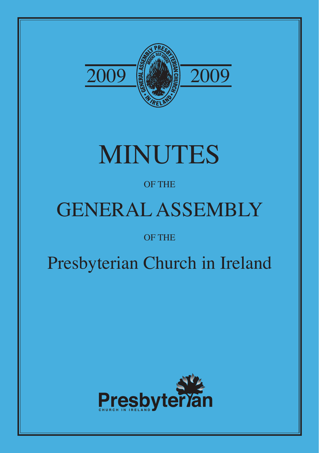

# MINUTES

## OF THE

# GENERAL ASSEMBLY

## OF THE

## Presbyterian Church in Ireland

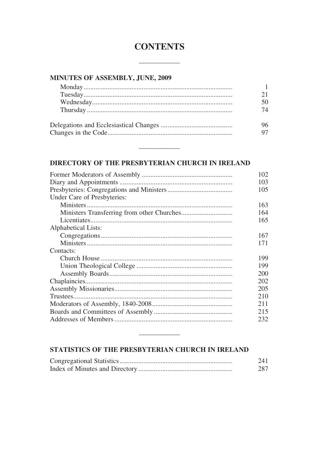### **CONTENTS**

#### MINUTES OF ASSEMBLY, JUNE, 2009

| 74 |
|----|
| 96 |
|    |

#### DIRECTORY OF THE PRESBYTERIAN CHURCH IN IRELAND

|                             | 102 |
|-----------------------------|-----|
|                             | 103 |
|                             | 105 |
| Under Care of Presbyteries: |     |
|                             | 163 |
|                             | 164 |
|                             | 165 |
| Alphabetical Lists:         |     |
|                             | 167 |
|                             | 171 |
| Contacts:                   |     |
|                             | 199 |
|                             | 199 |
|                             | 200 |
|                             | 202 |
|                             | 205 |
|                             | 210 |
|                             | 211 |
|                             | 215 |
|                             | 232 |
|                             |     |

#### STATISTICS OF THE PRESBYTERIAN CHURCH IN IRELAND

| 241 |
|-----|
| 287 |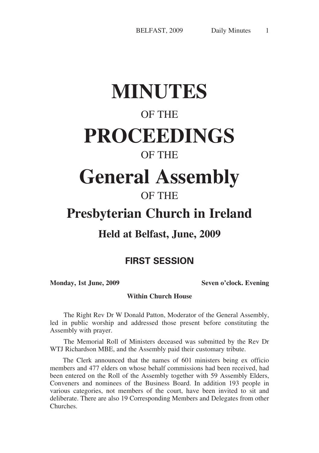## **MINUTES**

## OF THE

## **PROCEEDINGS**

## OF THE

## **General Assembly**

## OF THE

## **Presbyterian Church in Ireland**

## **Held at Belfast, June, 2009**

### **FIRST SESSION**

**Monday, 1st June, 2009** Seven o'clock. Evening

#### **Within Church House**

The Right Rev Dr W Donald Patton, Moderator of the General Assembly, led in public worship and addressed those present before constituting the Assembly with prayer.

The Memorial Roll of Ministers deceased was submitted by the Rev Dr WTJ Richardson MBE, and the Assembly paid their customary tribute.

The Clerk announced that the names of 601 ministers being ex officio members and 477 elders on whose behalf commissions had been received, had been entered on the Roll of the Assembly together with 59 Assembly Elders, Conveners and nominees of the Business Board. In addition 193 people in various categories, not members of the court, have been invited to sit and deliberate. There are also 19 Corresponding Members and Delegates from other Churches.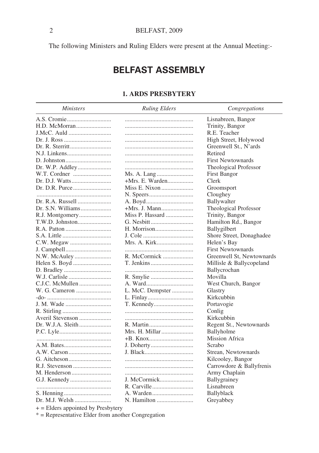The following Ministers and Ruling Elders were present at the Annual Meeting:-

## **BELFAST ASSEMBLY**

#### **1. ARDS PRESBYTERY**

| <i>Ministers</i> | <b>Ruling Elders</b> | Congregations             |
|------------------|----------------------|---------------------------|
|                  |                      | Lisnabreen, Bangor        |
|                  |                      | Trinity, Bangor           |
| J.McC. Auld      |                      | R.E. Teacher              |
|                  |                      | High Street, Holywood     |
|                  |                      | Greenwell St., N'ards     |
|                  |                      | Retired                   |
|                  |                      | <b>First Newtownards</b>  |
|                  |                      | Theological Professor     |
| W.T. Cordner     |                      | First Bangor              |
|                  | $+Mrs. E. Warden.$   | Clerk                     |
| Dr. D.R. Purce   | Miss E. Nixon        | Groomsport                |
|                  |                      | Cloughey                  |
| Dr. R.A. Russell |                      | Ballywalter               |
|                  | +Mrs. J. Mann        | Theological Professor     |
|                  | Miss P. Hassard      | Trinity, Bangor           |
|                  |                      | Hamilton Rd., Bangor      |
|                  |                      | Ballygilbert              |
| S.A. Little      | J. Cole              | Shore Street, Donaghadee  |
|                  |                      | Helen's Bay               |
|                  |                      | <b>First Newtownards</b>  |
|                  | R. McCormick         | Greenwell St, Newtownards |
|                  | T. Jenkins           | Millisle & Ballycopeland  |
|                  |                      | Ballycrochan              |
|                  |                      | Movilla                   |
|                  |                      | West Church, Bangor       |
|                  | L. McC. Dempster     | Glastry                   |
|                  |                      | Kirkcubbin                |
| J. M. Wade       |                      | Portavogie                |
|                  |                      | Conlig                    |
| Averil Stevenson |                      | Kirkcubbin                |
|                  |                      | Regent St., Newtownards   |
|                  | Mrs. H. Millar       | Ballyholme                |
|                  |                      | Mission Africa            |
|                  |                      | Scrabo                    |
|                  |                      | Strean, Newtownards       |
|                  |                      |                           |
|                  |                      | Kilcooley, Bangor         |
|                  |                      | Carrowdore & Ballyfrenis  |
|                  |                      | Army Chaplain             |
|                  | J. McCormick         | Ballygrainey              |
|                  |                      | Lisnabreen                |
|                  | A. Warden            | <b>Ballyblack</b>         |
| Dr. M.J. Welsh   | N. Hamilton          | Greyabbey                 |

+ = Elders appointed by Presbytery

\*  $=$  Representative Elder from another Congregation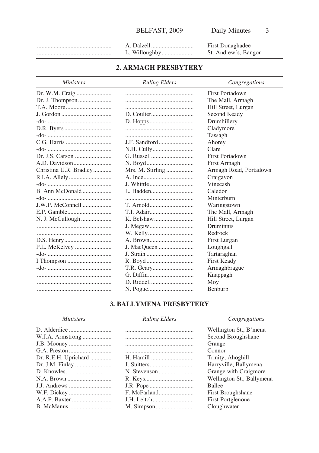First Donaghadee L. Willoughby..................... St. Andrew's, Bangor 

#### 2. ARMAGH PRESBYTERY

| <b>Ministers</b>       | <b>Ruling Elders</b> | Congregations          |
|------------------------|----------------------|------------------------|
|                        |                      | First Portadown        |
|                        |                      | The Mall, Armagh       |
|                        |                      | Hill Street, Lurgan    |
|                        |                      | Second Keady           |
|                        |                      | Drumhillery            |
|                        |                      | Cladymore              |
|                        |                      | Tassagh                |
|                        | J.F. Sandford        | Ahorey                 |
|                        |                      | Clare                  |
|                        |                      | First Portadown        |
|                        |                      | First Armagh           |
| Christina U.R. Bradley | Mrs. M. Stirling     | Armagh Road, Portadown |
|                        |                      | Craigavon              |
|                        | J. Whittle           | Vinecash               |
|                        | I. Hadden            | Caledon                |
|                        |                      | Minterburn             |
| J.W.P. McConnell       |                      | Waringstown            |
|                        | T.I. Adair           | The Mall, Armagh       |
|                        |                      | Hill Street, Lurgan    |
|                        |                      | Druminnis              |
|                        |                      | Redrock                |
|                        |                      | First Lurgan           |
|                        |                      | Loughgall              |
|                        |                      | Tartaraghan            |
|                        |                      | <b>First Keady</b>     |
|                        |                      | Armaghbrague           |
|                        |                      | Knappagh               |
|                        |                      | Moy                    |
|                        |                      | <b>Benburb</b>         |

#### **3. BALLYMENA PRESBYTERY**

| <i>Ministers</i>     | <b>Ruling Elders</b> | Congregations             |
|----------------------|----------------------|---------------------------|
|                      |                      | Wellington St., B'mena    |
| W.J.A. Armstrong     |                      | Second Broughshane        |
|                      |                      | Grange                    |
|                      |                      | Connor                    |
| Dr. R.E.H. Uprichard |                      | Trinity, Ahoghill         |
|                      |                      | Harryville, Ballymena     |
|                      |                      | Grange with Craigmore     |
|                      |                      | Wellington St., Ballymena |
|                      |                      | <b>Ballee</b>             |
|                      |                      | First Broughshane         |
|                      |                      | <b>First Portglenone</b>  |
|                      |                      | Cloughwater               |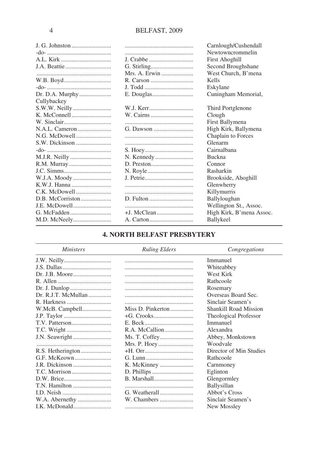| J. G. Johnston |               | Carnlough/Cushendall     |
|----------------|---------------|--------------------------|
|                |               | Newtowncrommelin         |
|                |               | <b>First Ahoghill</b>    |
|                |               | Second Broughshane       |
|                | Mrs. A. Erwin | West Church, B'mena      |
|                |               | Kells                    |
|                |               | Eskylane                 |
|                |               | Cuningham Memorial,      |
| Cullybackey    |               |                          |
| S.W.W. Neilly  |               | Third Portglenone        |
|                |               | Clough                   |
|                |               | First Ballymena          |
|                |               | High Kirk, Ballymena     |
| N.G. McDowell  |               | Chaplain to Forces       |
|                |               | Glenarm                  |
|                |               | Cairnalbana              |
|                |               | <b>Buckna</b>            |
|                |               | Connor                   |
|                |               | Rasharkin                |
|                |               | Brookside, Ahoghill      |
|                |               | Glenwherry               |
|                |               | Killymurris              |
|                |               | Ballyloughan             |
| J.E. McDowell  |               | Wellington St., Assoc.   |
|                |               | High Kirk, B'mena Assoc. |
|                |               | Ballykeel                |

#### **4. NORTH BELFAST PRESBYTERY**

| <i>Ministers</i> | Ruling Elders     | Congregations                |
|------------------|-------------------|------------------------------|
|                  |                   | Immanuel                     |
|                  |                   | Whiteabbey                   |
|                  |                   | West Kirk                    |
|                  |                   | Rathcoole                    |
|                  |                   | Rosemary                     |
|                  |                   | Overseas Board Sec.          |
|                  |                   | Sinclair Seamen's            |
| W.McB. Campbell  | Miss D. Pinkerton | <b>Shankill Road Mission</b> |
|                  |                   | Theological Professor        |
|                  |                   | Immanuel                     |
|                  | R.A. McCallion    | Alexandra                    |
|                  |                   | Abbey, Monkstown             |
|                  |                   | Woodvale                     |
|                  |                   | Director of Min Studies      |
| G.F. McKeown     |                   | Rathcoole                    |
| J.R. Dickinson   | K. McKinney       | Carnmoney                    |
|                  |                   | Eglinton                     |
|                  |                   | Glengormley                  |
|                  |                   | Ballysillan                  |
|                  |                   | Abbot's Cross                |
|                  | W. Chambers       | Sinclair Seamen's            |
| LK McDonald      |                   | New Mossley                  |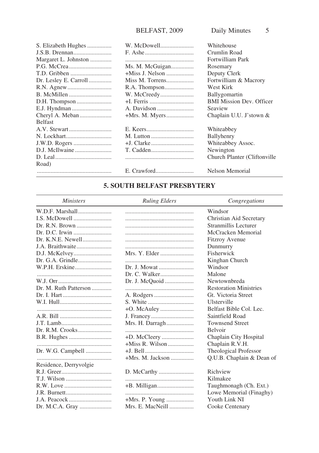| S. Elizabeth Hughes   | W. McDowell     | Whitehouse                      |
|-----------------------|-----------------|---------------------------------|
|                       |                 | Crumlin Road                    |
| Margaret L. Johnston  |                 | Fortwilliam Park                |
|                       | Ms. M. McGuigan | Rosemary                        |
|                       | +Miss J. Nelson | Deputy Clerk                    |
| Dr. Lesley E. Carroll | Miss M. Torrens | Fortwilliam & Macrory           |
|                       | R.A. Thompson   | West Kirk                       |
|                       | W. McCreedy     | Ballygomartin                   |
|                       |                 | <b>BMI Mission Dev. Officer</b> |
|                       |                 | Seaview                         |
| Cheryl A. Meban       |                 | Chaplain U.U. J'stown &         |
| <b>Belfast</b>        |                 |                                 |
|                       |                 | Whiteabbey                      |
|                       |                 | Ballyhenry                      |
|                       |                 | Whiteabbey Assoc.               |
|                       |                 | Newington                       |
|                       |                 | Church Planter (Cliftonville    |
| Road)                 |                 |                                 |
|                       |                 | Nelson Memorial                 |
|                       |                 |                                 |

### **5. SOUTH BELFAST PRESBYTERY**

| <b>Ministers</b>       | <b>Ruling Elders</b> | Congregations                 |
|------------------------|----------------------|-------------------------------|
| W.D.F. Marshall        |                      | Windsor                       |
| I.S. McDowell          |                      | Christian Aid Secretary       |
|                        |                      | Stranmillis Lecturer          |
|                        |                      | McCracken Memorial            |
| Dr. K.N.E. Newell      |                      | <b>Fitzroy Avenue</b>         |
| J.A. Braithwaite       |                      | Dunmurry                      |
|                        | Mrs. Y. Elder        | Fisherwick                    |
|                        |                      | Kinghan Church                |
| W.P.H. Erskine         |                      | Windsor                       |
|                        |                      | Malone                        |
|                        |                      | Newtownbreda                  |
| Dr. M. Ruth Patterson  |                      | <b>Restoration Ministries</b> |
|                        |                      | Gt. Victoria Street           |
|                        | S. White             | Ulsterville                   |
|                        |                      | Belfast Bible Col. Lec.       |
|                        |                      | Saintfield Road               |
|                        | Mrs. H. Darragh      | <b>Townsend Street</b>        |
|                        |                      | <b>Belvoir</b>                |
|                        | +D. McCleery         | Chaplain City Hospital        |
|                        |                      | Chaplain R.V.H.               |
| Dr. W.G. Campbell      |                      | Theological Professor         |
|                        | $+Mrs$ . M. Jackson  | Q.U.B. Chaplain & Dean of     |
| Residence, Derryvolgie |                      |                               |
|                        |                      | Richview                      |
|                        |                      | Kilmakee                      |
|                        |                      | Taughmonagh (Ch. Ext.)        |
|                        |                      | Lowe Memorial (Finaghy)       |
|                        | +Mrs. P. Young       | Youth Link NI                 |
| Dr. M.C.A. Gray        | Mrs. E. MacNeill     | Cooke Centenary               |
|                        |                      |                               |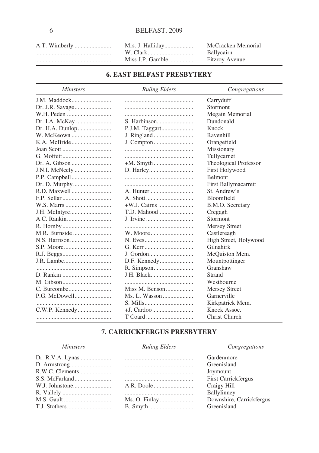|  | McCracken Memorial |
|--|--------------------|
|  | Ballycairn         |
|  | Fitzroy Avenue     |

#### **6. EAST BELFAST PRESBYTERY**

| <b>Ministers</b> | <b>Ruling Elders</b> | Congregations               |
|------------------|----------------------|-----------------------------|
|                  |                      | Carryduff                   |
|                  |                      | Stormont                    |
|                  |                      | Megain Memorial             |
|                  |                      | Dundonald                   |
| Dr. H.A. Dunlop  |                      | Knock                       |
| W. McKeown       |                      | Ravenhill                   |
|                  |                      | Orangefield                 |
|                  |                      | Missionary                  |
|                  |                      | Tullycarnet                 |
|                  |                      | Theological Professor       |
|                  |                      | <b>First Holywood</b>       |
|                  |                      | Belmont                     |
|                  |                      | <b>First Ballymacarrett</b> |
|                  |                      | St. Andrew's                |
|                  |                      | <b>Bloomfield</b>           |
|                  |                      | B.M.O. Secretary            |
|                  | T.D. Mahood          | Cregagh                     |
|                  | J. Irvine            | Stormont                    |
|                  |                      | <b>Mersey Street</b>        |
|                  |                      | Castlereagh                 |
|                  |                      | High Street, Holywood       |
|                  |                      | Gilnahirk                   |
|                  |                      | McQuiston Mem.              |
|                  |                      | Mountpottinger              |
|                  |                      | Granshaw                    |
|                  |                      | Strand                      |
|                  |                      | Westbourne                  |
|                  | Miss M. Benson       | Mersey Street               |
|                  | Ms. L. Wasson        | Garnerville                 |
|                  |                      | Kirkpatrick Mem.            |
|                  |                      | Knock Assoc.                |
|                  |                      | Christ Church               |

#### 7. CARRICKFERGUS PRESBYTERY

| <i>Ministers</i> | <b>Ruling Elders</b> | Congregations            |
|------------------|----------------------|--------------------------|
|                  |                      | Gardenmore               |
|                  |                      | Greenisland              |
|                  |                      | Joymount                 |
|                  |                      | First Carrickfergus      |
|                  |                      | Craigy Hill              |
|                  |                      | Ballylinney              |
|                  |                      | Downshire, Carrickfergus |
|                  |                      | Greenisland              |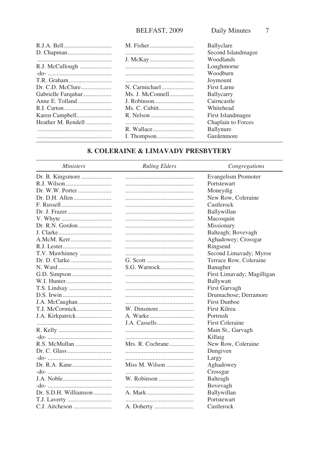|                    |               | Ballyclare         |
|--------------------|---------------|--------------------|
|                    |               | Second Islandmagee |
|                    |               | Woodlands          |
|                    |               | Loughmorne         |
|                    |               | Woodburn           |
|                    |               | Joymount           |
|                    | N. Carmichael | First Larne        |
| Gabrielle Farquhar |               | Ballycarry         |
|                    |               | Cairncastle        |
|                    |               | Whitehead          |
|                    |               | First Islandmagee  |
| Heather M. Rendell |               | Chaplain to Forces |
|                    |               | Ballynure          |
|                    |               | Gardenmore         |
|                    |               |                    |

#### 8. COLERAINE & LIMAVADY PRESBYTERY

#### **Ministers**

Ruling Elders

Congregations

|                       |                         | Evangelism Promoter        |
|-----------------------|-------------------------|----------------------------|
|                       |                         | Portstewart                |
|                       |                         | Moneydig                   |
|                       |                         | New Row, Coleraine         |
|                       |                         | Castlerock                 |
|                       |                         | Ballywillan                |
|                       |                         | Macosquin                  |
|                       |                         | Missionary                 |
|                       |                         | Balteagh; Bovevagh         |
|                       |                         | Aghadowey; Crossgar        |
|                       |                         | Ringsend                   |
|                       |                         | Second Limavady; Myroe     |
|                       |                         | Terrace Row, Coleraine     |
|                       | S.G. Warnock            | Banagher                   |
|                       |                         | First Limavady; Magilligan |
|                       |                         | Ballywatt                  |
|                       |                         | First Garvagh              |
|                       |                         | Drumachose; Derramore      |
|                       |                         | <b>First Dunboe</b>        |
| T.J. McCormick        |                         | First Kilrea               |
| J.A. Kirkpatrick      |                         | Portrush                   |
|                       |                         | <b>First Coleraine</b>     |
|                       |                         | Main St., Garvagh          |
|                       |                         | Killaig                    |
|                       |                         | New Row, Coleraine         |
|                       |                         | Dungiven                   |
|                       |                         | Largy                      |
|                       | Miss M. Wilson $\ldots$ | Aghadowey                  |
|                       |                         | Crossgar                   |
|                       |                         | Balteagh                   |
|                       |                         | Bovevagh                   |
| Dr. S.D.H. Williamson |                         | Ballywillan                |
|                       |                         | Portstewart                |
|                       |                         | Castlerock                 |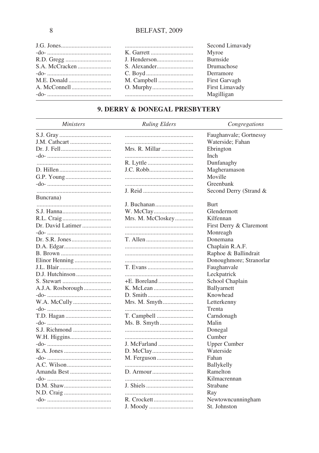|  | Second Limavady |
|--|-----------------|
|  | Myroe           |
|  | <b>Burnside</b> |
|  | Drumachose      |
|  | Derramore       |
|  | First Garvagh   |
|  | First Limavady  |
|  | Magilligan      |

### 9. DERRY & DONEGAL PRESBYTERY

| <i>Ministers</i>  | <b>Ruling Elders</b> | Congregations           |
|-------------------|----------------------|-------------------------|
|                   |                      | Faughanvale; Gortnessy  |
|                   |                      | Waterside; Fahan        |
|                   | Mrs. R. Millar       | Ebrington               |
|                   |                      | Inch                    |
|                   |                      | Dunfanaghy              |
|                   | J.C. Robb            | Magheramason            |
|                   |                      | Moville                 |
|                   |                      | Greenbank               |
|                   | J. Reid              | Second Derry (Strand &  |
| Buncrana)         |                      |                         |
|                   | J. Buchanan          | Burt                    |
|                   |                      | Glendermott             |
|                   | Mrs. M. McCloskey    | Kilfennan               |
| Dr. David Latimer |                      | First Derry & Claremont |
|                   |                      | Monreagh                |
|                   | T. Allen             | Donemana                |
|                   |                      | Chaplain R.A.F.         |
|                   |                      | Raphoe & Ballindrait    |
|                   |                      | Donoughmore; Stranorlar |
|                   |                      | Faughanvale             |
|                   |                      | Leckpatrick             |
|                   |                      | School Chaplain         |
| A.J.A. Rosborough |                      | Ballyarnett             |
|                   | D. Smith             | Knowhead                |
|                   | Mrs. M. Smyth        | Letterkenny             |
|                   |                      | Trenta                  |
|                   |                      | Carndonagh              |
|                   |                      | Malin                   |
|                   |                      | Donegal                 |
|                   |                      | Cumber                  |
|                   | J. McFarland         | <b>Upper Cumber</b>     |
|                   |                      | Waterside               |
|                   |                      | Fahan                   |
|                   |                      | <b>Ballykelly</b>       |
|                   |                      | Ramelton                |
|                   |                      | Kilmacrennan            |
|                   | J. Shiels            | Strabane                |
|                   |                      | Ray                     |
|                   |                      | Newtowncunningham       |
|                   |                      | St. Johnston            |
|                   |                      |                         |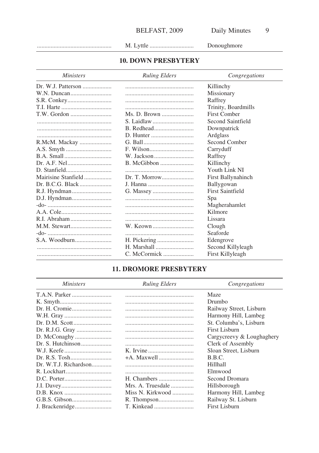Donoughmore

### **10. DOWN PRESBYTERY**

| <i>Ministers</i>    | <b>Ruling Elders</b> | Congregations           |
|---------------------|----------------------|-------------------------|
|                     |                      | Killinchy               |
|                     |                      | Missionary              |
|                     |                      | Raffrey                 |
|                     |                      | Trinity, Boardmills     |
|                     | Ms. D. Brown         | <b>First Comber</b>     |
|                     |                      | Second Saintfield       |
|                     |                      | Downpatrick             |
|                     |                      | Ardglass                |
|                     |                      | Second Comber           |
|                     |                      | Carryduff               |
|                     |                      | Raffrey                 |
|                     | B. McGibbon          | Killinchy               |
|                     |                      | Youth Link NI           |
| Mairisine Stanfield |                      | First Ballynahinch      |
|                     |                      | Ballygowan              |
|                     |                      | <b>First Saintfield</b> |
|                     |                      | Spa                     |
|                     |                      | Magherahamlet           |
|                     |                      | Kilmore                 |
|                     |                      | Lissara                 |
| M.M. Stewart        |                      | Clough                  |
|                     |                      | Seaforde                |
|                     |                      | Edengrove               |
|                     | H. Marshall          | Second Killyleagh       |
|                     | C. McCormick         | First Killyleagh        |

#### **11. DROMORE PRESBYTERY**

| <i>Ministers</i>      | <b>Ruling Elders</b> | Congregations             |
|-----------------------|----------------------|---------------------------|
|                       |                      | Maze                      |
|                       |                      | Drumbo                    |
| Dr. H. Cromie         |                      | Railway Street, Lisburn   |
| W.H. Gray             |                      | Harmony Hill, Lambeg      |
|                       |                      | St. Columba's, Lisburn    |
|                       |                      | First Lisburn             |
| D. McConaghy          |                      | Cargycreevy & Loughaghery |
|                       |                      | Clerk of Assembly         |
|                       |                      | Sloan Street, Lisburn     |
|                       |                      | B.B.C.                    |
| Dr. W.T.J. Richardson |                      | Hillhall                  |
|                       |                      | Elmwood                   |
|                       |                      | Second Dromara            |
|                       |                      | Hillsborough              |
|                       | Miss N. Kirkwood     | Harmony Hill, Lambeg      |
|                       |                      | Railway St. Lisburn       |
| J. Brackenridge       |                      | <b>First Lisburn</b>      |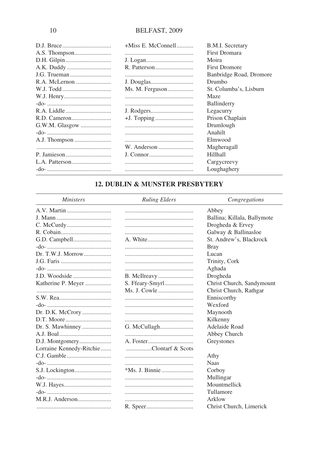|            | +Miss E. McConnell | B.M.I. Secretary        |
|------------|--------------------|-------------------------|
|            |                    | <b>First Dromara</b>    |
|            |                    | Moira                   |
| A.K. Duddy |                    | <b>First Dromore</b>    |
|            |                    | Banbridge Road, Dromore |
|            |                    | Drumbo                  |
|            | Ms. M. Ferguson    | St. Columba's, Lisburn  |
|            |                    | Maze                    |
|            |                    | Ballinderry             |
|            |                    | Legacurry               |
|            |                    | Prison Chaplain         |
|            |                    | Drumlough               |
|            |                    | Anahilt                 |
|            |                    | Elmwood                 |
|            |                    | Magheragall             |
|            |                    | Hillhall                |
|            |                    | Cargycreevy             |
|            |                    | Loughaghery             |
|            |                    |                         |

### 12. DUBLIN & MUNSTER PRESBYTERY

| <b>Ministers</b>         | <b>Ruling Elders</b> | Congregations               |
|--------------------------|----------------------|-----------------------------|
|                          |                      | Abbey                       |
|                          |                      | Ballina; Killala, Ballymote |
|                          |                      | Drogheda & Ervey            |
|                          |                      | Galway & Ballinasloe        |
|                          |                      | St. Andrew's, Blackrock     |
|                          |                      | <b>Bray</b>                 |
|                          |                      | Lucan                       |
|                          |                      | Trinity, Cork               |
|                          |                      | Aghada                      |
|                          |                      | Drogheda                    |
| Katherine P. Meyer       |                      | Christ Church, Sandymount   |
|                          | Ms. J. Cowle         | Christ Church, Rathgar      |
|                          |                      | Enniscorthy                 |
|                          |                      | Wexford                     |
|                          |                      | Maynooth                    |
|                          |                      | Kilkenny                    |
| Dr. S. Mawhinney         |                      | Adelaide Road               |
|                          |                      | Abbey Church                |
|                          |                      | Greystones                  |
| Lorraine Kennedy-Ritchie | Clontarf & Scots     |                             |
|                          |                      | Athy                        |
|                          |                      | <b>Naas</b>                 |
|                          |                      | Corboy                      |
|                          |                      | Mullingar                   |
|                          |                      | Mountmellick                |
|                          |                      | Tullamore                   |
|                          |                      | Arklow                      |
|                          |                      | Christ Church, Limerick     |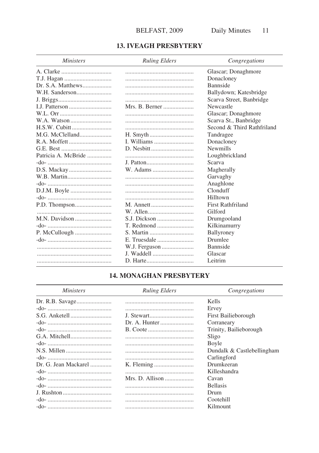#### **13. IVEAGH PRESBYTERY**

| <i>Ministers</i>    | <b>Ruling Elders</b> | Congregations              |
|---------------------|----------------------|----------------------------|
|                     |                      | Glascar; Donaghmore        |
|                     |                      | Donacloney                 |
| Dr. S.A. Matthews   |                      | Bannside                   |
|                     |                      | Ballydown; Katesbridge     |
|                     |                      | Scarva Street, Banbridge   |
|                     | Mrs. B. Berner       | Newcastle                  |
|                     |                      | Glascar; Donaghmore        |
|                     |                      | Scarva St., Banbridge      |
|                     |                      | Second & Third Rathfriland |
| M.G. McClelland     |                      | Tandragee                  |
|                     |                      | Donacloney                 |
|                     |                      | <b>Newmills</b>            |
| Patricia A. McBride |                      | Loughbrickland             |
|                     |                      | Scarva                     |
|                     | W. Adams             | Magherally                 |
|                     |                      | Garvaghy                   |
|                     |                      | Anaghlone                  |
|                     |                      | Clonduff                   |
|                     |                      | Hilltown                   |
|                     |                      | <b>First Rathfriland</b>   |
|                     |                      | Gilford                    |
|                     |                      | Drumgooland                |
|                     |                      | Kilkinamurry               |
| P. McCullough       |                      | Ballyroney                 |
|                     |                      | Drumlee                    |
|                     |                      | Bannside                   |
|                     |                      | Glascar                    |
|                     |                      | Leitrim                    |

#### **14. MONAGHAN PRESBYTERY**

| <b>Ministers</b>     | <b>Ruling Elders</b> | Congregations              |
|----------------------|----------------------|----------------------------|
|                      |                      | Kells                      |
|                      |                      | Ervey                      |
|                      |                      | First Bailieborough        |
|                      |                      | Corraneary                 |
|                      |                      | Trinity, Bailieborough     |
|                      |                      | Sligo                      |
|                      |                      | Boyle                      |
|                      |                      | Dundalk & Castlebellingham |
|                      |                      | Carlingford                |
| Dr. G. Jean Mackarel |                      | Drumkeeran                 |
|                      |                      | Killeshandra               |
|                      |                      | Cavan                      |
|                      |                      | <b>Bellasis</b>            |
|                      |                      | Drum                       |
|                      |                      | Cootehill                  |
|                      |                      | Kilmount                   |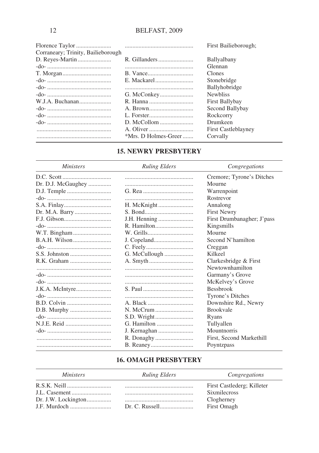|                                    |                      | First Bailieborough;       |
|------------------------------------|----------------------|----------------------------|
| Corraneary; Trinity, Bailieborough |                      |                            |
|                                    |                      | Ballyalbany                |
|                                    |                      | Glennan                    |
|                                    |                      | Clones                     |
|                                    |                      | Stonebridge                |
|                                    |                      | Ballyhobridge              |
|                                    |                      | <b>Newbliss</b>            |
|                                    |                      | First Ballybay             |
|                                    |                      | Second Ballybay            |
|                                    |                      | Rockcorry                  |
|                                    |                      | Drumkeen                   |
|                                    |                      | <b>First Castleblayney</b> |
|                                    | *Mrs. D Holmes-Greer | Corvally                   |
|                                    |                      |                            |

#### **15. NEWRY PRESBYTERY**

#### **Ministers**

**Ruling Elders** 

Congregations

|                    |               | Cremore; Tyrone's Ditches  |
|--------------------|---------------|----------------------------|
| Dr. D.J. McGaughey |               | Mourne                     |
|                    |               | Warrenpoint                |
|                    |               | Rostrevor                  |
|                    |               | Annalong                   |
| Dr. M.A. Barry     |               | <b>First Newry</b>         |
|                    | J.H. Henning  | First Drumbanagher; J'pass |
|                    |               | Kingsmills                 |
| W.T. Bingham       |               | Mourne                     |
|                    |               | Second N'hamilton          |
|                    |               | Creggan                    |
|                    | G. McCullough | Kilkeel                    |
|                    |               | Clarkesbridge & First      |
|                    |               | Newtownhamilton            |
|                    |               | Garmany's Grove            |
|                    |               | McKelvey's Grove           |
|                    |               | <b>Bessbrook</b>           |
|                    |               | Tyrone's Ditches           |
|                    |               | Downshire Rd., Newry       |
|                    |               | <b>Brookvale</b>           |
|                    |               | Ryans                      |
|                    | G. Hamilton   | Tullyallen                 |
|                    | J. Kernaghan  | Mountnorris                |
|                    |               | First, Second Markethill   |
|                    |               | Poyntzpass                 |

#### **16. OMAGH PRESBYTERY**

#### **Ministers**

#### **Ruling Elders**

Congregations First Castlederg; Killeter Sixmilecross Dr. J.W. Lockington................ Clogherney Dr. C. Russell....................... First Omagh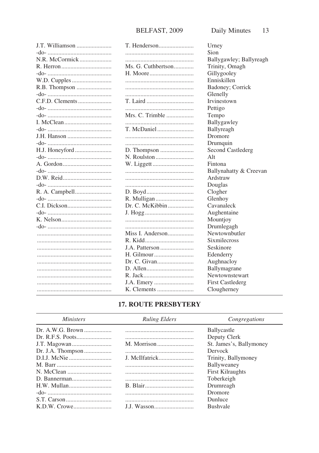| J.T. Williamson | T. H<br>. |
|-----------------|-----------|
| N.R. McCormick  | .         |
|                 | Ms.       |
|                 | H. N      |
| W.D. Cupples    | .         |
| R.B. Thompson   | .         |
|                 | .         |
| C.F.D. Clements | T.La      |
|                 | .         |
|                 | Mrs.      |
|                 | .         |
|                 | T. M      |
|                 | .         |
|                 | .         |
| H.J. Honeyford  | D.T       |
|                 | N.R       |
|                 | W.L       |
|                 | .         |
| D.W. Reid       | .         |
|                 | .         |
|                 | D. B      |
|                 | R. M      |
|                 | Dr. C     |
|                 | J. Ho     |
|                 | .         |
|                 | .         |
|                 | Miss      |
|                 | R.K       |
|                 | J.A.      |
|                 |           |
|                 | H. G      |
|                 | $Dr.$ $C$ |
|                 | D. A      |
|                 | R. Ja     |
|                 | J.A.      |
|                 | K. C      |
|                 |           |

| T. Henderson       | Urney<br>Sion           |
|--------------------|-------------------------|
|                    | Ballygawley; Ballyreagh |
| Ms. G. Cuthbertson | Trinity, Omagh          |
|                    | Gillygooley             |
|                    | Enniskillen             |
|                    | Badoney; Corrick        |
|                    | Glenelly                |
| T. Laird           | Irvinestown             |
|                    | Pettigo                 |
| Mrs. C. Trimble    | Tempo                   |
|                    | Ballygawley             |
| T. McDaniel        | Ballyreagh              |
|                    | Dromore                 |
|                    | Drumquin                |
|                    | Second Castlederg       |
| N. Roulston        | Alt                     |
|                    | Fintona                 |
|                    | Ballynahatty & Creevan  |
|                    | Ardstraw                |
|                    | Douglas                 |
|                    | Clogher                 |
| R. Mulligan        | Glenhoy                 |
| Dr. C. McKibbin    | Cavanaleck              |
|                    | Aughentaine             |
|                    | Mountjoy                |
|                    | Drumlegagh              |
| Miss I. Anderson   | Newtownbutler           |
|                    | Sixmilecross            |
|                    | Seskinore               |
| H. Gilmour         | Edenderry               |
|                    | Aughnacloy              |
|                    | Ballymagrane            |
|                    | Newtownstewart          |
|                    | <b>First Castlederg</b> |
|                    | Clougherney             |
|                    |                         |

#### **17. ROUTE PRESBYTERY**

| <i>Ministers</i> | <b>Ruling Elders</b> | Congregations           |
|------------------|----------------------|-------------------------|
|                  |                      | Ballycastle             |
|                  |                      | Deputy Clerk            |
|                  |                      | St. James's, Ballymoney |
|                  |                      | <b>Dervock</b>          |
|                  | J. McIlfatrick       | Trinity, Ballymoney     |
|                  |                      | Ballyweaney             |
|                  |                      | <b>First Kilraughts</b> |
|                  |                      | Toberkeigh              |
|                  |                      | Drumreagh               |
|                  |                      | Dromore                 |
|                  |                      | Dunluce                 |
|                  |                      | <b>Bushvale</b>         |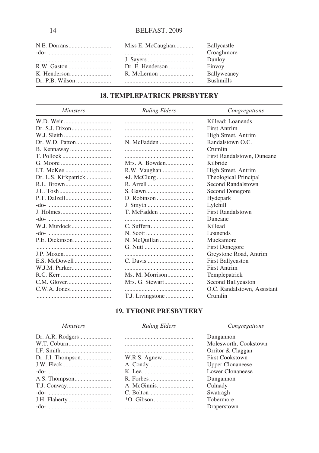| Miss E. McCaughan | Ballycastle      |
|-------------------|------------------|
|                   | Croaghmore       |
|                   | Dunloy           |
| Dr. E. Henderson  | Finvoy           |
|                   | Ballyweaney      |
|                   | <b>Bushmills</b> |

#### **18. TEMPLEPATRICK PRESBYTERY**

| <i>Ministers</i>     | <b>Ruling Elders</b>                          | Congregations               |
|----------------------|-----------------------------------------------|-----------------------------|
|                      |                                               | Killead: Loanends           |
|                      |                                               | <b>First Antrim</b>         |
|                      |                                               | High Street, Antrim         |
|                      | N. McFadden                                   | Randalstown O.C.            |
|                      |                                               | Crumlin                     |
|                      |                                               | First Randalstown, Duneane  |
|                      | Mrs. A. Bowden                                | Kilbride                    |
|                      | R.W. Vaughan                                  | High Street, Antrim         |
| Dr. L.S. Kirkpatrick |                                               | Theological Principal       |
|                      |                                               | Second Randalstown          |
|                      |                                               | Second Donegore             |
|                      |                                               | Hydepark                    |
|                      |                                               | Lylehill                    |
|                      |                                               | <b>First Randalstown</b>    |
|                      |                                               | Duneane                     |
|                      |                                               | Killead                     |
|                      |                                               | Loanends                    |
|                      | N. McQuillan                                  | Muckamore                   |
|                      | $G.$ Nutt $\ldots$ $\ldots$ $\ldots$ $\ldots$ | <b>First Donegore</b>       |
|                      |                                               | Greystone Road, Antrim      |
|                      | C. Davis                                      | <b>First Ballyeaston</b>    |
|                      |                                               | <b>First Antrim</b>         |
|                      | Ms. M. Morrison                               | Templepatrick               |
|                      | Mrs. G. Stewart                               | Second Ballyeaston          |
|                      |                                               | O.C. Randalstown, Assistant |
|                      |                                               | Crumlin                     |

#### **19. TYRONE PRESBYTERY**

#### **Ministers**

#### **Ruling Elders**

 $Congregations$ 

|               | Dungannon               |
|---------------|-------------------------|
|               | Molesworth, Cookstown   |
|               | Orritor & Claggan       |
|               | <b>First Cookstown</b>  |
| J.W. Fleck    | <b>Upper Clonaneese</b> |
|               | Lower Clonaneese        |
|               | Dungannon               |
|               | Culnady                 |
|               | Swatragh                |
| J.H. Flaherty | Tobermore               |
|               | Draperstown             |
|               |                         |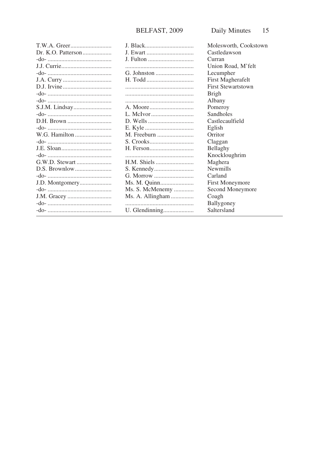|                    |                  | Molesworth, Cookstown     |
|--------------------|------------------|---------------------------|
| Dr. K.O. Patterson | J. Ewart         | Castledawson              |
|                    |                  | Curran                    |
|                    |                  | Union Road, M'felt        |
|                    |                  | Lecumpher                 |
|                    |                  | First Magherafelt         |
|                    |                  | <b>First Stewartstown</b> |
|                    |                  | <b>Brigh</b>              |
|                    |                  | Albany                    |
|                    |                  | Pomeroy                   |
|                    |                  | Sandholes                 |
|                    |                  | Castlecaulfield           |
|                    |                  | Eglish                    |
|                    | M. Freeburn      | Orritor                   |
|                    |                  | Claggan                   |
|                    |                  | Bellaghy                  |
|                    |                  | Knockloughrim             |
|                    |                  | Maghera                   |
| D.S. Brownlow      |                  | <b>Newmills</b>           |
|                    | G. Morrow        | Carland                   |
| J.D. Montgomery    | Ms. M. Quinn     | First Moneymore           |
|                    | Ms. S. McMenemy  | Second Moneymore          |
|                    | Ms. A. Allingham | Coagh                     |
|                    |                  | Ballygoney                |
|                    | U. Glendinning   | Saltersland               |
|                    |                  |                           |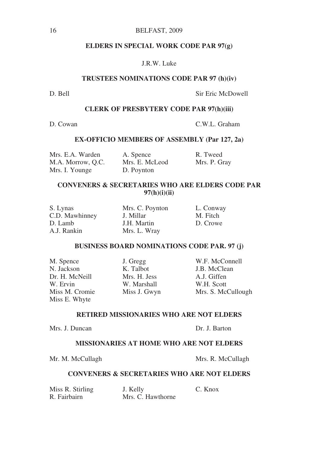#### **ELDERS IN SPECIAL WORK CODE PAR 97(g)**

#### J.R.W. Luke

#### **TRUSTEES NOMINATIONS CODE PAR 97 (h)(iv)**

D. Bell Sir Eric McDowell

#### **CLERK OF PRESBYTERY CODE PAR 97(h)(iii)**

D. Cowan C.W.L. Graham

#### **EX-OFFICIO MEMBERS OF ASSEMBLY (Par 127, 2a)**

| Mrs. E.A. Warden  | A. Spence      | R. Tweed     |
|-------------------|----------------|--------------|
| M.A. Morrow, Q.C. | Mrs. E. McLeod | Mrs. P. Gray |
| Mrs. I. Younge    | D. Poynton     |              |

#### **CONVENERS & SECRETARIES WHO ARE ELDERS CODE PAR 97(h)(i)(ii)**

| S. Lynas       | Mrs. C. Poynton |
|----------------|-----------------|
| C.D. Mawhinney | J. Millar       |
| D. Lamb        | J.H. Martin     |
| A.J. Rankin    | Mrs. L. Wray    |

L. Conway M. Fitch D. Crowe

#### **BUSINESS BOARD NOMINATIONS CODE PAR. 97 (j)**

M. Spence **J.** Gregg **W.F. McConnell** N. Jackson K. Talbot J.B. McClean Dr. H. McNeill Mrs. H. Jess A.J. Giffen Miss E. Whyte

W. Marshall

Miss M. Cromie Miss J. Gwyn Mrs. S. McCullough

#### **RETIRED MISSIONARIES WHO ARE NOT ELDERS**

Mrs. J. Duncan Dr. J. Barton

#### **MISSIONARIES AT HOME WHO ARE NOT ELDERS**

Mr. M. McCullagh Mrs. R. McCullagh

#### **CONVENERS & SECRETARIES WHO ARE NOT ELDERS**

| Miss R. Stirling | J. Kelly          | C. Knox |
|------------------|-------------------|---------|
| R. Fairbairn     | Mrs. C. Hawthorne |         |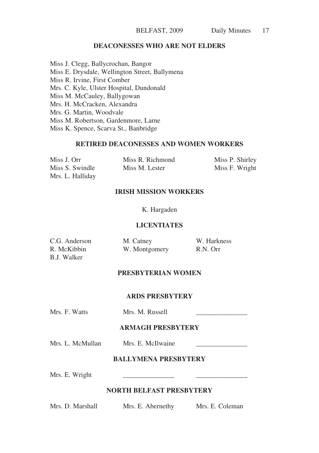#### **DEACONESSES WHO ARE NOT ELDERS**

Miss J. Clegg, Ballycrochan, Bangor Miss E. Drysdale, Wellington Street, Ballymena Miss R. Irvine, First Comber Mrs. C. Kyle, Ulster Hospital, Dundonald Miss M. McCauley, Ballygowan Mrs. H. McCracken, Alexandra Mrs. G. Martin, Woodvale Miss M. Robertson, Gardenmore, Larne Miss K. Spence, Scarva St., Banbridge

#### **RETIRED DEACONESSES AND WOMEN WORKERS**

| Miss J. Orr      | Miss R. Richmond | Miss P. Shirley |
|------------------|------------------|-----------------|
| Miss S. Swindle  | Miss M. Lester   | Miss F. Wright  |
| Mrs. L. Halliday |                  |                 |

#### **IRISH MISSION WORKERS**

K. Hargaden

#### **LICENTIATES**

| C.G. Anderson | M. Catney     | W. Harkness |
|---------------|---------------|-------------|
| R. McKibbin   | W. Montgomery | R.N. Orr    |
| B.J. Walker   |               |             |

#### **PRESBYTERIAN WOMEN**

#### **ARDS PRESBYTERY**

#### Mrs. F. Watts Mrs. M. Russell

#### **ARMAGH PRESBYTERY**

Mrs. L. McMullan Mrs. E. McIlwaine

#### **BALLYMENA PRESBYTERY**

Mrs. E. Wright

#### **NORTH BELFAST PRESBYTERY**

Mrs. D. Marshall Mrs. E. Abernethy Mrs. E. Coleman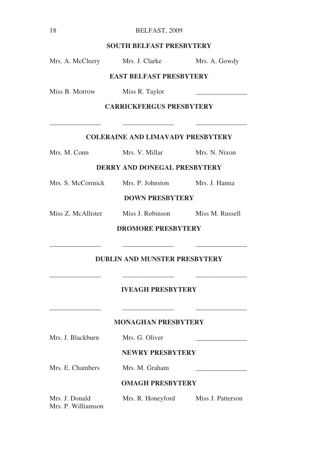#### **SOUTH BELFAST PRESBYTERY**

Mrs. A. McCleery Mrs. J. Clarke Mrs. A. Gowdy

#### **EAST BELFAST PRESBYTERY**

Miss B. Morrow Miss R. Taylor \_\_\_\_\_\_\_\_\_\_\_\_\_\_\_

#### **CARRICKFERGUS PRESBYTERY**

### \_\_\_\_\_\_\_\_\_\_\_\_\_\_\_ \_\_\_\_\_\_\_\_\_\_\_\_\_\_\_ \_\_\_\_\_\_\_\_\_\_\_\_\_\_\_ **COLERAINE AND LIMAVADY PRESBYTERY**

Mrs. M. Conn Mrs. V. Millar Mrs. N. Nixon

#### **DERRY AND DONEGAL PRESBYTERY**

Mrs. S. McCormick Mrs. P. Johnston Mrs. J. Hanna

#### **DOWN PRESBYTERY**

Miss Z. McAllister Miss J. Robinson Miss M. Russell

#### **DROMORE PRESBYTERY**

\_\_\_\_\_\_\_\_\_\_\_\_\_\_\_ \_\_\_\_\_\_\_\_\_\_\_\_\_\_\_ \_\_\_\_\_\_\_\_\_\_\_\_\_\_\_

#### **DUBLIN AND MUNSTER PRESBYTERY**

### $\overline{\phantom{a}}$  , and the contribution of  $\overline{\phantom{a}}$ **IVEAGH PRESBYTERY**

#### **MONAGHAN PRESBYTERY**

Mrs. J. Blackburn Mrs. G. Oliver

 $\mathcal{L}_\text{max} = \frac{1}{2} \sum_{i=1}^n \frac{1}{2} \sum_{i=1}^n \frac{1}{2} \sum_{i=1}^n \frac{1}{2} \sum_{i=1}^n \frac{1}{2} \sum_{i=1}^n \frac{1}{2} \sum_{i=1}^n \frac{1}{2} \sum_{i=1}^n \frac{1}{2} \sum_{i=1}^n \frac{1}{2} \sum_{i=1}^n \frac{1}{2} \sum_{i=1}^n \frac{1}{2} \sum_{i=1}^n \frac{1}{2} \sum_{i=1}^n \frac{1}{2} \sum_{i=1}^n$ 

#### **NEWRY PRESBYTERY**

Mrs. E. Chambers Mrs. M. Graham \_\_\_\_\_\_\_\_\_\_\_\_\_\_\_

#### **OMAGH PRESBYTERY**

| Mrs. J. Donald     | Mrs. R. Honeyford | Miss J. Patterson |
|--------------------|-------------------|-------------------|
| Mrs. P. Williamson |                   |                   |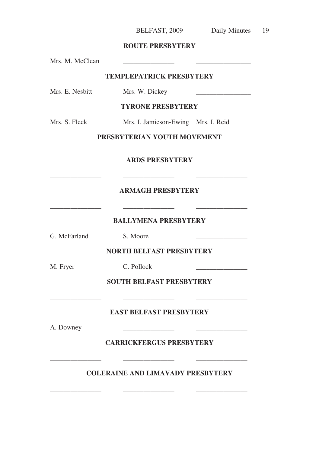#### **ROUTE PRESBYTERY**

| Mrs. M. McClean |                                          |
|-----------------|------------------------------------------|
|                 | <b>TEMPLEPATRICK PRESBYTERY</b>          |
| Mrs. E. Nesbitt | Mrs. W. Dickey                           |
|                 | <b>TYRONE PRESBYTERY</b>                 |
| Mrs. S. Fleck   | Mrs. I. Jamieson-Ewing Mrs. I. Reid      |
|                 | PRESBYTERIAN YOUTH MOVEMENT              |
|                 | <b>ARDS PRESBYTERY</b>                   |
|                 | <b>ARMAGH PRESBYTERY</b>                 |
|                 | <b>BALLYMENA PRESBYTERY</b>              |
| G. McFarland    | S. Moore                                 |
|                 | <b>NORTH BELFAST PRESBYTERY</b>          |
| M. Fryer        | C. Pollock                               |
|                 | <b>SOUTH BELFAST PRESBYTERY</b>          |
|                 | <b>EAST BELFAST PRESBYTERY</b>           |
| A. Downey       | <b>CARRICKFERGUS PRESBYTERY</b>          |
|                 | <b>COLERAINE AND LIMAVADY PRESBYTERY</b> |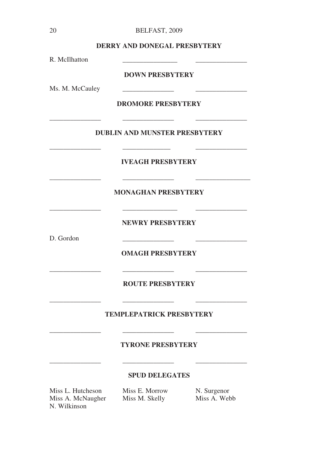| BELFAST, 2009 |  |
|---------------|--|
|               |  |

#### **DERRY AND DONEGAL PRESBYTERY**

R. McIlhatton \_\_\_\_\_\_\_\_\_\_\_\_\_\_\_\_ \_\_\_\_\_\_\_\_\_\_\_\_\_\_\_

**DOWN PRESBYTERY**

Ms. M. McCauley \_\_\_\_\_\_\_\_\_\_\_\_\_\_\_ \_\_\_\_\_\_\_\_\_\_\_\_\_\_\_

**DROMORE PRESBYTERY**

#### **DUBLIN AND MUNSTER PRESBYTERY**

 $\overline{\phantom{a}}$  ,  $\overline{\phantom{a}}$  ,  $\overline{\phantom{a}}$  ,  $\overline{\phantom{a}}$  ,  $\overline{\phantom{a}}$  ,  $\overline{\phantom{a}}$ 

\_\_\_\_\_\_\_\_\_\_\_\_\_\_\_ \_\_\_\_\_\_\_\_\_\_\_\_\_\_ \_\_\_\_\_\_\_\_\_\_\_\_\_\_\_

 $\overline{\phantom{a}}$  ,  $\overline{\phantom{a}}$  ,  $\overline{\phantom{a}}$  ,  $\overline{\phantom{a}}$  ,  $\overline{\phantom{a}}$  ,  $\overline{\phantom{a}}$ 

**IVEAGH PRESBYTERY**

#### **MONAGHAN PRESBYTERY**

\_\_\_\_\_\_\_\_\_\_\_\_\_\_\_ \_\_\_\_\_\_\_\_\_\_\_\_\_\_\_ \_\_\_\_\_\_\_\_\_\_\_\_\_\_\_\_

**NEWRY PRESBYTERY**

D. Gordon \_\_\_\_\_\_\_\_\_\_\_\_\_\_\_ \_\_\_\_\_\_\_\_\_\_\_\_\_\_\_

**OMAGH PRESBYTERY**

**ROUTE PRESBYTERY**

 $\overline{\phantom{a}}$ 

 $\frac{1}{2}$  ,  $\frac{1}{2}$  ,  $\frac{1}{2}$  ,  $\frac{1}{2}$  ,  $\frac{1}{2}$  ,  $\frac{1}{2}$  ,  $\frac{1}{2}$  ,  $\frac{1}{2}$  ,  $\frac{1}{2}$  ,  $\frac{1}{2}$  ,  $\frac{1}{2}$  ,  $\frac{1}{2}$  ,  $\frac{1}{2}$  ,  $\frac{1}{2}$  ,  $\frac{1}{2}$  ,  $\frac{1}{2}$  ,  $\frac{1}{2}$  ,  $\frac{1}{2}$  ,  $\frac{1$ 

#### **TEMPLEPATRICK PRESBYTERY**

#### **TYRONE PRESBYTERY**

 $\overline{\phantom{a}}$ 

\_\_\_\_\_\_\_\_\_\_\_\_\_\_\_ \_\_\_\_\_\_\_\_\_\_\_\_\_\_\_ \_\_\_\_\_\_\_\_\_\_\_\_\_\_\_

#### **SPUD DELEGATES**

Miss L. Hutcheson Miss E. Morrow N. Surgenor Miss A. McNaugher Miss M. Skelly Miss A. Webb N. Wilkinson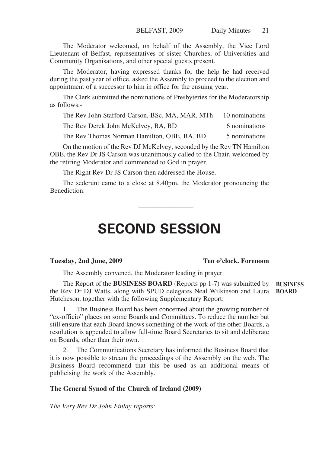The Moderator welcomed, on behalf of the Assembly, the Vice Lord Lieutenant of Belfast, representatives of sister Churches, of Universities and Community Organisations, and other special guests present.

The Moderator, having expressed thanks for the help he had received during the past year of office, asked the Assembly to proceed to the election and appointment of a successor to him in office for the ensuing year.

The Clerk submitted the nominations of Presbyteries for the Moderatorship as follows:-

The Rev John Stafford Carson, BSc, MA, MAR, MTh 10 nominations

The Rev Derek John McKelvey, BA, BD 6 nominations

The Rev Thomas Norman Hamilton, OBE, BA, BD 5 nominations

On the motion of the Rev DJ McKelvey, seconded by the Rev TN Hamilton OBE, the Rev Dr JS Carson was unanimously called to the Chair, welcomed by the retiring Moderator and commended to God in prayer.

The Right Rev Dr JS Carson then addressed the House.

The sederunt came to a close at 8.40pm, the Moderator pronouncing the **Benediction** 

## **SECOND SESSION**

————————

#### **Tuesday, 2nd June, 2009 Ten o'clock. Forenoon**

The Assembly convened, the Moderator leading in prayer.

The Report of the **BUSINESS BOARD** (Reports pp 1-7) was submitted by the Rev Dr DJ Watts, along with SPUD delegates Neal Wilkinson and Laura **BOARD**Hutcheson, together with the following Supplementary Report: **BUSINESS**

1. The Business Board has been concerned about the growing number of "ex-officio" places on some Boards and Committees. To reduce the number but still ensure that each Board knows something of the work of the other Boards, a resolution is appended to allow full-time Board Secretaries to sit and deliberate on Boards, other than their own.

2. The Communications Secretary has informed the Business Board that it is now possible to stream the proceedings of the Assembly on the web. The Business Board recommend that this be used as an additional means of publicising the work of the Assembly.

#### **The General Synod of the Church of Ireland (2009)**

*The Very Rev Dr John Finlay reports:*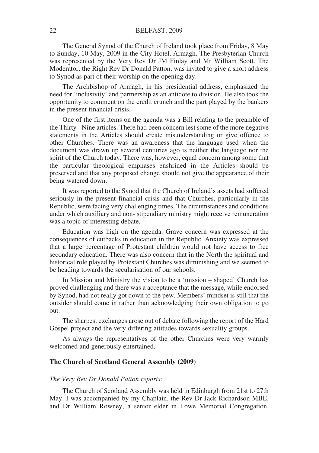The General Synod of the Church of Ireland took place from Friday, 8 May to Sunday, 10 May, 2009 in the City Hotel, Armagh. The Presbyterian Church was represented by the Very Rev Dr JM Finlay and Mr William Scott. The Moderator, the Right Rev Dr Donald Patton, was invited to give a short address to Synod as part of their worship on the opening day.

The Archbishop of Armagh, in his presidential address, emphasized the need for 'inclusivity' and partnership as an antidote to division. He also took the opportunity to comment on the credit crunch and the part played by the bankers in the present financial crisis.

One of the first items on the agenda was a Bill relating to the preamble of the Thirty - Nine articles. There had been concern lest some of the more negative statements in the Articles should create misunderstanding or give offence to other Churches. There was an awareness that the language used when the document was drawn up several centuries ago is neither the language nor the spirit of the Church today. There was, however, equal concern among some that the particular theological emphases enshrined in the Articles should be preserved and that any proposed change should not give the appearance of their being watered down.

It was reported to the Synod that the Church of Ireland's assets had suffered seriously in the present financial crisis and that Churches, particularly in the Republic, were facing very challenging times. The circumstances and conditions under which auxiliary and non- stipendiary ministry might receive remuneration was a topic of interesting debate.

Education was high on the agenda. Grave concern was expressed at the consequences of cutbacks in education in the Republic. Anxiety was expressed that a large percentage of Protestant children would not have access to free secondary education. There was also concern that in the North the spiritual and historical role played by Protestant Churches was diminishing and we seemed to be heading towards the secularisation of our schools.

In Mission and Ministry the vision to be a 'mission – shaped' Church has proved challenging and there was a acceptance that the message, while endorsed by Synod, had not really got down to the pew. Members' mindset is still that the outsider should come in rather than acknowledging their own obligation to go out.

The sharpest exchanges arose out of debate following the report of the Hard Gospel project and the very differing attitudes towards sexuality groups.

As always the representatives of the other Churches were very warmly welcomed and generously entertained.

#### **The Church of Scotland General Assembly (2009)**

#### *The Very Rev Dr Donald Patton reports:*

The Church of Scotland Assembly was held in Edinburgh from 21st to 27th May. I was accompanied by my Chaplain, the Rev Dr Jack Richardson MBE, and Dr William Rowney, a senior elder in Lowe Memorial Congregation,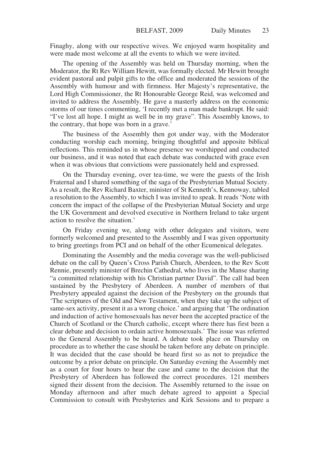Finaghy, along with our respective wives. We enjoyed warm hospitality and were made most welcome at all the events to which we were invited.

The opening of the Assembly was held on Thursday morning, when the Moderator, the Rt Rev William Hewitt, was formally elected. Mr Hewitt brought evident pastoral and pulpit gifts to the office and moderated the sessions of the Assembly with humour and with firmness. Her Majesty's representative, the Lord High Commissioner, the Rt Honourable George Reid, was welcomed and invited to address the Assembly. He gave a masterly address on the economic storms of our times commenting, 'I recently met a man made bankrupt. He said: "I've lost all hope. I might as well be in my grave". This Assembly knows, to the contrary, that hope was born in a grave.'

The business of the Assembly then got under way, with the Moderator conducting worship each morning, bringing thoughtful and apposite biblical reflections. This reminded us in whose presence we worshipped and conducted our business, and it was noted that each debate was conducted with grace even when it was obvious that convictions were passionately held and expressed.

On the Thursday evening, over tea-time, we were the guests of the Irish Fraternal and I shared something of the saga of the Presbyterian Mutual Society. As a result, the Rev Richard Baxter, minister of St Kenneth's, Kennoway, tabled a resolution to the Assembly, to which I was invited to speak. It reads 'Note with concern the impact of the collapse of the Presbyterian Mutual Society and urge the UK Government and devolved executive in Northern Ireland to take urgent action to resolve the situation.'

On Friday evening we, along with other delegates and visitors, were formerly welcomed and presented to the Assembly and I was given opportunity to bring greetings from PCI and on behalf of the other Ecumenical delegates.

Dominating the Assembly and the media coverage was the well-publicised debate on the call by Queen's Cross Parish Church, Aberdeen, to the Rev Scott Rennie, presently minister of Brechin Cathedral, who lives in the Manse sharing "a committed relationship with his Christian partner David". The call had been sustained by the Presbytery of Aberdeen. A number of members of that Presbytery appealed against the decision of the Presbytery on the grounds that 'The scriptures of the Old and New Testament, when they take up the subject of same-sex activity, present it as a wrong choice.' and arguing that 'The ordination and induction of active homosexuals has never been the accepted practice of the Church of Scotland or the Church catholic, except where there has first been a clear debate and decision to ordain active homosexuals.' The issue was referred to the General Assembly to be heard. A debate took place on Thursday on procedure as to whether the case should be taken before any debate on principle. It was decided that the case should be heard first so as not to prejudice the outcome by a prior debate on principle. On Saturday evening the Assembly met as a court for four hours to hear the case and came to the decision that the Presbytery of Aberdeen has followed the correct procedures. 121 members signed their dissent from the decision. The Assembly returned to the issue on Monday afternoon and after much debate agreed to appoint a Special Commission to consult with Presbyteries and Kirk Sessions and to prepare a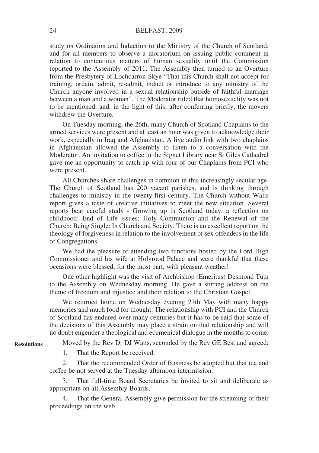study on Ordination and Induction to the Ministry of the Church of Scotland, and for all members to observe a moratorium on issuing public comment in relation to contentious matters of human sexuality until the Commission reported to the Assembly of 2011. The Assembly then turned to an Overture from the Presbytery of Lochcarron-Skye "That this Church shall not accept for training, ordain, admit, re-admit, induct or introduce to any ministry of the Church anyone involved in a sexual relationship outside of faithful marriage between a man and a woman". The Moderator ruled that homosexuality was not to be mentioned, and, in the light of this, after conferring briefly, the movers withdrew the Overture.

On Tuesday morning, the 26th, many Church of Scotland Chaplains to the armed services were present and at least an hour was given to acknowledge their work, especially in Iraq and Afghanistan. A live audio link with two chaplains in Afghanistan allowed the Assembly to listen to a conversation with the Moderator. An invitation to coffee in the Signet Library near St Giles Cathedral gave me an opportunity to catch up with four of our Chaplains from PCI who were present.

All Churches share challenges in common in this increasingly secular age. The Church of Scotland has 200 vacant parishes, and is thinking through challenges to ministry in the twenty-first century. The Church without Walls report gives a taste of creative initiatives to meet the new situation. Several reports bear careful study - Growing up in Scotland today, a reflection on childhood; End of Life issues; Holy Communion and the Renewal of the Church; Being Single: In Church and Society. There is an excellent report on the theology of forgiveness in relation to the involvement of sex offenders in the life of Congregations.

We had the pleasure of attending two functions hosted by the Lord High Commissioner and his wife at Holyrood Palace and were thankful that these occasions were blessed, for the most part, with pleasant weather!

One other highlight was the visit of Archbishop (Emeritus) Desmond Tutu to the Assembly on Wednesday morning. He gave a stirring address on the theme of freedom and injustice and their relation to the Christian Gospel.

We returned home on Wednesday evening 27th May with many happy memories and much food for thought. The relationship with PCI and the Church of Scotland has endured over many centuries but it has to be said that some of the decisions of this Assembly may place a strain on that relationship and will no doubt engender a theological and ecumenical dialogue in the months to come.

**Resolutions**

Moved by the Rev Dr DJ Watts, seconded by the Rev GE Best and agreed:

1. That the Report be received.

2. That the recommended Order of Business be adopted but that tea and coffee be not served at the Tuesday afternoon intermission.

3. That full-time Board Secretaries be invited to sit and deliberate as appropriate on all Assembly Boards.

That the General Assembly give permission for the streaming of their proceedings on the web.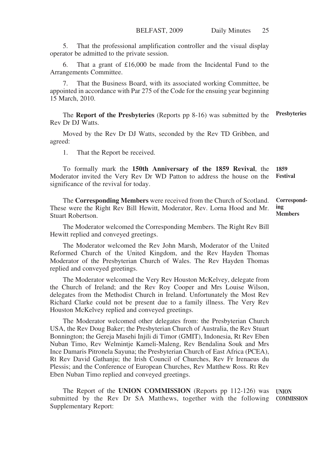5. That the professional amplification controller and the visual display operator be admitted to the private session.

6. That a grant of £16,000 be made from the Incidental Fund to the Arrangements Committee.

7. That the Business Board, with its associated working Committee, be appointed in accordance with Par 275 of the Code for the ensuing year beginning 15 March, 2010.

The **Report of the Presbyteries** (Reports pp 8-16) was submitted by the Rev Dr DJ Watts. **Presbyteries**

Moved by the Rev Dr DJ Watts, seconded by the Rev TD Gribben, and agreed:

1. That the Report be received.

To formally mark the **150th Anniversary of the 1859 Revival**, the Moderator invited the Very Rev Dr WD Patton to address the house on the significance of the revival for today. **1859 Festival**

The **Corresponding Members** were received from the Church of Scotland. These were the Right Rev Bill Hewitt, Moderator, Rev. Lorna Hood and Mr. Stuart Robertson. **Corresponding Members**

The Moderator welcomed the Corresponding Members. The Right Rev Bill Hewitt replied and conveyed greetings.

The Moderator welcomed the Rev John Marsh, Moderator of the United Reformed Church of the United Kingdom, and the Rev Hayden Thomas Moderator of the Presbyterian Church of Wales. The Rev Hayden Thomas replied and conveyed greetings.

The Moderator welcomed the Very Rev Houston McKelvey, delegate from the Church of Ireland; and the Rev Roy Cooper and Mrs Louise Wilson, delegates from the Methodist Church in Ireland. Unfortunately the Most Rev Richard Clarke could not be present due to a family illness. The Very Rev Houston McKelvey replied and conveyed greetings.

The Moderator welcomed other delegates from: the Presbyterian Church USA, the Rev Doug Baker; the Presbyterian Church of Australia, the Rev Stuart Bonnington; the Gereja Masehi Injili di Timor (GMIT), Indonesia, Rt Rev Eben Nuban Timo, Rev Welmintje Kameli-Maleng, Rev Bendalina Souk and Mrs Ince Damaris Pitronela Sayuna; the Presbyterian Church of East Africa (PCEA), Rt Rev David Gathanju; the Irish Council of Churches, Rev Fr Irenaeus du Plessis; and the Conference of European Churches, Rev Matthew Ross. Rt Rev Eben Nuban Timo replied and conveyed greetings.

The Report of the **UNION COMMISSION** (Reports pp 112-126) was **UNION** submitted by the Rev Dr SA Matthews, together with the following **COMMISSION**Supplementary Report: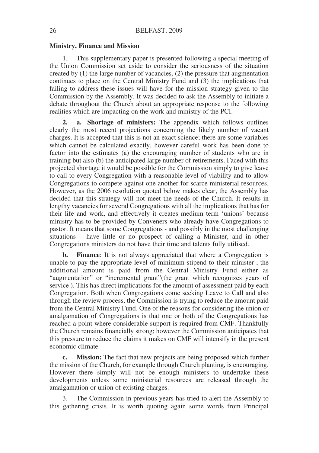#### **Ministry, Finance and Mission**

1. This supplementary paper is presented following a special meeting of the Union Commission set aside to consider the seriousness of the situation created by (1) the large number of vacancies, (2) the pressure that augmentation continues to place on the Central Ministry Fund and (3) the implications that failing to address these issues will have for the mission strategy given to the Commission by the Assembly. It was decided to ask the Assembly to initiate a debate throughout the Church about an appropriate response to the following realities which are impacting on the work and ministry of the PCI.

**2. a. Shortage of ministers:** The appendix which follows outlines clearly the most recent projections concerning the likely number of vacant charges. It is accepted that this is not an exact science; there are some variables which cannot be calculated exactly, however careful work has been done to factor into the estimates (a) the encouraging number of students who are in training but also (b) the anticipated large number of retirements. Faced with this projected shortage it would be possible for the Commission simply to give leave to call to every Congregation with a reasonable level of viability and to allow Congregations to compete against one another for scarce ministerial resources. However, as the 2006 resolution quoted below makes clear, the Assembly has decided that this strategy will not meet the needs of the Church. It results in lengthy vacancies for several Congregations with all the implications that has for their life and work, and effectively it creates medium term 'unions' because ministry has to be provided by Conveners who already have Congregations to pastor. It means that some Congregations - and possibly in the most challenging situations – have little or no prospect of calling a Minister, and in other Congregations ministers do not have their time and talents fully utilised.

**b. Finance**: It is not always appreciated that where a Congregation is unable to pay the appropriate level of minimum stipend to their minister , the additional amount is paid from the Central Ministry Fund either as "augmentation" or "incremental grant"(the grant which recognizes years of service ). This has direct implications for the amount of assessment paid by each Congregation. Both when Congregations come seeking Leave to Call and also through the review process, the Commission is trying to reduce the amount paid from the Central Ministry Fund. One of the reasons for considering the union or amalgamation of Congregations is that one or both of the Congregations has reached a point where considerable support is required from CMF. Thankfully the Church remains financially strong; however the Commission anticipates that this pressure to reduce the claims it makes on CMF will intensify in the present economic climate.

**c. Mission:** The fact that new projects are being proposed which further the mission of the Church, for example through Church planting, is encouraging. However there simply will not be enough ministers to undertake these developments unless some ministerial resources are released through the amalgamation or union of existing charges.

3. The Commission in previous years has tried to alert the Assembly to this gathering crisis. It is worth quoting again some words from Principal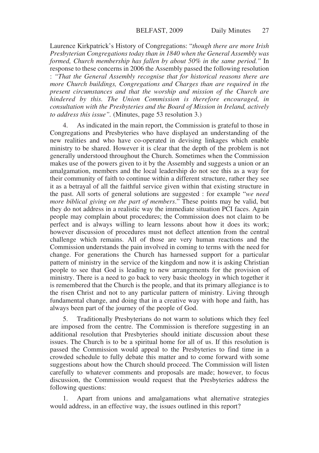Laurence Kirkpatrick's History of Congregations: "*though there are more Irish Presbyterian Congregations today than in 1840 when the General Assembly was formed, Church membership has fallen by about 50% in the same period."* In response to these concerns in 2006 the Assembly passed the following resolution : *"That the General Assembly recognise that for historical reasons there are more Church buildings, Congregations and Charges than are required in the present circumstances and that the worship and mission of the Church are hindered by this. The Union Commission is therefore encouraged, in consultation with the Presbyteries and the Board of Mission in Ireland, actively to address this issue".* (Minutes, page 53 resolution 3.)

4. As indicated in the main report, the Commission is grateful to those in Congregations and Presbyteries who have displayed an understanding of the new realities and who have co-operated in devising linkages which enable ministry to be shared. However it is clear that the depth of the problem is not generally understood throughout the Church. Sometimes when the Commission makes use of the powers given to it by the Assembly and suggests a union or an amalgamation, members and the local leadership do not see this as a way for their community of faith to continue within a different structure, rather they see it as a betrayal of all the faithful service given within that existing structure in the past. All sorts of general solutions are suggested : for example "*we need more biblical giving on the part of members*." These points may be valid, but they do not address in a realistic way the immediate situation PCI faces. Again people may complain about procedures; the Commission does not claim to be perfect and is always willing to learn lessons about how it does its work; however discussion of procedures must not deflect attention from the central challenge which remains. All of those are very human reactions and the Commission understands the pain involved in coming to terms with the need for change. For generations the Church has harnessed support for a particular pattern of ministry in the service of the kingdom and now it is asking Christian people to see that God is leading to new arrangements for the provision of ministry. There is a need to go back to very basic theology in which together it is remembered that the Church is the people, and that its primary allegiance is to the risen Christ and not to any particular pattern of ministry. Living through fundamental change, and doing that in a creative way with hope and faith, has always been part of the journey of the people of God.

5. Traditionally Presbyterians do not warm to solutions which they feel are imposed from the centre. The Commission is therefore suggesting in an additional resolution that Presbyteries should initiate discussion about these issues. The Church is to be a spiritual home for all of us. If this resolution is passed the Commission would appeal to the Presbyteries to find time in a crowded schedule to fully debate this matter and to come forward with some suggestions about how the Church should proceed. The Commission will listen carefully to whatever comments and proposals are made; however, to focus discussion, the Commission would request that the Presbyteries address the following questions:

1. Apart from unions and amalgamations what alternative strategies would address, in an effective way, the issues outlined in this report?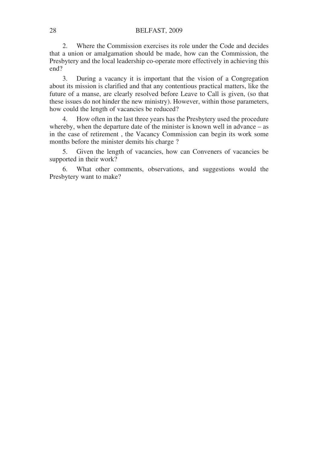2. Where the Commission exercises its role under the Code and decides that a union or amalgamation should be made, how can the Commission, the Presbytery and the local leadership co-operate more effectively in achieving this end?

3. During a vacancy it is important that the vision of a Congregation about its mission is clarified and that any contentious practical matters, like the future of a manse, are clearly resolved before Leave to Call is given, (so that these issues do not hinder the new ministry). However, within those parameters, how could the length of vacancies be reduced?

4. How often in the last three years has the Presbytery used the procedure whereby, when the departure date of the minister is known well in advance – as in the case of retirement , the Vacancy Commission can begin its work some months before the minister demits his charge ?

5. Given the length of vacancies, how can Conveners of vacancies be supported in their work?

6. What other comments, observations, and suggestions would the Presbytery want to make?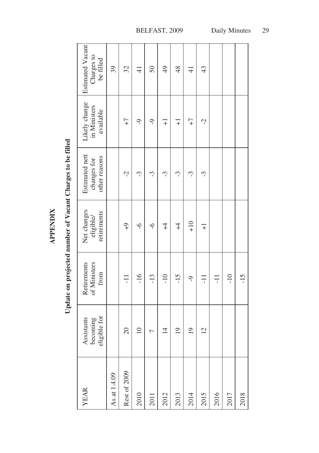**APPENDIX APPENDIX**

Update on projected number of Vacant Charges to be filled **Update on projected number of Vacant Charges to be filled**

| <b>YEAR</b>  | Assistants               | Retirements          | Net changes              | Estimated nett               | Likely change             | Estimated Vacant        |
|--------------|--------------------------|----------------------|--------------------------|------------------------------|---------------------------|-------------------------|
|              | eligible for<br>becoming | of Ministers<br>from | retirements<br>eligible/ | other reasons<br>changes for | in Ministers<br>available | Charges to<br>be filled |
| As at 1.4.09 |                          |                      |                          |                              |                           | 39                      |
| Rest of 2009 | $\overline{20}$          | 급                    | $\frac{1}{2}$            | Ļ                            | $+7$                      | 32                      |
| 2010         | $\overline{10}$          | $-16$                | ې                        | Ş                            | م                         | $\frac{1}{4}$           |
| 2011         | 7                        | $-13$                | ې                        | Ş                            | $\tilde{\mathcal{C}}$     | 50                      |
| 2012         | $\overline{4}$           | $-10$                | 7                        | م.<br>ا                      | $\overline{+}$            | $\frac{4}{9}$           |
| 2013         | $\overline{19}$          | $-15$                | $\ddagger$               | ٺ                            | $\overline{+}$            | 48                      |
| 2014         | $\overline{19}$          | م<br>أ               | $\frac{10}{1}$           | م.                           | $\overline{1}$            | $\frac{4}{1}$           |
| 2015         | $\overline{2}$           | $\Xi$                | $\overline{+}$           | ņ                            | Ļ                         | 43                      |
| 2016         |                          | $\Xi$                |                          |                              |                           |                         |
| 2017         |                          | $-10$                |                          |                              |                           |                         |
| 2018         |                          | $-15$                |                          |                              |                           |                         |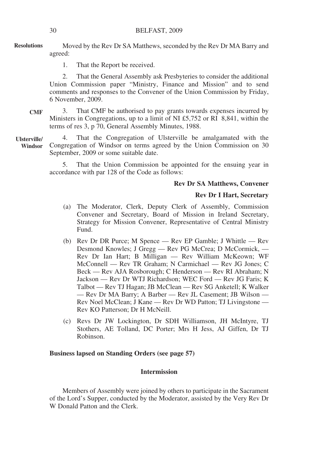Moved by the Rev Dr SA Matthews, seconded by the Rev Dr MA Barry and agreed: **Resolutions**

1. That the Report be received.

2. That the General Assembly ask Presbyteries to consider the additional Union Commission paper "Ministry, Finance and Mission" and to send comments and responses to the Convener of the Union Commission by Friday, 6 November, 2009.

3. That CMF be authorised to pay grants towards expenses incurred by Ministers in Congregations, up to a limit of NI £5,752 or RI 8,841, within the terms of res 3, p 70, General Assembly Minutes, 1988. **CMF**

4. That the Congregation of Ulsterville be amalgamated with the Congregation of Windsor on terms agreed by the Union Commission on 30 September, 2009 or some suitable date. **Ulsterville/ Windsor**

> 5. That the Union Commission be appointed for the ensuing year in accordance with par 128 of the Code as follows:

#### **Rev Dr SA Matthews, Convener**

#### **Rev Dr I Hart, Secretary**

- (a) The Moderator, Clerk, Deputy Clerk of Assembly, Commission Convener and Secretary, Board of Mission in Ireland Secretary, Strategy for Mission Convener, Representative of Central Ministry Fund.
- (b) Rev Dr DR Purce; M Spence Rev EP Gamble; J Whittle Rev Desmond Knowles; J Gregg — Rev PG McCrea; D McCormick, — Rev Dr Ian Hart; B Milligan — Rev William McKeown; WF McConnell — Rev TR Graham; N Carmichael — Rev JG Jones; C Beck — Rev AJA Rosborough; C Henderson — Rev RI Abraham; N Jackson — Rev Dr WTJ Richardson; WEC Ford — Rev JG Faris; K Talbot — Rev TJ Hagan; JB McClean — Rev SG Anketell; K Walker — Rev Dr MA Barry; A Barber — Rev JL Casement; JB Wilson — Rev Noel McClean; J Kane — Rev Dr WD Patton; TJ Livingstone — Rev KO Patterson; Dr H McNeill.
- (c) Revs Dr JW Lockington, Dr SDH Williamson, JH McIntyre, TJ Stothers, AE Tolland, DC Porter; Mrs H Jess, AJ Giffen, Dr TJ Robinson.

#### **Business lapsed on Standing Orders (see page 57)**

#### **Intermission**

Members of Assembly were joined by others to participate in the Sacrament of the Lord's Supper, conducted by the Moderator, assisted by the Very Rev Dr W Donald Patton and the Clerk.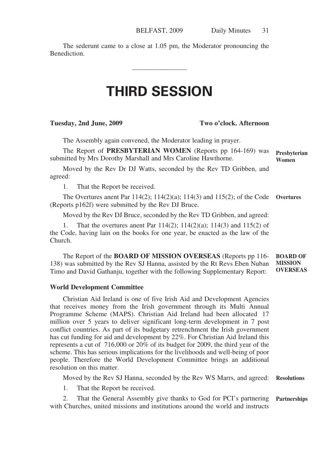The sederunt came to a close at 1.05 pm, the Moderator pronouncing the Benediction.

————————

## **THIRD SESSION**

#### **Tuesday, 2nd June, 2009 Two o'clock. Afternoon**

The Assembly again convened, the Moderator leading in prayer.

The Report of **PRESBYTERIAN WOMEN** (Reports pp 164-169) was submitted by Mrs Dorothy Marshall and Mrs Caroline Hawthorne. **Presbyterian Women**

Moved by the Rev Dr DJ Watts, seconded by the Rev TD Gribben, and agreed:

1. That the Report be received.

The Overtures anent Par 114(2); 114(2)(a); 114(3) and 115(2); of the Code **Overtures** (Reports p162f) were submitted by the Rev DJ Bruce.

Moved by the Rev DJ Bruce, seconded by the Rev TD Gribben, and agreed:

1. That the overtures anent Par 114(2); 114(2)(a); 114(3) and 115(2) of the Code, having lain on the books for one year, be enacted as the law of the Church.

The Report of the **BOARD OF MISSION OVERSEAS** (Reports pp 116- 138) was submitted by the Rev SJ Hanna, assisted by the Rt Revs Eben Nuban Timo and David Gathanju, together with the following Supplementary Report: **BOARD OF MISSION OVERSEAS**

#### **World Development Committee**

Christian Aid Ireland is one of five Irish Aid and Development Agencies that receives money from the Irish government through its Multi Annual Programme Scheme (MAPS). Christian Aid Ireland had been allocated 17 million over 5 years to deliver significant long-term development in 7 post conflict countries. As part of its budgetary retrenchment the Irish government has cut funding for aid and development by 22%. For Christian Aid Ireland this represents a cut of 716,000 or 20% of its budget for 2009, the third year of the scheme. This has serious implications for the livelihoods and well-being of poor people. Therefore the World Development Committee brings an additional resolution on this matter.

Moved by the Rev SJ Hanna, seconded by the Rev WS Marrs, and agreed: **Resolutions**

1. That the Report be received.

2. That the General Assembly give thanks to God for PCI's partnering with Churches, united missions and institutions around the world and instructs **Partnerships**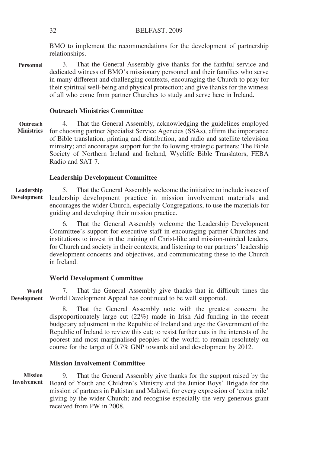BMO to implement the recommendations for the development of partnership relationships.

3. That the General Assembly give thanks for the faithful service and dedicated witness of BMO's missionary personnel and their families who serve in many different and challenging contexts, encouraging the Church to pray for their spiritual well-being and physical protection; and give thanks for the witness of all who come from partner Churches to study and serve here in Ireland. **Personnel**

#### **Outreach Ministries Committee**

4. That the General Assembly, acknowledging the guidelines employed for choosing partner Specialist Service Agencies (SSAs), affirm the importance of Bible translation, printing and distribution, and radio and satellite television ministry; and encourages support for the following strategic partners: The Bible Society of Northern Ireland and Ireland, Wycliffe Bible Translators, FEBA Radio and SAT 7. **Outreach Ministries**

#### **Leadership Development Committee**

5. That the General Assembly welcome the initiative to include issues of leadership development practice in mission involvement materials and encourages the wider Church, especially Congregations, to use the materials for guiding and developing their mission practice. **Leadership Development**

> 6. That the General Assembly welcome the Leadership Development Committee's support for executive staff in encouraging partner Churches and institutions to invest in the training of Christ-like and mission-minded leaders, for Church and society in their contexts; and listening to our partners' leadership development concerns and objectives, and communicating these to the Church in Ireland.

#### **World Development Committee**

7. That the General Assembly give thanks that in difficult times the World Development Appeal has continued to be well supported. **World Development**

> 8. That the General Assembly note with the greatest concern the disproportionately large cut (22%) made in Irish Aid funding in the recent budgetary adjustment in the Republic of Ireland and urge the Government of the Republic of Ireland to review this cut; to resist further cuts in the interests of the poorest and most marginalised peoples of the world; to remain resolutely on course for the target of 0.7% GNP towards aid and development by 2012.

#### **Mission Involvement Committee**

9. That the General Assembly give thanks for the support raised by the Board of Youth and Children's Ministry and the Junior Boys' Brigade for the mission of partners in Pakistan and Malawi; for every expression of 'extra mile' giving by the wider Church; and recognise especially the very generous grant received from PW in 2008. **Mission Involvement**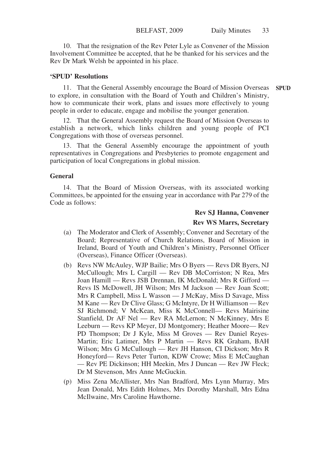10. That the resignation of the Rev Peter Lyle as Convener of the Mission Involvement Committee be accepted, that he be thanked for his services and the Rev Dr Mark Welsh be appointed in his place.

#### **'SPUD' Resolutions**

11. That the General Assembly encourage the Board of Mission Overseas **SPUD**to explore, in consultation with the Board of Youth and Children's Ministry, how to communicate their work, plans and issues more effectively to young people in order to educate, engage and mobilise the younger generation.

12. That the General Assembly request the Board of Mission Overseas to establish a network, which links children and young people of PCI Congregations with those of overseas personnel.

13. That the General Assembly encourage the appointment of youth representatives in Congregations and Presbyteries to promote engagement and participation of local Congregations in global mission.

#### **General**

14. That the Board of Mission Overseas, with its associated working Committees, be appointed for the ensuing year in accordance with Par 279 of the Code as follows:

# **Rev SJ Hanna, Convener Rev WS Marrs, Secretary**

- (a) The Moderator and Clerk of Assembly; Convener and Secretary of the Board; Representative of Church Relations, Board of Mission in Ireland, Board of Youth and Children's Ministry, Personnel Officer (Overseas), Finance Officer (Overseas).
- (b) Revs NW McAuley, WJP Bailie; Mrs O Byers Revs DR Byers, NJ McCullough; Mrs L Cargill — Rev DB McCorriston; N Rea, Mrs Joan Hamill — Revs JSB Drennan, IK McDonald; Mrs R Gifford — Revs IS McDowell, JH Wilson; Mrs M Jackson — Rev Joan Scott; Mrs R Campbell, Miss L Wasson — J McKay, Miss D Savage, Miss M Kane — Rev Dr Clive Glass; G McIntyre, Dr H Williamson — Rev SJ Richmond; V McKean, Miss K McConnell— Revs Mairisine Stanfield, Dr AF Nel — Rev RA McLernon; N McKinney, Mrs E Leeburn — Revs KP Meyer, DJ Montgomery; Heather Moore— Rev PD Thompson; Dr J Kyle, Miss M Groves — Rev Daniel Reyes-Martin; Eric Latimer, Mrs P Martin — Revs RK Graham, BAH Wilson; Mrs G McCullough — Rev JH Hanson, CI Dickson; Mrs R Honeyford— Revs Peter Turton, KDW Crowe; Miss E McCaughan — Rev PE Dickinson; HH Meekin, Mrs J Duncan — Rev JW Fleck; Dr M Stevenson, Mrs Anne McGuckin.
- (p) Miss Zena McAllister, Mrs Nan Bradford, Mrs Lynn Murray, Mrs Jean Donald, Mrs Edith Holmes, Mrs Dorothy Marshall, Mrs Edna McIlwaine, Mrs Caroline Hawthorne.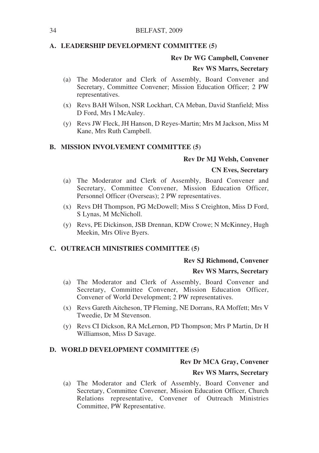#### BELFAST, 2009

# **A. LEADERSHIP DEVELOPMENT COMMITTEE (5)**

# **Rev Dr WG Campbell, Convener**

# **Rev WS Marrs, Secretary**

- (a) The Moderator and Clerk of Assembly, Board Convener and Secretary, Committee Convener; Mission Education Officer; 2 PW representatives.
- (x) Revs BAH Wilson, NSR Lockhart, CA Meban, David Stanfield; Miss D Ford, Mrs I McAuley.
- (y) Revs JW Fleck, JH Hanson, D Reyes-Martin; Mrs M Jackson, Miss M Kane, Mrs Ruth Campbell.

# **B. MISSION INVOLVEMENT COMMITTEE (5)**

# **Rev Dr MJ Welsh, Convener**

# **CN Eves, Secretary**

- (a) The Moderator and Clerk of Assembly, Board Convener and Secretary, Committee Convener, Mission Education Officer, Personnel Officer (Overseas); 2 PW representatives.
- (x) Revs DH Thompson, PG McDowell; Miss S Creighton, Miss D Ford, S Lynas, M McNicholl.
- (y) Revs, PE Dickinson, JSB Drennan, KDW Crowe; N McKinney, Hugh Meekin, Mrs Olive Byers.

### **C. OUTREACH MINISTRIES COMMITTEE (5)**

# **Rev SJ Richmond, Convener**

#### **Rev WS Marrs, Secretary**

- (a) The Moderator and Clerk of Assembly, Board Convener and Secretary, Committee Convener, Mission Education Officer, Convener of World Development; 2 PW representatives.
- (x) Revs Gareth Aitcheson, TP Fleming, NE Dorrans, RA Moffett; Mrs V Tweedie, Dr M Stevenson.
- (y) Revs CI Dickson, RA McLernon, PD Thompson; Mrs P Martin, Dr H Williamson, Miss D Savage.

# **D. WORLD DEVELOPMENT COMMITTEE (5)**

# **Rev Dr MCA Gray, Convener**

### **Rev WS Marrs, Secretary**

(a) The Moderator and Clerk of Assembly, Board Convener and Secretary, Committee Convener, Mission Education Officer, Church Relations representative, Convener of Outreach Ministries Committee, PW Representative.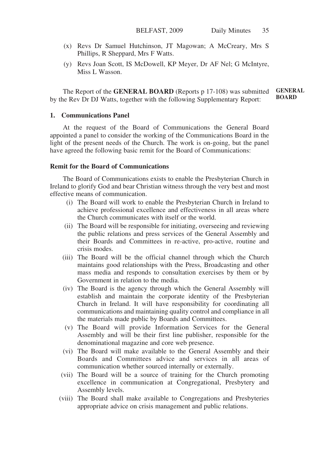- (x) Revs Dr Samuel Hutchinson, JT Magowan; A McCreary, Mrs S Phillips, R Sheppard, Mrs F Watts.
- (y) Revs Joan Scott, IS McDowell, KP Meyer, Dr AF Nel; G McIntyre, Miss L Wasson.

The Report of the **GENERAL BOARD** (Reports p 17-108) was submitted by the Rev Dr DJ Watts, together with the following Supplementary Report: **GENERAL BOARD**

# **1. Communications Panel**

At the request of the Board of Communications the General Board appointed a panel to consider the working of the Communications Board in the light of the present needs of the Church. The work is on-going, but the panel have agreed the following basic remit for the Board of Communications:

# **Remit for the Board of Communications**

The Board of Communications exists to enable the Presbyterian Church in Ireland to glorify God and bear Christian witness through the very best and most effective means of communication.

- (i) The Board will work to enable the Presbyterian Church in Ireland to achieve professional excellence and effectiveness in all areas where the Church communicates with itself or the world.
- (ii) The Board will be responsible for initiating, overseeing and reviewing the public relations and press services of the General Assembly and their Boards and Committees in re-active, pro-active, routine and crisis modes.
- (iii) The Board will be the official channel through which the Church maintains good relationships with the Press, Broadcasting and other mass media and responds to consultation exercises by them or by Government in relation to the media.
- (iv) The Board is the agency through which the General Assembly will establish and maintain the corporate identity of the Presbyterian Church in Ireland. It will have responsibility for coordinating all communications and maintaining quality control and compliance in all the materials made public by Boards and Committees.
- (v) The Board will provide Information Services for the General Assembly and will be their first line publisher, responsible for the denominational magazine and core web presence.
- (vi) The Board will make available to the General Assembly and their Boards and Committees advice and services in all areas of communication whether sourced internally or externally.
- (vii) The Board will be a source of training for the Church promoting excellence in communication at Congregational, Presbytery and Assembly levels.
- (viii) The Board shall make available to Congregations and Presbyteries appropriate advice on crisis management and public relations.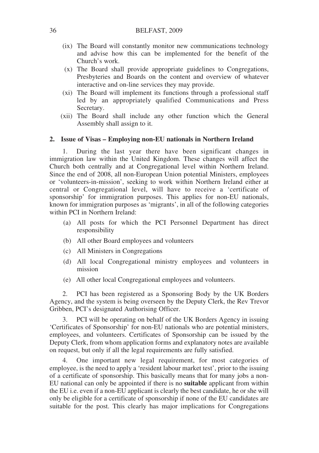- (ix) The Board will constantly monitor new communications technology and advise how this can be implemented for the benefit of the Church's work.
- (x) The Board shall provide appropriate guidelines to Congregations, Presbyteries and Boards on the content and overview of whatever interactive and on-line services they may provide.
- (xi) The Board will implement its functions through a professional staff led by an appropriately qualified Communications and Press Secretary.
- (xii) The Board shall include any other function which the General Assembly shall assign to it.

# **2. Issue of Visas – Employing non-EU nationals in Northern Ireland**

1. During the last year there have been significant changes in immigration law within the United Kingdom. These changes will affect the Church both centrally and at Congregational level within Northern Ireland. Since the end of 2008, all non-European Union potential Ministers, employees or 'volunteers-in-mission', seeking to work within Northern Ireland either at central or Congregational level, will have to receive a 'certificate of sponsorship' for immigration purposes. This applies for non-EU nationals, known for immigration purposes as 'migrants', in all of the following categories within PCI in Northern Ireland:

- (a) All posts for which the PCI Personnel Department has direct responsibility
- (b) All other Board employees and volunteers
- (c) All Ministers in Congregations
- (d) All local Congregational ministry employees and volunteers in mission
- (e) All other local Congregational employees and volunteers.

2. PCI has been registered as a Sponsoring Body by the UK Borders Agency, and the system is being overseen by the Deputy Clerk, the Rev Trevor Gribben, PCI's designated Authorising Officer.

3. PCI will be operating on behalf of the UK Borders Agency in issuing 'Certificates of Sponsorship' for non-EU nationals who are potential ministers, employees, and volunteers. Certificates of Sponsorship can be issued by the Deputy Clerk, from whom application forms and explanatory notes are available on request, but only if all the legal requirements are fully satisfied.

One important new legal requirement, for most categories of employee, is the need to apply a 'resident labour market test', prior to the issuing of a certificate of sponsorship. This basically means that for many jobs a non-EU national can only be appointed if there is no **suitable** applicant from within the EU i.e. even if a non-EU applicant is clearly the best candidate, he or she will only be eligible for a certificate of sponsorship if none of the EU candidates are suitable for the post. This clearly has major implications for Congregations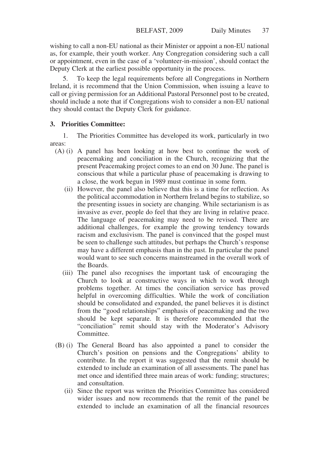wishing to call a non-EU national as their Minister or appoint a non-EU national as, for example, their youth worker. Any Congregation considering such a call or appointment, even in the case of a 'volunteer-in-mission', should contact the Deputy Clerk at the earliest possible opportunity in the process.

5. To keep the legal requirements before all Congregations in Northern Ireland, it is recommend that the Union Commission, when issuing a leave to call or giving permission for an Additional Pastoral Personnel post to be created, should include a note that if Congregations wish to consider a non-EU national they should contact the Deputy Clerk for guidance.

# **3. Priorities Committee:**

1. The Priorities Committee has developed its work, particularly in two areas:

- (A) (i) A panel has been looking at how best to continue the work of peacemaking and conciliation in the Church, recognizing that the present Peacemaking project comes to an end on 30 June. The panel is conscious that while a particular phase of peacemaking is drawing to a close, the work begun in 1989 must continue in some form.
	- (ii) However, the panel also believe that this is a time for reflection. As the political accommodation in Northern Ireland begins to stabilize, so the presenting issues in society are changing. While sectarianism is as invasive as ever, people do feel that they are living in relative peace. The language of peacemaking may need to be revised. There are additional challenges, for example the growing tendency towards racism and exclusivism. The panel is convinced that the gospel must be seen to challenge such attitudes, but perhaps the Church's response may have a different emphasis than in the past. In particular the panel would want to see such concerns mainstreamed in the overall work of the Boards.
	- (iii) The panel also recognises the important task of encouraging the Church to look at constructive ways in which to work through problems together. At times the conciliation service has proved helpful in overcoming difficulties. While the work of conciliation should be consolidated and expanded, the panel believes it is distinct from the "good relationships" emphasis of peacemaking and the two should be kept separate. It is therefore recommended that the "conciliation" remit should stay with the Moderator's Advisory Committee.
- (B) (i) The General Board has also appointed a panel to consider the Church's position on pensions and the Congregations' ability to contribute. In the report it was suggested that the remit should be extended to include an examination of all assessments. The panel has met once and identified three main areas of work: funding; structures; and consultation.
	- (ii) Since the report was written the Priorities Committee has considered wider issues and now recommends that the remit of the panel be extended to include an examination of all the financial resources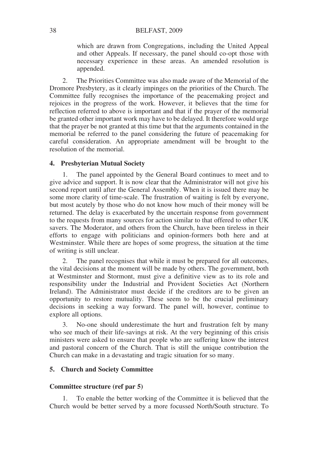which are drawn from Congregations, including the United Appeal and other Appeals. If necessary, the panel should co-opt those with necessary experience in these areas. An amended resolution is appended.

2. The Priorities Committee was also made aware of the Memorial of the Dromore Presbytery, as it clearly impinges on the priorities of the Church. The Committee fully recognises the importance of the peacemaking project and rejoices in the progress of the work. However, it believes that the time for reflection referred to above is important and that if the prayer of the memorial be granted other important work may have to be delayed. It therefore would urge that the prayer be not granted at this time but that the arguments contained in the memorial be referred to the panel considering the future of peacemaking for careful consideration. An appropriate amendment will be brought to the resolution of the memorial.

# **4. Presbyterian Mutual Society**

1. The panel appointed by the General Board continues to meet and to give advice and support. It is now clear that the Administrator will not give his second report until after the General Assembly. When it is issued there may be some more clarity of time-scale. The frustration of waiting is felt by everyone, but most acutely by those who do not know how much of their money will be returned. The delay is exacerbated by the uncertain response from government to the requests from many sources for action similar to that offered to other UK savers. The Moderator, and others from the Church, have been tireless in their efforts to engage with politicians and opinion-formers both here and at Westminster. While there are hopes of some progress, the situation at the time of writing is still unclear.

2. The panel recognises that while it must be prepared for all outcomes, the vital decisions at the moment will be made by others. The government, both at Westminster and Stormont, must give a definitive view as to its role and responsibility under the Industrial and Provident Societies Act (Northern Ireland). The Administrator must decide if the creditors are to be given an opportunity to restore mutuality. These seem to be the crucial preliminary decisions in seeking a way forward. The panel will, however, continue to explore all options.

3. No-one should underestimate the hurt and frustration felt by many who see much of their life-savings at risk. At the very beginning of this crisis ministers were asked to ensure that people who are suffering know the interest and pastoral concern of the Church. That is still the unique contribution the Church can make in a devastating and tragic situation for so many.

# **5. Church and Society Committee**

# **Committee structure (ref par 5)**

1. To enable the better working of the Committee it is believed that the Church would be better served by a more focussed North/South structure. To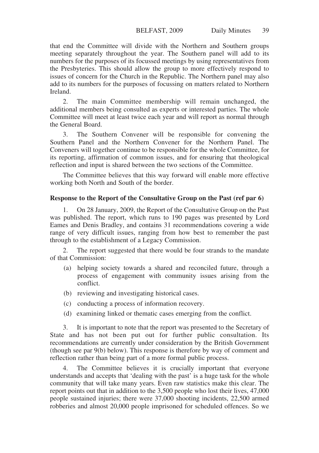that end the Committee will divide with the Northern and Southern groups meeting separately throughout the year. The Southern panel will add to its numbers for the purposes of its focussed meetings by using representatives from the Presbyteries. This should allow the group to more effectively respond to issues of concern for the Church in the Republic. The Northern panel may also add to its numbers for the purposes of focussing on matters related to Northern Ireland.

2. The main Committee membership will remain unchanged, the additional members being consulted as experts or interested parties. The whole Committee will meet at least twice each year and will report as normal through the General Board.

3. The Southern Convener will be responsible for convening the Southern Panel and the Northern Convener for the Northern Panel. The Conveners will together continue to be responsible for the whole Committee, for its reporting, affirmation of common issues, and for ensuring that theological reflection and input is shared between the two sections of the Committee.

The Committee believes that this way forward will enable more effective working both North and South of the border.

#### **Response to the Report of the Consultative Group on the Past (ref par 6)**

1. On 28 January, 2009, the Report of the Consultative Group on the Past was published. The report, which runs to 190 pages was presented by Lord Eames and Denis Bradley, and contains 31 recommendations covering a wide range of very difficult issues, ranging from how best to remember the past through to the establishment of a Legacy Commission.

The report suggested that there would be four strands to the mandate of that Commission:

- (a) helping society towards a shared and reconciled future, through a process of engagement with community issues arising from the conflict.
- (b) reviewing and investigating historical cases.
- (c) conducting a process of information recovery.
- (d) examining linked or thematic cases emerging from the conflict.

3. It is important to note that the report was presented to the Secretary of State and has not been put out for further public consultation. Its recommendations are currently under consideration by the British Government (though see par 9(b) below). This response is therefore by way of comment and reflection rather than being part of a more formal public process.

4. The Committee believes it is crucially important that everyone understands and accepts that 'dealing with the past' is a huge task for the whole community that will take many years. Even raw statistics make this clear. The report points out that in addition to the 3,500 people who lost their lives, 47,000 people sustained injuries; there were 37,000 shooting incidents, 22,500 armed robberies and almost 20,000 people imprisoned for scheduled offences. So we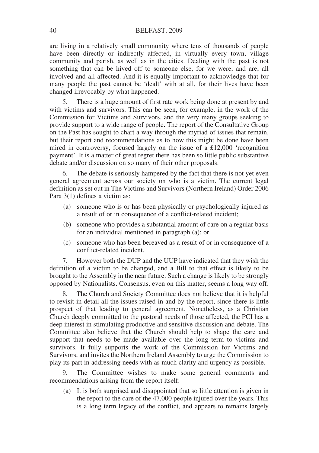#### BELFAST, 2009

are living in a relatively small community where tens of thousands of people have been directly or indirectly affected, in virtually every town, village community and parish, as well as in the cities. Dealing with the past is not something that can be hived off to someone else, for we were, and are, all involved and all affected. And it is equally important to acknowledge that for many people the past cannot be 'dealt' with at all, for their lives have been changed irrevocably by what happened.

5. There is a huge amount of first rate work being done at present by and with victims and survivors. This can be seen, for example, in the work of the Commission for Victims and Survivors, and the very many groups seeking to provide support to a wide range of people. The report of the Consultative Group on the Past has sought to chart a way through the myriad of issues that remain, but their report and recommendations as to how this might be done have been mired in controversy, focused largely on the issue of a £12,000 'recognition payment'. It is a matter of great regret there has been so little public substantive debate and/or discussion on so many of their other proposals.

6. The debate is seriously hampered by the fact that there is not yet even general agreement across our society on who is a victim. The current legal definition as set out in The Victims and Survivors (Northern Ireland) Order 2006 Para 3(1) defines a victim as:

- (a) someone who is or has been physically or psychologically injured as a result of or in consequence of a conflict-related incident;
- (b) someone who provides a substantial amount of care on a regular basis for an individual mentioned in paragraph (a); or
- (c) someone who has been bereaved as a result of or in consequence of a conflict-related incident.

7. However both the DUP and the UUP have indicated that they wish the definition of a victim to be changed, and a Bill to that effect is likely to be brought to the Assembly in the near future. Such a change is likely to be strongly opposed by Nationalists. Consensus, even on this matter, seems a long way off.

8. The Church and Society Committee does not believe that it is helpful to revisit in detail all the issues raised in and by the report, since there is little prospect of that leading to general agreement. Nonetheless, as a Christian Church deeply committed to the pastoral needs of those affected, the PCI has a deep interest in stimulating productive and sensitive discussion and debate. The Committee also believe that the Church should help to shape the care and support that needs to be made available over the long term to victims and survivors. It fully supports the work of the Commission for Victims and Survivors, and invites the Northern Ireland Assembly to urge the Commission to play its part in addressing needs with as much clarity and urgency as possible.

9. The Committee wishes to make some general comments and recommendations arising from the report itself:

(a) It is both surprised and disappointed that so little attention is given in the report to the care of the  $47,000$  people injured over the years. This is a long term legacy of the conflict, and appears to remains largely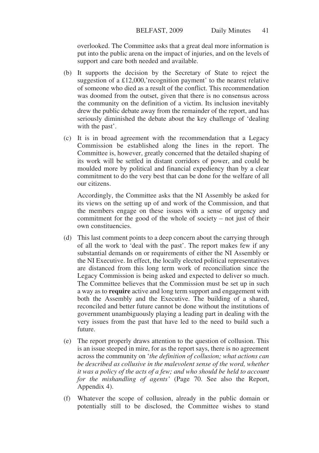overlooked. The Committee asks that a great deal more information is put into the public arena on the impact of injuries, and on the levels of support and care both needed and available.

- (b) It supports the decision by the Secretary of State to reject the suggestion of a £12,000,'recognition payment' to the nearest relative of someone who died as a result of the conflict. This recommendation was doomed from the outset, given that there is no consensus across the community on the definition of a victim. Its inclusion inevitably drew the public debate away from the remainder of the report, and has seriously diminished the debate about the key challenge of 'dealing with the past'.
- (c) It is in broad agreement with the recommendation that a Legacy Commission be established along the lines in the report. The Committee is, however, greatly concerned that the detailed shaping of its work will be settled in distant corridors of power, and could be moulded more by political and financial expediency than by a clear commitment to do the very best that can be done for the welfare of all our citizens.

Accordingly, the Committee asks that the NI Assembly be asked for its views on the setting up of and work of the Commission, and that the members engage on these issues with a sense of urgency and commitment for the good of the whole of society – not just of their own constituencies.

- (d) This last comment points to a deep concern about the carrying through of all the work to 'deal with the past'. The report makes few if any substantial demands on or requirements of either the NI Assembly or the NI Executive. In effect, the locally elected political representatives are distanced from this long term work of reconciliation since the Legacy Commission is being asked and expected to deliver so much. The Committee believes that the Commission must be set up in such a way as to **require** active and long term support and engagement with both the Assembly and the Executive. The building of a shared, reconciled and better future cannot be done without the institutions of government unambiguously playing a leading part in dealing with the very issues from the past that have led to the need to build such a future.
- (e) The report properly draws attention to the question of collusion. This is an issue steeped in mire, for as the report says, there is no agreement across the community on '*the definition of collusion; what actions can be described as collusive in the malevolent sense of the word, whether it was a policy of the acts of a few; and who should be held to account for the mishandling of agents'* (Page 70. See also the Report, Appendix 4).
- (f) Whatever the scope of collusion, already in the public domain or potentially still to be disclosed, the Committee wishes to stand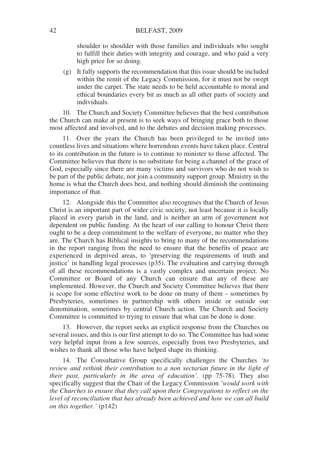shoulder to shoulder with those families and individuals who sought to fulfill their duties with integrity and courage, and who paid a very high price for so doing.

(g) It fully supports the recommendation that this issue should be included within the remit of the Legacy Commission, for it must not be swept under the carpet. The state needs to be held accountable to moral and ethical boundaries every bit as much as all other parts of society and individuals.

10. The Church and Society Committee believes that the best contribution the Church can make at present is to seek ways of bringing grace both to those most affected and involved, and to the debates and decision making processes.

11. Over the years the Church has been privileged to be invited into countless lives and situations where horrendous events have taken place. Central to its contribution in the future is to continue to minister to those affected. The Committee believes that there is no substitute for being a channel of the grace of God, especially since there are many victims and survivors who do not wish to be part of the public debate, nor join a community support group. Ministry in the home is what the Church does best, and nothing should diminish the continuing importance of that.

12. Alongside this the Committee also recognises that the Church of Jesus Christ is an important part of wider civic society, not least because it is locally placed in every parish in the land, and is neither an arm of government nor dependent on public funding. At the heart of our calling to honour Christ there ought to be a deep commitment to the welfare of everyone, no matter who they are. The Church has Biblical insights to bring to many of the recommendations in the report ranging from the need to ensure that the benefits of peace are experienced in deprived areas, to 'preserving the requirements of truth and justice' in handling legal processes (p35). The evaluation and carrying through of all these recommendations is a vastly complex and uncertain project. No Committee or Board of any Church can ensure that any of these are implemented. However, the Church and Society Committee believes that there is scope for some effective work to be done on many of them – sometimes by Presbyteries, sometimes in partnership with others inside or outside our denomination, sometimes by central Church action. The Church and Society Committee is committed to trying to ensure that what can be done is done.

13. However, the report seeks an explicit response from the Churches on several issues, and this is our first attempt to do so. The Committee has had some very helpful input from a few sources, especially from two Presbyteries, and wishes to thank all those who have helped shape its thinking.

14. The Consultative Group specifically challenges the Churches *'to review and rethink their contribution to a non sectarian future in the light of their past, particularly in the area of education'.* (pp 75-78). They also specifically suggest that the Chair of the Legacy Commission *'would work with the Churches to ensure that they call upon their Congregations to reflect on the level of reconciliation that has already been achieved and how we can all build on this together.'* (p142)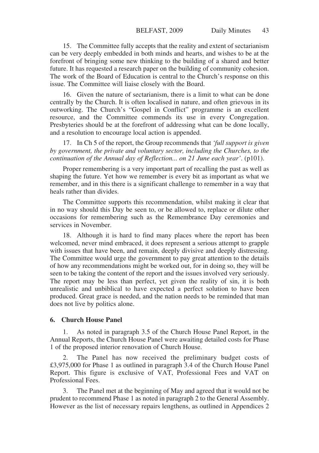15. The Committee fully accepts that the reality and extent of sectarianism can be very deeply embedded in both minds and hearts, and wishes to be at the forefront of bringing some new thinking to the building of a shared and better future. It has requested a research paper on the building of community cohesion. The work of the Board of Education is central to the Church's response on this issue. The Committee will liaise closely with the Board.

16. Given the nature of sectarianism, there is a limit to what can be done centrally by the Church. It is often localised in nature, and often grievous in its outworking. The Church's "Gospel in Conflict" programme is an excellent resource, and the Committee commends its use in every Congregation. Presbyteries should be at the forefront of addressing what can be done locally, and a resolution to encourage local action is appended.

17. In Ch 5 of the report, the Group recommends that *'full support is given by government, the private and voluntary sector, including the Churches, to the continuation of the Annual day of Reflection... on 21 June each year'*. (p101).

Proper remembering is a very important part of recalling the past as well as shaping the future. Yet how we remember is every bit as important as what we remember, and in this there is a significant challenge to remember in a way that heals rather than divides.

The Committee supports this recommendation, whilst making it clear that in no way should this Day be seen to, or be allowed to, replace or dilute other occasions for remembering such as the Remembrance Day ceremonies and services in November.

18. Although it is hard to find many places where the report has been welcomed, never mind embraced, it does represent a serious attempt to grapple with issues that have been, and remain, deeply divisive and deeply distressing. The Committee would urge the government to pay great attention to the details of how any recommendations might be worked out, for in doing so, they will be seen to be taking the content of the report and the issues involved very seriously. The report may be less than perfect, yet given the reality of sin, it is both unrealistic and unbiblical to have expected a perfect solution to have been produced. Great grace is needed, and the nation needs to be reminded that man does not live by politics alone.

#### **6. Church House Panel**

1. As noted in paragraph 3.5 of the Church House Panel Report, in the Annual Reports, the Church House Panel were awaiting detailed costs for Phase 1 of the proposed interior renovation of Church House.

The Panel has now received the preliminary budget costs of £3,975,000 for Phase 1 as outlined in paragraph 3.4 of the Church House Panel Report. This figure is exclusive of VAT, Professional Fees and VAT on Professional Fees.

3. The Panel met at the beginning of May and agreed that it would not be prudent to recommend Phase 1 as noted in paragraph 2 to the General Assembly. However as the list of necessary repairs lengthens, as outlined in Appendices 2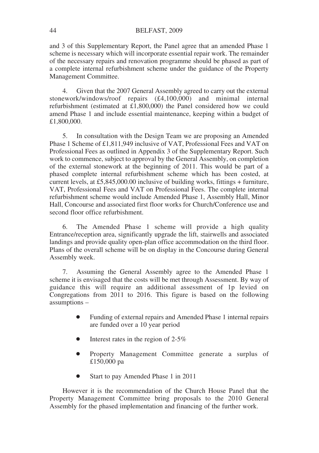and 3 of this Supplementary Report, the Panel agree that an amended Phase 1 scheme is necessary which will incorporate essential repair work. The remainder of the necessary repairs and renovation programme should be phased as part of a complete internal refurbishment scheme under the guidance of the Property Management Committee.

4. Given that the 2007 General Assembly agreed to carry out the external stonework/windows/roof repairs (£4,100,000) and minimal internal refurbishment (estimated at £1,800,000) the Panel considered how we could amend Phase 1 and include essential maintenance, keeping within a budget of £1,800,000.

5. In consultation with the Design Team we are proposing an Amended Phase 1 Scheme of £1,811,949 inclusive of VAT, Professional Fees and VAT on Professional Fees as outlined in Appendix 3 of the Supplementary Report. Such work to commence, subject to approval by the General Assembly, on completion of the external stonework at the beginning of 2011. This would be part of a phased complete internal refurbishment scheme which has been costed, at current levels, at £5,845,000.00 inclusive of building works, fittings + furniture, VAT, Professional Fees and VAT on Professional Fees. The complete internal refurbishment scheme would include Amended Phase 1, Assembly Hall, Minor Hall, Concourse and associated first floor works for Church/Conference use and second floor office refurbishment.

6. The Amended Phase 1 scheme will provide a high quality Entrance/reception area, significantly upgrade the lift, stairwells and associated landings and provide quality open-plan office accommodation on the third floor. Plans of the overall scheme will be on display in the Concourse during General Assembly week.

7. Assuming the General Assembly agree to the Amended Phase 1 scheme it is envisaged that the costs will be met through Assessment. By way of guidance this will require an additional assessment of 1p levied on Congregations from 2011 to 2016. This figure is based on the following assumptions –

- Funding of external repairs and Amended Phase 1 internal repairs are funded over a 10 year period
- Interest rates in the region of 2-5%
- Property Management Committee generate a surplus of £150,000 pa
- Start to pay Amended Phase 1 in 2011

However it is the recommendation of the Church House Panel that the Property Management Committee bring proposals to the 2010 General Assembly for the phased implementation and financing of the further work.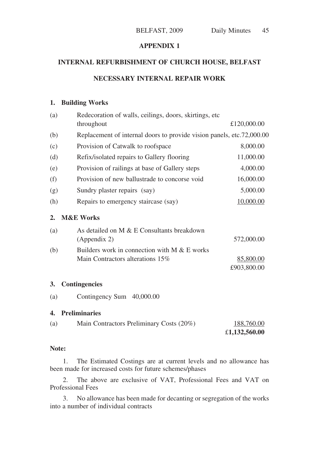# **APPENDIX 1**

# **INTERNAL REFURBISHMENT OF CHURCH HOUSE, BELFAST**

# **NECESSARY INTERNAL REPAIR WORK**

# **1. Building Works**

| Redecoration of walls, ceilings, doors, skirtings, etc<br>(a) |                                                                       |             |
|---------------------------------------------------------------|-----------------------------------------------------------------------|-------------|
|                                                               | throughout                                                            | £120,000.00 |
| (b)                                                           | Replacement of internal doors to provide vision panels, etc.72,000.00 |             |
| (c)                                                           | Provision of Catwalk to roofspace                                     | 8,000.00    |
| (d)                                                           | Refix/isolated repairs to Gallery flooring                            | 11,000.00   |
| (e)                                                           | Provision of railings at base of Gallery steps                        | 4,000.00    |
| (f)                                                           | Provision of new ballustrade to concorse void                         | 16,000.00   |
| (g)                                                           | Sundry plaster repairs (say)                                          | 5,000.00    |
| (h)                                                           | Repairs to emergency staircase (say)                                  | 10,000.00   |
| 2.                                                            | <b>M&amp;E Works</b>                                                  |             |
| (a)                                                           | As detailed on M & E Consultants breakdown                            |             |
|                                                               | (Appendix 2)                                                          | 572,000.00  |
| (b)                                                           | Builders work in connection with M & E works                          |             |
|                                                               | Main Contractors alterations 15%                                      | 85,800.00   |
|                                                               |                                                                       | £903.800.00 |

# **3. Contingencies**

(a) Contingency Sum 40,000.00

# **4. Preliminaries**

| (a) | Main Contractors Preliminary Costs (20%) | 188,760.00    |
|-----|------------------------------------------|---------------|
|     |                                          | £1,132,560.00 |

# **Note:**

1. The Estimated Costings are at current levels and no allowance has been made for increased costs for future schemes/phases

2. The above are exclusive of VAT, Professional Fees and VAT on Professional Fees

3. No allowance has been made for decanting or segregation of the works into a number of individual contracts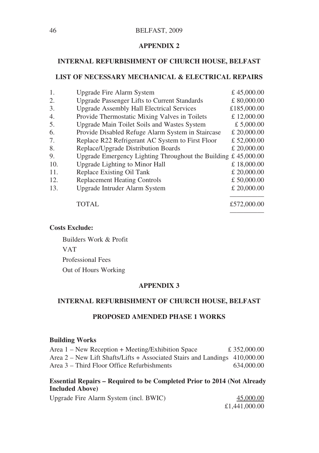# BELFAST, 2009

# **APPENDIX 2**

# **INTERNAL REFURBISHMENT OF CHURCH HOUSE, BELFAST**

# **LIST OF NECESSARY MECHANICAL & ELECTRICAL REPAIRS**

| 1.  | Upgrade Fire Alarm System                                        | £ 45,000.00 |
|-----|------------------------------------------------------------------|-------------|
| 2.  | <b>Upgrade Passenger Lifts to Current Standards</b>              | £ 80,000.00 |
| 3.  | <b>Upgrade Assembly Hall Electrical Services</b>                 | £185,000.00 |
| 4.  | Provide Thermostatic Mixing Valves in Toilets                    | £ 12,000.00 |
| 5.  | Upgrade Main Toilet Soils and Wastes System                      | £ 5,000.00  |
| 6.  | Provide Disabled Refuge Alarm System in Staircase                | £ 20,000.00 |
| 7.  | Replace R22 Refrigerant AC System to First Floor                 | £52,000.00  |
| 8.  | Replace/Upgrade Distribution Boards                              | £ 20,000.00 |
| 9.  | Upgrade Emergency Lighting Throughout the Building £ $45,000.00$ |             |
| 10. | Upgrade Lighting to Minor Hall                                   | £18,000.00  |
| 11. | Replace Existing Oil Tank                                        | £ 20,000.00 |
| 12. | <b>Replacement Heating Controls</b>                              | £ 50,000.00 |
| 13. | Upgrade Intruder Alarm System                                    | £ 20,000.00 |
|     | TOTAL                                                            | £572,000.00 |
|     |                                                                  |             |

# **Costs Exclude:**

Builders Work & Profit VAT

Professional Fees

Out of Hours Working

# **APPENDIX 3**

# **INTERNAL REFURBISHMENT OF CHURCH HOUSE, BELFAST**

# **PROPOSED AMENDED PHASE 1 WORKS**

# **Building Works**

| Area 1 – New Reception + Meeting/Exhibition Space                              | £ 352,000.00 |
|--------------------------------------------------------------------------------|--------------|
| Area $2 -$ New Lift Shafts/Lifts + Associated Stairs and Landings $410,000.00$ |              |
| Area 3 – Third Floor Office Refurbishments                                     | 634,000.00   |

# **Essential Repairs – Required to be Completed Prior to 2014 (Not Already Included Above)**

| Upgrade Fire Alarm System (incl. BWIC) | 45,000.00     |
|----------------------------------------|---------------|
|                                        | £1,441,000.00 |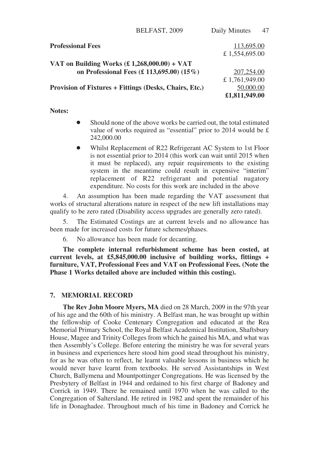|                                                      | BELFAST, 2009                                          | Daily Minutes | 47 |
|------------------------------------------------------|--------------------------------------------------------|---------------|----|
| <b>Professional Fees</b>                             |                                                        | 113,695.00    |    |
|                                                      |                                                        | £1.554.695.00 |    |
| VAT on Building Works $(\pounds 1,268,000.00) + VAT$ |                                                        |               |    |
|                                                      | on Professional Fees (£ 113,695.00) (15%)              | 207,254.00    |    |
|                                                      |                                                        | £1,761,949.00 |    |
|                                                      | Provision of Fixtures + Fittings (Desks, Chairs, Etc.) | 50,000.00     |    |
|                                                      |                                                        | £1,811,949.00 |    |

# **Notes:**

- Should none of the above works be carried out, the total estimated value of works required as "essential" prior to 2014 would be £ 242,000.00
- Whilst Replacement of R22 Refrigerant AC System to 1st Floor is not essential prior to 2014 (this work can wait until 2015 when it must be replaced), any repair requirements to the existing system in the meantime could result in expensive "interim" replacement of R22 refrigerant and potential nugatory expenditure. No costs for this work are included in the above

4. An assumption has been made regarding the VAT assessment that works of structural alterations nature in respect of the new lift installations may qualify to be zero rated (Disability access upgrades are generally zero rated).

5. The Estimated Costings are at current levels and no allowance has been made for increased costs for future schemes/phases.

6. No allowance has been made for decanting.

**The complete internal refurbishment scheme has been costed, at current levels, at £5,845,000.00 inclusive of building works, fittings + furniture, VAT, Professional Fees and VAT on Professional Fees. (Note the Phase 1 Works detailed above are included within this costing).** 

# **7. MEMORIAL RECORD**

**The Rev John Moore Myers, MA** died on 28 March, 2009 in the 97th year of his age and the 60th of his ministry. A Belfast man, he was brought up within the fellowship of Cooke Centenary Congregation and educated at the Rea Memorial Primary School, the Royal Belfast Academical Institution, Shaftsbury House, Magee and Trinity Colleges from which he gained his MA, and what was then Assembly's College. Before entering the ministry he was for several years in business and experiences here stood him good stead throughout his ministry, for as he was often to reflect, he learnt valuable lessons in business which he would never have learnt from textbooks. He served Assistantships in West Church, Ballymena and Mountpottinger Congregations. He was licensed by the Presbytery of Belfast in 1944 and ordained to his first charge of Badoney and Corrick in 1949. There he remained until 1970 when he was called to the Congregation of Saltersland. He retired in 1982 and spent the remainder of his life in Donaghadee. Throughout much of his time in Badoney and Corrick he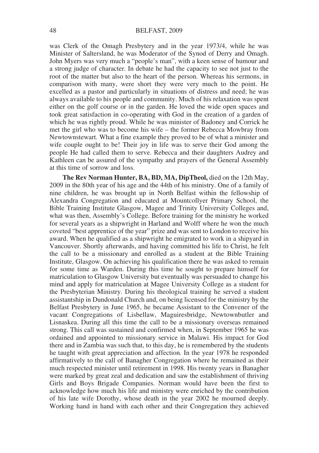was Clerk of the Omagh Presbytery and in the year 1973/4, while he was Minister of Saltersland, he was Moderator of the Synod of Derry and Omagh. John Myers was very much a "people's man", with a keen sense of humour and a strong judge of character. In debate he had the capacity to see not just to the root of the matter but also to the heart of the person. Whereas his sermons, in comparison with many, were short they were very much to the point. He excelled as a pastor and particularly in situations of distress and need; he was always available to his people and community. Much of his relaxation was spent either on the golf course or in the garden. He loved the wide open spaces and took great satisfaction in co-operating with God in the creation of a garden of which he was rightly proud. While he was minister of Badoney and Corrick he met the girl who was to become his wife – the former Rebecca Mowbray from Newtownstewart. What a fine example they proved to be of what a minister and wife couple ought to be! Their joy in life was to serve their God among the people He had called them to serve. Rebecca and their daughters Audrey and Kathleen can be assured of the sympathy and prayers of the General Assembly at this time of sorrow and loss.

**The Rev Norman Hunter, BA, BD, MA, DipTheol,** died on the 12th May, 2009 in the 80th year of his age and the 44th of his ministry. One of a family of nine children, he was brought up in North Belfast within the fellowship of Alexandra Congregation and educated at Mountcollyer Primary School, the Bible Training Institute Glasgow, Magee and Trinity University Colleges and, what was then, Assembly's College. Before training for the ministry he worked for several years as a shipwright in Harland and Wolff where he won the much coveted "best apprentice of the year" prize and was sent to London to receive his award. When he qualified as a shipwright he emigrated to work in a shipyard in Vancouver. Shortly afterwards, and having committed his life to Christ, he felt the call to be a missionary and enrolled as a student at the Bible Training Institute, Glasgow. On achieving his qualification there he was asked to remain for some time as Warden. During this time he sought to prepare himself for matriculation to Glasgow University but eventually was persuaded to change his mind and apply for matriculation at Magee University College as a student for the Presbyterian Ministry. During his theological training he served a student assistantship in Dundonald Church and, on being licensed for the ministry by the Belfast Presbytery in June 1965, he became Assistant to the Convener of the vacant Congregations of Lisbellaw, Maguiresbridge, Newtownbutler and Lisnaskea. During all this time the call to be a missionary overseas remained strong. This call was sustained and confirmed when, in September 1965 he was ordained and appointed to missionary service in Malawi. His impact for God there and in Zambia was such that, to this day, he is remembered by the students he taught with great appreciation and affection. In the year 1978 he responded affirmatively to the call of Banagher Congregation where he remained as their much respected minister until retirement in 1998. His twenty years in Banagher were marked by great zeal and dedication and saw the establishment of thriving Girls and Boys Brigade Companies. Norman would have been the first to acknowledge how much his life and ministry were enriched by the contribution of his late wife Dorothy, whose death in the year 2002 he mourned deeply. Working hand in hand with each other and their Congregation they achieved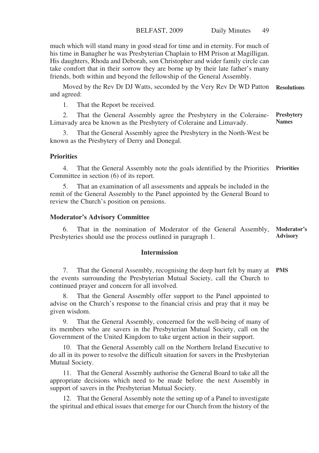BELFAST, 2009 Daily Minutes 49

much which will stand many in good stead for time and in eternity. For much of his time in Banagher he was Presbyterian Chaplain to HM Prison at Magilligan. His daughters, Rhoda and Deborah, son Christopher and wider family circle can take comfort that in their sorrow they are borne up by their late father's many friends, both within and beyond the fellowship of the General Assembly.

Moved by the Rev Dr DJ Watts, seconded by the Very Rev Dr WD Patton **Resolutions** and agreed:

1. That the Report be received.

2. That the General Assembly agree the Presbytery in the Coleraine-Limavady area be known as the Presbytery of Coleraine and Limavady. **Presbytery Names**

3. That the General Assembly agree the Presbytery in the North-West be known as the Presbytery of Derry and Donegal.

#### **Priorities**

4. That the General Assembly note the goals identified by the Priorities **Priorities** Committee in section (6) of its report.

5. That an examination of all assessments and appeals be included in the remit of the General Assembly to the Panel appointed by the General Board to review the Church's position on pensions.

#### **Moderator's Advisory Committee**

6. That in the nomination of Moderator of the General Assembly, Presbyteries should use the process outlined in paragraph 1. **Moderator's Advisory**

#### **Intermission**

7. That the General Assembly, recognising the deep hurt felt by many at the events surrounding the Presbyterian Mutual Society, call the Church to continued prayer and concern for all involved. **PMS**

8. That the General Assembly offer support to the Panel appointed to advise on the Church's response to the financial crisis and pray that it may be given wisdom.

9. That the General Assembly, concerned for the well-being of many of its members who are savers in the Presbyterian Mutual Society, call on the Government of the United Kingdom to take urgent action in their support.

10. That the General Assembly call on the Northern Ireland Executive to do all in its power to resolve the difficult situation for savers in the Presbyterian Mutual Society.

11. That the General Assembly authorise the General Board to take all the appropriate decisions which need to be made before the next Assembly in support of savers in the Presbyterian Mutual Society.

12. That the General Assembly note the setting up of a Panel to investigate the spiritual and ethical issues that emerge for our Church from the history of the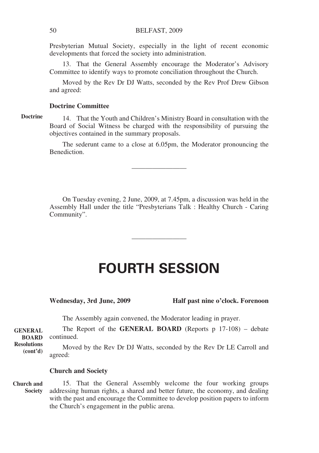Presbyterian Mutual Society, especially in the light of recent economic developments that forced the society into administration.

13. That the General Assembly encourage the Moderator's Advisory Committee to identify ways to promote conciliation throughout the Church.

Moved by the Rev Dr DJ Watts, seconded by the Rev Prof Drew Gibson and agreed:

#### **Doctrine Committee**

**Doctrine**

14. That the Youth and Children's Ministry Board in consultation with the Board of Social Witness be charged with the responsibility of pursuing the objectives contained in the summary proposals.

The sederunt came to a close at 6.05pm, the Moderator pronouncing the **Benediction** 

————————

On Tuesday evening, 2 June, 2009, at 7.45pm, a discussion was held in the Assembly Hall under the title "Presbyterians Talk : Healthy Church - Caring Community".

# **FOURTH SESSION**

————————

**Wednesday, 3rd June, 2009 Half past nine o'clock. Forenoon**

The Assembly again convened, the Moderator leading in prayer.

The Report of the **GENERAL BOARD** (Reports p 17-108) – debate **BOARD** continued. **GENERAL**

Moved by the Rev Dr DJ Watts, seconded by the Rev Dr LE Carroll and agreed: **Resolutions (cont'd)**

#### **Church and Society**

15. That the General Assembly welcome the four working groups addressing human rights, a shared and better future, the economy, and dealing with the past and encourage the Committee to develop position papers to inform the Church's engagement in the public arena. **Church and Society**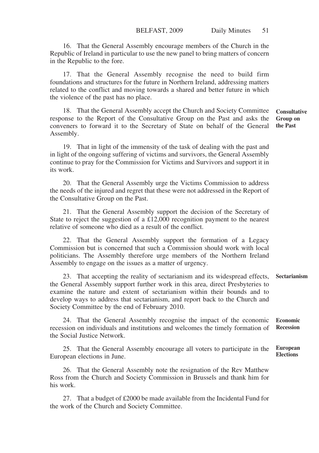16. That the General Assembly encourage members of the Church in the Republic of Ireland in particular to use the new panel to bring matters of concern in the Republic to the fore.

17. That the General Assembly recognise the need to build firm foundations and structures for the future in Northern Ireland, addressing matters related to the conflict and moving towards a shared and better future in which the violence of the past has no place.

18. That the General Assembly accept the Church and Society Committee response to the Report of the Consultative Group on the Past and asks the conveners to forward it to the Secretary of State on behalf of the General Assembly. **Consultative Group on the Past**

19. That in light of the immensity of the task of dealing with the past and in light of the ongoing suffering of victims and survivors, the General Assembly continue to pray for the Commission for Victims and Survivors and support it in its work.

20. That the General Assembly urge the Victims Commission to address the needs of the injured and regret that these were not addressed in the Report of the Consultative Group on the Past.

21. That the General Assembly support the decision of the Secretary of State to reject the suggestion of a £12,000 recognition payment to the nearest relative of someone who died as a result of the conflict.

22. That the General Assembly support the formation of a Legacy Commission but is concerned that such a Commission should work with local politicians. The Assembly therefore urge members of the Northern Ireland Assembly to engage on the issues as a matter of urgency.

23. That accepting the reality of sectarianism and its widespread effects, the General Assembly support further work in this area, direct Presbyteries to examine the nature and extent of sectarianism within their bounds and to develop ways to address that sectarianism, and report back to the Church and Society Committee by the end of February 2010. **Sectarianism**

24. That the General Assembly recognise the impact of the economic recession on individuals and institutions and welcomes the timely formation of the Social Justice Network. **Economic Recession**

25. That the General Assembly encourage all voters to participate in the European elections in June. **European Elections**

26. That the General Assembly note the resignation of the Rev Matthew Ross from the Church and Society Commission in Brussels and thank him for his work.

27. That a budget of £2000 be made available from the Incidental Fund for the work of the Church and Society Committee.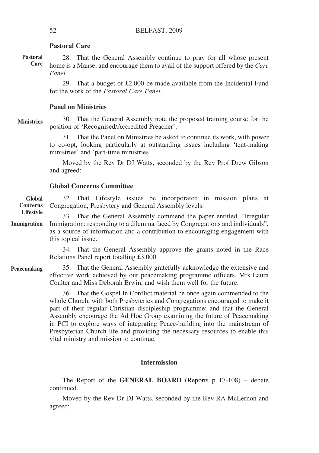#### **Pastoral Care**

28. That the General Assembly continue to pray for all whose present home is a Manse, and encourage them to avail of the support offered by the *Care Panel.* **Pastoral Care**

> 29. That a budget of £2,000 be made available from the Incidental Fund for the work of the *Pastoral Care Panel*.

# **Panel on Ministries**

30. That the General Assembly note the proposed training course for the position of 'Recognised/Accredited Preacher'. **Ministries**

> 31. That the Panel on Ministries be asked to continue its work, with power to co-opt, looking particularly at outstanding issues including 'tent-making ministries' and 'part-time ministries'.

> Moved by the Rev Dr DJ Watts, seconded by the Rev Prof Drew Gibson and agreed:

#### **Global Concerns Committee**

32. That Lifestyle issues be incorporated in mission plans at Congregation, Presbytery and General Assembly levels. **Global Concerns**

33. That the General Assembly commend the paper entitled, "Irregular Immigration: responding to a dilemma faced by Congregations and individuals", as a source of information and a contribution to encouraging engagement with this topical issue. **Lifestyle Immigration**

> 34. That the General Assembly approve the grants noted in the Race Relations Panel report totalling £3,000.

35. That the General Assembly gratefully acknowledge the extensive and effective work achieved by our peacemaking programme officers, Mrs Laura Coulter and Miss Deborah Erwin, and wish them well for the future. **Peacemaking**

> 36. That the Gospel In Conflict material be once again commended to the whole Church, with both Presbyteries and Congregations encouraged to make it part of their regular Christian discipleship programme; and that the General Assembly encourage the Ad Hoc Group examining the future of Peacemaking in PCI to explore ways of integrating Peace-building into the mainstream of Presbyterian Church life and providing the necessary resources to enable this vital ministry and mission to continue.

# **Intermission**

The Report of the **GENERAL BOARD** (Reports p 17-108) – debate continued.

Moved by the Rev Dr DJ Watts, seconded by the Rev RA McLernon and agreed: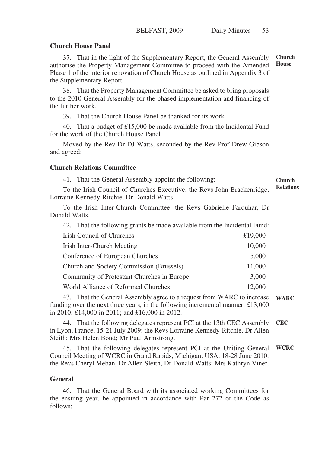**Church**

#### **Church House Panel**

37. That in the light of the Supplementary Report, the General Assembly authorise the Property Management Committee to proceed with the Amended Phase 1 of the interior renovation of Church House as outlined in Appendix 3 of the Supplementary Report. **Church House**

38. That the Property Management Committee be asked to bring proposals to the 2010 General Assembly for the phased implementation and financing of the further work.

39. That the Church House Panel be thanked for its work.

40. That a budget of £15,000 be made available from the Incidental Fund for the work of the Church House Panel.

Moved by the Rev Dr DJ Watts, seconded by the Rev Prof Drew Gibson and agreed:

#### **Church Relations Committee**

41. That the General Assembly appoint the following:

To the Irish Council of Churches Executive: the Revs John Brackenridge, Lorraine Kennedy-Ritchie, Dr Donald Watts. **Relations**

To the Irish Inter-Church Committee: the Revs Gabrielle Farquhar, Dr Donald Watts.

42. That the following grants be made available from the Incidental Fund:

| Irish Council of Churches                  | £19,000 |
|--------------------------------------------|---------|
| Irish Inter-Church Meeting                 | 10,000  |
| Conference of European Churches            | 5,000   |
| Church and Society Commission (Brussels)   | 11,000  |
| Community of Protestant Churches in Europe | 3,000   |
| World Alliance of Reformed Churches        | 12,000  |

43. That the General Assembly agree to a request from WARC to increase funding over the next three years, in the following incremental manner: £13,000 in 2010; £14,000 in 2011; and £16,000 in 2012. **WARC**

44. That the following delegates represent PCI at the 13th CEC Assembly in Lyon, France, 15-21 July 2009: the Revs Lorraine Kennedy-Ritchie, Dr Allen Sleith; Mrs Helen Bond; Mr Paul Armstrong. **CEC**

45. That the following delegates represent PCI at the Uniting General **WCRC**Council Meeting of WCRC in Grand Rapids, Michigan, USA, 18-28 June 2010: the Revs Cheryl Meban, Dr Allen Sleith, Dr Donald Watts; Mrs Kathryn Viner.

#### **General**

46. That the General Board with its associated working Committees for the ensuing year, be appointed in accordance with Par 272 of the Code as follows: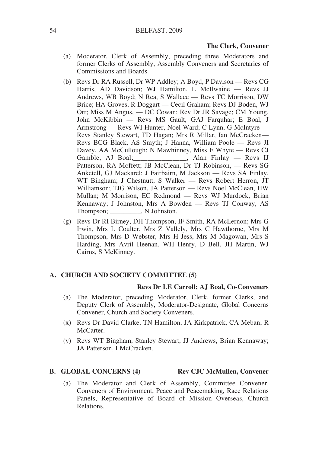- (a) Moderator, Clerk of Assembly, preceding three Moderators and former Clerks of Assembly, Assembly Conveners and Secretaries of Commissions and Boards.
- (b) Revs Dr RA Russell, Dr WP Addley; A Boyd, P Davison Revs CG Harris, AD Davidson; WJ Hamilton, L McIlwaine — Revs JJ Andrews, WB Boyd; N Rea, S Wallace — Revs TC Morrison, DW Brice; HA Groves, R Doggart — Cecil Graham; Revs DJ Boden, WJ Orr; Miss M Angus, — DC Cowan; Rev Dr JR Savage; CM Young, John McKibbin — Revs MS Gault, GAJ Farquhar; E Boal, J Armstrong — Revs WI Hunter, Noel Ward; C Lynn, G McIntyre — Revs Stanley Stewart, TD Hagan; Mrs R Millar, Ian McCracken— Revs BCG Black, AS Smyth; J Hanna, William Poole — Revs JI Davey, AA McCullough; N Mawhinney, Miss E Whyte — Revs CJ Gamble, AJ Boal; Alan Finlay — Revs IJ Patterson, RA Moffett; JB McClean, Dr TJ Robinson, — Revs SG Anketell, GJ Mackarel; J Fairbairn, M Jackson — Revs SA Finlay, WT Bingham; J Chestnutt, S Walker — Revs Robert Herron, JT Williamson; TJG Wilson, JA Patterson — Revs Noel McClean, HW Mullan; M Morrison, EC Redmond — Revs WJ Murdock, Brian Kennaway; J Johnston, Mrs A Bowden — Revs TJ Conway, AS Thompson;  $\qquad \qquad$ , N Johnston.
- (g) Revs Dr RI Birney, DH Thompson, IF Smith, RA McLernon; Mrs G Irwin, Mrs L Coulter, Mrs Z Vallely, Mrs C Hawthorne, Mrs M Thompson, Mrs D Webster, Mrs H Jess, Mrs M Magowan, Mrs S Harding, Mrs Avril Heenan, WH Henry, D Bell, JH Martin, WJ Cairns, S McKinney.

# **A. CHURCH AND SOCIETY COMMITTEE (5)**

## **Revs Dr LE Carroll; AJ Boal, Co-Conveners**

- (a) The Moderator, preceding Moderator, Clerk, former Clerks, and Deputy Clerk of Assembly, Moderator-Designate, Global Concerns Convener, Church and Society Conveners.
- (x) Revs Dr David Clarke, TN Hamilton, JA Kirkpatrick, CA Meban; R McCarter.
- (y) Revs WT Bingham, Stanley Stewart, JJ Andrews, Brian Kennaway; JA Patterson, I McCracken.

B. GLOBAL CONCERNS (4) Rev CJC McMullen, Convener

(a) The Moderator and Clerk of Assembly, Committee Convener, Conveners of Environment, Peace and Peacemaking, Race Relations Panels, Representative of Board of Mission Overseas, Church Relations.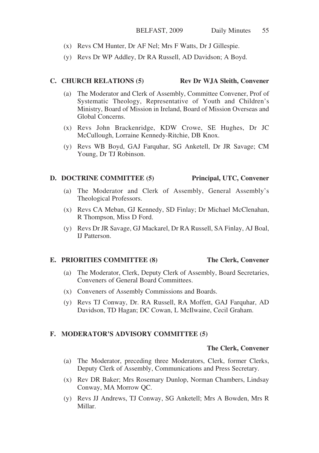- (x) Revs CM Hunter, Dr AF Nel; Mrs F Watts, Dr J Gillespie.
- (y) Revs Dr WP Addley, Dr RA Russell, AD Davidson; A Boyd.

# **C. CHURCH RELATIONS (5) Rev Dr WJA Sleith, Convener**

- (a) The Moderator and Clerk of Assembly, Committee Convener, Prof of Systematic Theology, Representative of Youth and Children's Ministry, Board of Mission in Ireland, Board of Mission Overseas and Global Concerns.
- (x) Revs John Brackenridge, KDW Crowe, SE Hughes, Dr JC McCullough, Lorraine Kennedy-Ritchie, DB Knox.
- (y) Revs WB Boyd, GAJ Farquhar, SG Anketell, Dr JR Savage; CM Young, Dr TJ Robinson.

# **D. DOCTRINE COMMITTEE (5) Principal, UTC, Convener**

- (a) The Moderator and Clerk of Assembly, General Assembly's Theological Professors.
- (x) Revs CA Meban, GJ Kennedy, SD Finlay; Dr Michael McClenahan, R Thompson, Miss D Ford.
- (y) Revs Dr JR Savage, GJ Mackarel, Dr RA Russell, SA Finlay, AJ Boal, IJ Patterson.

# **E. PRIORITIES COMMITTEE (8) The Clerk, Convener**

- (a) The Moderator, Clerk, Deputy Clerk of Assembly, Board Secretaries, Conveners of General Board Committees.
- (x) Conveners of Assembly Commissions and Boards.
- (y) Revs TJ Conway, Dr. RA Russell, RA Moffett, GAJ Farquhar, AD Davidson, TD Hagan; DC Cowan, L McIlwaine, Cecil Graham.

# **F. MODERATOR'S ADVISORY COMMITTEE (5)**

# **The Clerk, Convener**

- (a) The Moderator, preceding three Moderators, Clerk, former Clerks, Deputy Clerk of Assembly, Communications and Press Secretary.
- (x) Rev DR Baker; Mrs Rosemary Dunlop, Norman Chambers, Lindsay Conway, MA Morrow QC.
- (y) Revs JJ Andrews, TJ Conway, SG Anketell; Mrs A Bowden, Mrs R Millar.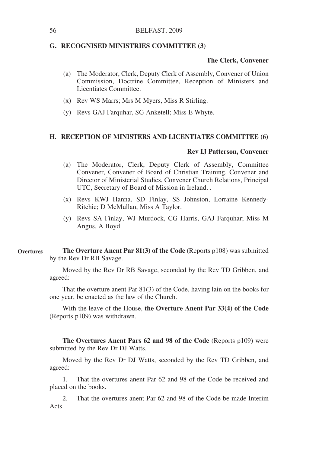#### **G. RECOGNISED MINISTRIES COMMITTEE (3)**

# **The Clerk, Convener**

- (a) The Moderator, Clerk, Deputy Clerk of Assembly, Convener of Union Commission, Doctrine Committee, Reception of Ministers and Licentiates Committee.
- (x) Rev WS Marrs; Mrs M Myers, Miss R Stirling.
- (y) Revs GAJ Farquhar, SG Anketell; Miss E Whyte.

#### **H. RECEPTION OF MINISTERS AND LICENTIATES COMMITTEE (6)**

#### **Rev IJ Patterson, Convener**

- (a) The Moderator, Clerk, Deputy Clerk of Assembly, Committee Convener, Convener of Board of Christian Training, Convener and Director of Ministerial Studies, Convener Church Relations, Principal UTC, Secretary of Board of Mission in Ireland, .
- (x) Revs KWJ Hanna, SD Finlay, SS Johnston, Lorraine Kennedy-Ritchie; D McMullan, Miss A Taylor.
- (y) Revs SA Finlay, WJ Murdock, CG Harris, GAJ Farquhar; Miss M Angus, A Boyd.

**The Overture Anent Par 81(3) of the Code** (Reports p108) was submitted by the Rev Dr RB Savage. **Overtures**

> Moved by the Rev Dr RB Savage, seconded by the Rev TD Gribben, and agreed:

> That the overture anent Par 81(3) of the Code, having lain on the books for one year, be enacted as the law of the Church.

> With the leave of the House, **the Overture Anent Par 33(4) of the Code** (Reports p109) was withdrawn.

> **The Overtures Anent Pars 62 and 98 of the Code** (Reports p109) were submitted by the Rev Dr DJ Watts.

> Moved by the Rev Dr DJ Watts, seconded by the Rev TD Gribben, and agreed:

> 1. That the overtures anent Par 62 and 98 of the Code be received and placed on the books.

> 2. That the overtures anent Par 62 and 98 of the Code be made Interim Acts.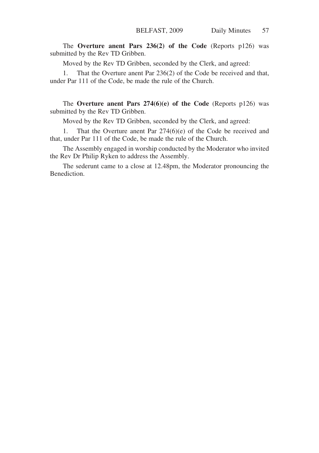The **Overture anent Pars 236(2) of the Code** (Reports p126) was submitted by the Rev TD Gribben.

Moved by the Rev TD Gribben, seconded by the Clerk, and agreed:

1. That the Overture anent Par 236(2) of the Code be received and that, under Par 111 of the Code, be made the rule of the Church.

The **Overture anent Pars 274(6)(e) of the Code** (Reports p126) was submitted by the Rev TD Gribben.

Moved by the Rev TD Gribben, seconded by the Clerk, and agreed:

1. That the Overture anent Par 274(6)(e) of the Code be received and that, under Par 111 of the Code, be made the rule of the Church.

The Assembly engaged in worship conducted by the Moderator who invited the Rev Dr Philip Ryken to address the Assembly.

The sederunt came to a close at 12.48pm, the Moderator pronouncing the Benediction.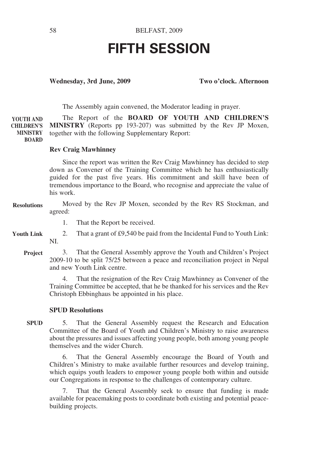# **FIFTH SESSION**

# **Wednesday, 3rd June, 2009 Two o'clock. Afternoon**

The Assembly again convened, the Moderator leading in prayer.

The Report of the **BOARD OF YOUTH AND CHILDREN'S MINISTRY** (Reports pp 193-207) was submitted by the Rev JP Moxen, together with the following Supplementary Report: **YOUTH AND CHILDREN'S MINISTRY BOARD**

# **Rev Craig Mawhinney**

Since the report was written the Rev Craig Mawhinney has decided to step down as Convener of the Training Committee which he has enthusiastically guided for the past five years. His commitment and skill have been of tremendous importance to the Board, who recognise and appreciate the value of his work.

- Moved by the Rev JP Moxen, seconded by the Rev RS Stockman, and agreed: **Resolutions**
	- 1. That the Report be received.
- 2. That a grant of £9,540 be paid from the Incidental Fund to Youth Link: NI. **Youth Link**
	- 3. That the General Assembly approve the Youth and Children's Project 2009-10 to be split 75/25 between a peace and reconciliation project in Nepal and new Youth Link centre. **Project**

4. That the resignation of the Rev Craig Mawhinney as Convener of the Training Committee be accepted, that he be thanked for his services and the Rev Christoph Ebbinghaus be appointed in his place.

### **SPUD Resolutions**

5. That the General Assembly request the Research and Education Committee of the Board of Youth and Children's Ministry to raise awareness about the pressures and issues affecting young people, both among young people themselves and the wider Church. **SPUD**

6. That the General Assembly encourage the Board of Youth and Children's Ministry to make available further resources and develop training, which equips youth leaders to empower young people both within and outside our Congregations in response to the challenges of contemporary culture.

7. That the General Assembly seek to ensure that funding is made available for peacemaking posts to coordinate both existing and potential peacebuilding projects.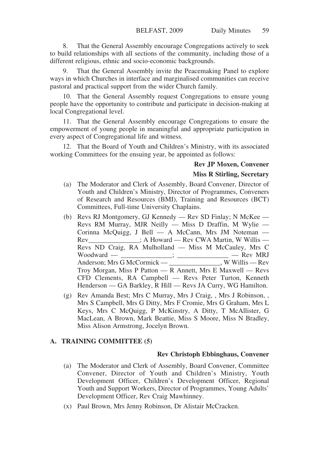8. That the General Assembly encourage Congregations actively to seek to build relationships with all sections of the community, including those of a different religious, ethnic and socio-economic backgrounds.

That the General Assembly invite the Peacemaking Panel to explore ways in which Churches in interface and marginalised communities can receive pastoral and practical support from the wider Church family.

10. That the General Assembly request Congregations to ensure young people have the opportunity to contribute and participate in decision-making at local Congregational level.

11. That the General Assembly encourage Congregations to ensure the empowerment of young people in meaningful and appropriate participation in every aspect of Congregational life and witness.

12. That the Board of Youth and Children's Ministry, with its associated working Committees for the ensuing year, be appointed as follows:

# **Rev JP Moxen, Convener**

# **Miss R Stirling, Secretary**

- (a) The Moderator and Clerk of Assembly, Board Convener, Director of Youth and Children's Ministry, Director of Programmes, Conveners of Research and Resources (BMI), Training and Resources (BCT) Committees, Full-time University Chaplains.
- (b) Revs RJ Montgomery, GJ Kennedy Rev SD Finlay; N McKee Revs RM Murray, MJR Neilly — Miss D Draffin, M Wylie — Corinna McQuigg, J Bell — A McCann, Mrs JM Noteman — Rev\_\_\_\_\_\_\_\_\_\_\_\_\_\_\_; A Howard — Rev CWA Martin, W Willis — Revs ND Craig, RA Mulholland — Miss M McCauley, Mrs C Woodward — \_\_\_\_\_\_\_\_\_\_\_\_; \_\_\_\_\_\_\_\_\_\_\_\_\_\_ — Rev MRJ Anderson; Mrs G McCormick — \_\_\_\_\_\_\_\_, W Willis — Rev Troy Morgan, Miss P Patton — R Annett, Mrs E Maxwell — Revs CFD Clements, RA Campbell — Revs Peter Turton, Kenneth Henderson — GA Barkley, R Hill — Revs JA Curry, WG Hamilton.
- (g) Rev Amanda Best; Mrs C Murray, Mrs J Craig, , Mrs J Robinson, , Mrs S Campbell, Mrs G Ditty, Mrs F Cromie, Mrs G Graham, Mrs L Keys, Mrs C McQuigg, P McKinstry, A Ditty, T McAllister, G MacLean, A Brown, Mark Beattie, Miss S Moore, Miss N Bradley, Miss Alison Armstrong, Jocelyn Brown.

#### **A. TRAINING COMMITTEE (5)**

#### **Rev Christoph Ebbinghaus, Convener**

- (a) The Moderator and Clerk of Assembly, Board Convener, Committee Convener, Director of Youth and Children's Ministry, Youth Development Officer, Children's Development Officer, Regional Youth and Support Workers, Director of Programmes, Young Adults' Development Officer, Rev Craig Mawhinney.
- (x) Paul Brown, Mrs Jenny Robinson, Dr Alistair McCracken.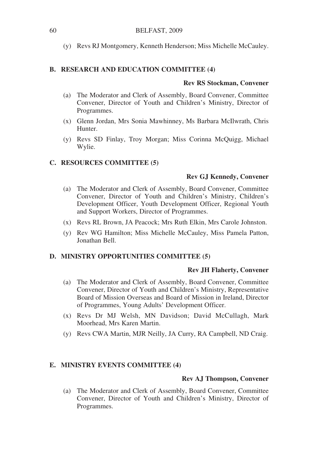(y) Revs RJ Montgomery, Kenneth Henderson; Miss Michelle McCauley.

# **B. RESEARCH AND EDUCATION COMMITTEE (4)**

# **Rev RS Stockman, Convener**

- (a) The Moderator and Clerk of Assembly, Board Convener, Committee Convener, Director of Youth and Children's Ministry, Director of Programmes.
- (x) Glenn Jordan, Mrs Sonia Mawhinney, Ms Barbara McIlwrath, Chris Hunter.
- (y) Revs SD Finlay, Troy Morgan; Miss Corinna McQuigg, Michael Wylie.

# **C. RESOURCES COMMITTEE (5)**

# **Rev GJ Kennedy, Convener**

- (a) The Moderator and Clerk of Assembly, Board Convener, Committee Convener, Director of Youth and Children's Ministry, Children's Development Officer, Youth Development Officer, Regional Youth and Support Workers, Director of Programmes.
- (x) Revs RL Brown, JA Peacock; Mrs Ruth Elkin, Mrs Carole Johnston.
- (y) Rev WG Hamilton; Miss Michelle McCauley, Miss Pamela Patton, Jonathan Bell.

# **D. MINISTRY OPPORTUNITIES COMMITTEE (5)**

# **Rev JH Flaherty, Convener**

- (a) The Moderator and Clerk of Assembly, Board Convener, Committee Convener, Director of Youth and Children's Ministry, Representative Board of Mission Overseas and Board of Mission in Ireland, Director of Programmes, Young Adults' Development Officer.
- (x) Revs Dr MJ Welsh, MN Davidson; David McCullagh, Mark Moorhead, Mrs Karen Martin.
- (y) Revs CWA Martin, MJR Neilly, JA Curry, RA Campbell, ND Craig.

# **E. MINISTRY EVENTS COMMITTEE (4)**

# **Rev AJ Thompson, Convener**

(a) The Moderator and Clerk of Assembly, Board Convener, Committee Convener, Director of Youth and Children's Ministry, Director of Programmes.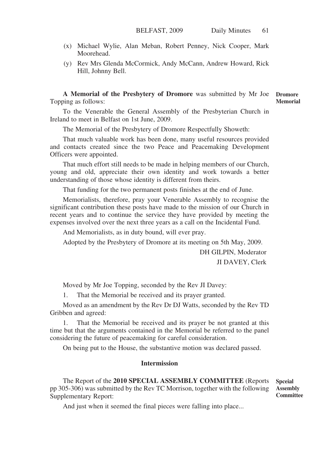- (x) Michael Wylie, Alan Meban, Robert Penney, Nick Cooper, Mark Moorehead.
- (y) Rev Mrs Glenda McCormick, Andy McCann, Andrew Howard, Rick Hill, Johnny Bell.

**A Memorial of the Presbytery of Dromore** was submitted by Mr Joe Topping as follows: **Dromore**

**Memorial**

61

To the Venerable the General Assembly of the Presbyterian Church in Ireland to meet in Belfast on 1st June, 2009.

The Memorial of the Presbytery of Dromore Respectfully Showeth:

That much valuable work has been done, many useful resources provided and contacts created since the two Peace and Peacemaking Development Officers were appointed.

That much effort still needs to be made in helping members of our Church, young and old, appreciate their own identity and work towards a better understanding of those whose identity is different from theirs.

That funding for the two permanent posts finishes at the end of June.

Memorialists, therefore, pray your Venerable Assembly to recognise the significant contribution these posts have made to the mission of our Church in recent years and to continue the service they have provided by meeting the expenses involved over the next three years as a call on the Incidental Fund.

And Memorialists, as in duty bound, will ever pray.

Adopted by the Presbytery of Dromore at its meeting on 5th May, 2009.

DH GILPIN, Moderator

JI DAVEY, Clerk

Moved by Mr Joe Topping, seconded by the Rev JI Davey:

1. That the Memorial be received and its prayer granted.

Moved as an amendment by the Rev Dr DJ Watts, seconded by the Rev TD Gribben and agreed:

1. That the Memorial be received and its prayer be not granted at this time but that the arguments contained in the Memorial be referred to the panel considering the future of peacemaking for careful consideration.

On being put to the House, the substantive motion was declared passed.

# **Intermission**

The Report of the **2010 SPECIAL ASSEMBLY COMMITTEE** (Reports pp 305-306) was submitted by the Rev TC Morrison, together with the following Supplementary Report:

**Spceial Assembly Committee**

And just when it seemed the final pieces were falling into place...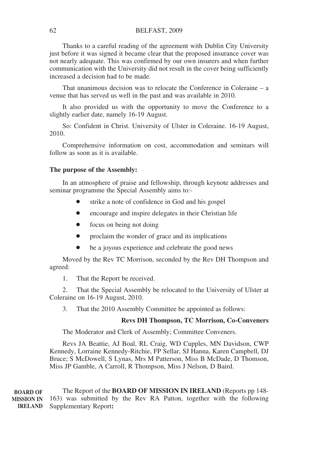#### BELFAST, 2009

Thanks to a careful reading of the agreement with Dublin City University just before it was signed it became clear that the proposed insurance cover was not nearly adequate. This was confirmed by our own insurers and when further communication with the University did not result in the cover being sufficiently increased a decision had to be made.

That unanimous decision was to relocate the Conference in Coleraine – a venue that has served us well in the past and was available in 2010.

It also provided us with the opportunity to move the Conference to a slightly earlier date, namely 16-19 August.

So: Confident in Christ. University of Ulster in Coleraine. 16-19 August, 2010.

Comprehensive information on cost, accommodation and seminars will follow as soon as it is available.

#### **The purpose of the Assembly:**

In an atmosphere of praise and fellowship, through keynote addresses and seminar programme the Special Assembly aims to:-

- strike a note of confidence in God and his gospel
- encourage and inspire delegates in their Christian life
- focus on being not doing
- proclaim the wonder of grace and its implications
- be a joyous experience and celebrate the good news

Moved by the Rev TC Morrison, seconded by the Rev DH Thompson and agreed:

1. That the Report be received.

2. That the Special Assembly be relocated to the University of Ulster at Coleraine on 16-19 August, 2010.

3. That the 2010 Assembly Committee be appointed as follows:

#### **Revs DH Thompson, TC Morrison, Co-Conveners**

The Moderator and Clerk of Assembly; Committee Conveners.

Revs JA Beattie, AJ Boal, RL Craig, WD Cupples, MN Davidson, CWP Kennedy, Lorraine Kennedy-Ritchie, FP Sellar, SJ Hanna, Karen Campbell, DJ Bruce; S McDowell, S Lynas, Mrs M Patterson, Miss B McDade, D Thomson, Miss JP Gamble, A Carroll, R Thompson, Miss J Nelson, D Baird.

The Report of the **BOARD OF MISSION IN IRELAND** (Reports pp 148- 163) was submitted by the Rev RA Patton, together with the following Supplementary Report**: BOARD OF MISSION IN IRELAND**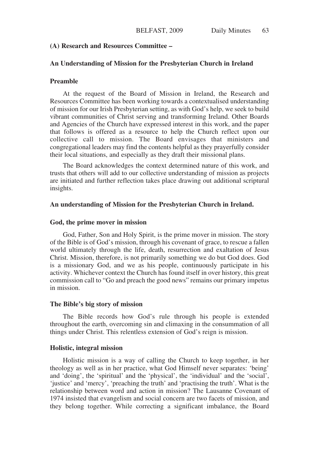# **(A) Research and Resources Committee –**

# **An Understanding of Mission for the Presbyterian Church in Ireland**

# **Preamble**

At the request of the Board of Mission in Ireland, the Research and Resources Committee has been working towards a contextualised understanding of mission for our Irish Presbyterian setting, as with God's help, we seek to build vibrant communities of Christ serving and transforming Ireland. Other Boards and Agencies of the Church have expressed interest in this work, and the paper that follows is offered as a resource to help the Church reflect upon our collective call to mission. The Board envisages that ministers and congregational leaders may find the contents helpful as they prayerfully consider their local situations, and especially as they draft their missional plans.

The Board acknowledges the context determined nature of this work, and trusts that others will add to our collective understanding of mission as projects are initiated and further reflection takes place drawing out additional scriptural insights.

#### **An understanding of Mission for the Presbyterian Church in Ireland.**

#### **God, the prime mover in mission**

God, Father, Son and Holy Spirit, is the prime mover in mission. The story of the Bible is of God's mission, through his covenant of grace, to rescue a fallen world ultimately through the life, death, resurrection and exaltation of Jesus Christ. Mission, therefore, is not primarily something we do but God does. God is a missionary God, and we as his people, continuously participate in his activity. Whichever context the Church has found itself in over history, this great commission call to "Go and preach the good news" remains our primary impetus in mission.

#### **The Bible's big story of mission**

The Bible records how God's rule through his people is extended throughout the earth, overcoming sin and climaxing in the consummation of all things under Christ. This relentless extension of God's reign is mission.

## **Holistic, integral mission**

Holistic mission is a way of calling the Church to keep together, in her theology as well as in her practice, what God Himself never separates: 'being' and 'doing', the 'spiritual' and the 'physical', the 'individual' and the 'social', 'justice' and 'mercy', 'preaching the truth' and 'practising the truth'. What is the relationship between word and action in mission? The Lausanne Covenant of 1974 insisted that evangelism and social concern are two facets of mission, and they belong together. While correcting a significant imbalance, the Board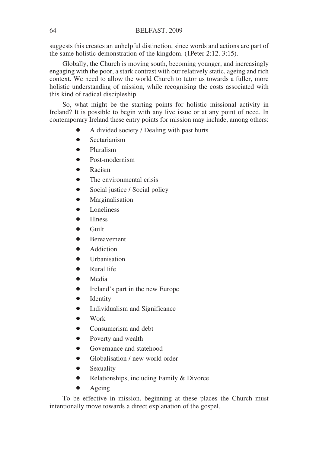suggests this creates an unhelpful distinction, since words and actions are part of the same holistic demonstration of the kingdom. (1Peter 2:12. 3:15).

Globally, the Church is moving south, becoming younger, and increasingly engaging with the poor, a stark contrast with our relatively static, ageing and rich context. We need to allow the world Church to tutor us towards a fuller, more holistic understanding of mission, while recognising the costs associated with this kind of radical discipleship.

So, what might be the starting points for holistic missional activity in Ireland? It is possible to begin with any live issue or at any point of need. In contemporary Ireland these entry points for mission may include, among others:

- A divided society / Dealing with past hurts
- Sectarianism
- Pluralism
- Post-modernism
- Racism
- The environmental crisis
- Social justice / Social policy
- Marginalisation
- Loneliness
- Illness
- Guilt
- Bereavement
- Addiction
- Urbanisation
- Rural life
- Media
- Ireland's part in the new Europe
- Identity
- Individualism and Significance
- Work
- Consumerism and debt
- Poverty and wealth
- Governance and statehood
- Globalisation / new world order
- Sexuality
- Relationships, including Family & Divorce
- Ageing

To be effective in mission, beginning at these places the Church must intentionally move towards a direct explanation of the gospel.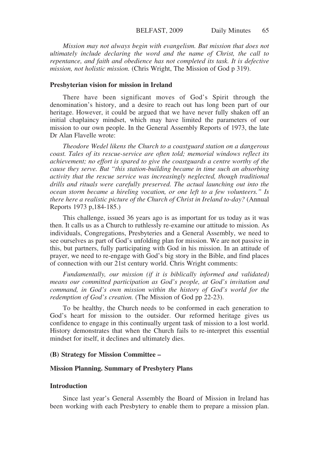*Mission may not always begin with evangelism. But mission that does not ultimately include declaring the word and the name of Christ, the call to repentance, and faith and obedience has not completed its task. It is defective mission, not holistic mission.* (Chris Wright, The Mission of God p 319).

#### **Presbyterian vision for mission in Ireland**

There have been significant moves of God's Spirit through the denomination's history, and a desire to reach out has long been part of our heritage. However, it could be argued that we have never fully shaken off an initial chaplaincy mindset, which may have limited the parameters of our mission to our own people. In the General Assembly Reports of 1973, the late Dr Alan Flavelle wrote:

*Theodore Wedel likens the Church to a coastguard station on a dangerous coast. Tales of its rescue-service are often told; memorial windows reflect its achievement; no effort is spared to give the coastguards a centre worthy of the cause they serve. But "this station-building became in time such an absorbing activity that the rescue service was increasingly neglected, though traditional drills and rituals were carefully preserved. The actual launching out into the ocean storm became a hireling vocation, or one left to a few volunteers." Is there here a realistic picture of the Church of Christ in Ireland to-day?* (Annual Reports 1973 p,184-185.)

This challenge, issued 36 years ago is as important for us today as it was then. It calls us as a Church to ruthlessly re-examine our attitude to mission. As individuals, Congregations, Presbyteries and a General Assembly, we need to see ourselves as part of God's unfolding plan for mission. We are not passive in this, but partners, fully participating with God in his mission. In an attitude of prayer, we need to re-engage with God's big story in the Bible, and find places of connection with our 21st century world. Chris Wright comments:

*Fundamentally, our mission (if it is biblically informed and validated) means our committed participation as God's people, at God's invitation and command, in God's own mission within the history of God's world for the redemption of God's creation.* (The Mission of God pp 22-23).

To be healthy, the Church needs to be conformed in each generation to God's heart for mission to the outsider. Our reformed heritage gives us confidence to engage in this continually urgent task of mission to a lost world. History demonstrates that when the Church fails to re-interpret this essential mindset for itself, it declines and ultimately dies.

#### **(B) Strategy for Mission Committee –**

#### **Mission Planning. Summary of Presbytery Plans**

#### **Introduction**

Since last year's General Assembly the Board of Mission in Ireland has been working with each Presbytery to enable them to prepare a mission plan.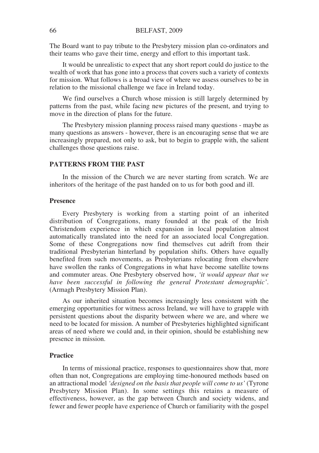The Board want to pay tribute to the Presbytery mission plan co-ordinators and their teams who gave their time, energy and effort to this important task.

It would be unrealistic to expect that any short report could do justice to the wealth of work that has gone into a process that covers such a variety of contexts for mission. What follows is a broad view of where we assess ourselves to be in relation to the missional challenge we face in Ireland today.

We find ourselves a Church whose mission is still largely determined by patterns from the past, while facing new pictures of the present, and trying to move in the direction of plans for the future.

The Presbytery mission planning process raised many questions - maybe as many questions as answers - however, there is an encouraging sense that we are increasingly prepared, not only to ask, but to begin to grapple with, the salient challenges those questions raise.

# **PATTERNS FROM THE PAST**

In the mission of the Church we are never starting from scratch. We are inheritors of the heritage of the past handed on to us for both good and ill.

#### **Presence**

Every Presbytery is working from a starting point of an inherited distribution of Congregations, many founded at the peak of the Irish Christendom experience in which expansion in local population almost automatically translated into the need for an associated local Congregation. Some of these Congregations now find themselves cut adrift from their traditional Presbyterian hinterland by population shifts. Others have equally benefited from such movements, as Presbyterians relocating from elsewhere have swollen the ranks of Congregations in what have become satellite towns and commuter areas. One Presbytery observed how, *'it would appear that we have been successful in following the general Protestant demographic'*. (Armagh Presbytery Mission Plan).

As our inherited situation becomes increasingly less consistent with the emerging opportunities for witness across Ireland, we will have to grapple with persistent questions about the disparity between where we are, and where we need to be located for mission. A number of Presbyteries highlighted significant areas of need where we could and, in their opinion, should be establishing new presence in mission.

# **Practice**

In terms of missional practice, responses to questionnaires show that, more often than not, Congregations are employing time-honoured methods based on an attractional model *'designed on the basis that people will come to us'* (Tyrone Presbytery Mission Plan). In some settings this retains a measure of effectiveness, however, as the gap between Church and society widens, and fewer and fewer people have experience of Church or familiarity with the gospel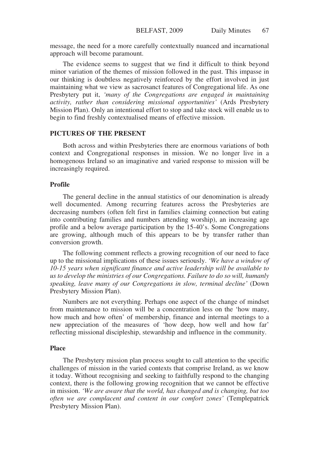message, the need for a more carefully contextually nuanced and incarnational approach will become paramount.

The evidence seems to suggest that we find it difficult to think beyond minor variation of the themes of mission followed in the past. This impasse in our thinking is doubtless negatively reinforced by the effort involved in just maintaining what we view as sacrosanct features of Congregational life. As one Presbytery put it, *'many of the Congregations are engaged in maintaining activity, rather than considering missional opportunities'* (Ards Presbytery Mission Plan). Only an intentional effort to stop and take stock will enable us to begin to find freshly contextualised means of effective mission.

# **PICTURES OF THE PRESENT**

Both across and within Presbyteries there are enormous variations of both context and Congregational responses in mission. We no longer live in a homogenous Ireland so an imaginative and varied response to mission will be increasingly required.

#### **Profile**

The general decline in the annual statistics of our denomination is already well documented. Among recurring features across the Presbyteries are decreasing numbers (often felt first in families claiming connection but eating into contributing families and numbers attending worship), an increasing age profile and a below average participation by the 15-40's. Some Congregations are growing, although much of this appears to be by transfer rather than conversion growth.

The following comment reflects a growing recognition of our need to face up to the missional implications of these issues seriously. *'We have a window of 10-15 years when significant finance and active leadership will be available to us to develop the ministries of our Congregations. Failure to do so will, humanly speaking, leave many of our Congregations in slow, terminal decline'* (Down Presbytery Mission Plan).

Numbers are not everything. Perhaps one aspect of the change of mindset from maintenance to mission will be a concentration less on the 'how many, how much and how often' of membership, finance and internal meetings to a new appreciation of the measures of 'how deep, how well and how far' reflecting missional discipleship, stewardship and influence in the community.

#### **Place**

The Presbytery mission plan process sought to call attention to the specific challenges of mission in the varied contexts that comprise Ireland, as we know it today. Without recognising and seeking to faithfully respond to the changing context, there is the following growing recognition that we cannot be effective in mission. *'We are aware that the world, has changed and is changing, but too often we are complacent and content in our comfort zones'* (Templepatrick Presbytery Mission Plan).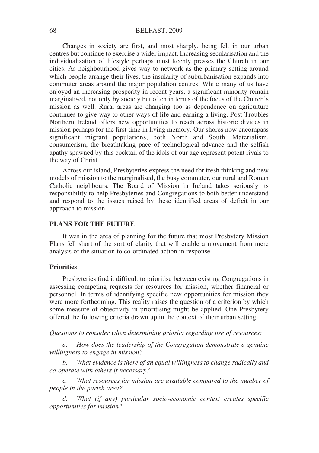#### BELFAST, 2009

Changes in society are first, and most sharply, being felt in our urban centres but continue to exercise a wider impact. Increasing secularisation and the individualisation of lifestyle perhaps most keenly presses the Church in our cities. As neighbourhood gives way to network as the primary setting around which people arrange their lives, the insularity of suburbanisation expands into commuter areas around the major population centres. While many of us have enjoyed an increasing prosperity in recent years, a significant minority remain marginalised, not only by society but often in terms of the focus of the Church's mission as well. Rural areas are changing too as dependence on agriculture continues to give way to other ways of life and earning a living. Post-Troubles Northern Ireland offers new opportunities to reach across historic divides in mission perhaps for the first time in living memory. Our shores now encompass significant migrant populations, both North and South. Materialism, consumerism, the breathtaking pace of technological advance and the selfish apathy spawned by this cocktail of the idols of our age represent potent rivals to the way of Christ.

Across our island, Presbyteries express the need for fresh thinking and new models of mission to the marginalised, the busy commuter, our rural and Roman Catholic neighbours. The Board of Mission in Ireland takes seriously its responsibility to help Presbyteries and Congregations to both better understand and respond to the issues raised by these identified areas of deficit in our approach to mission.

#### **PLANS FOR THE FUTURE**

It was in the area of planning for the future that most Presbytery Mission Plans fell short of the sort of clarity that will enable a movement from mere analysis of the situation to co-ordinated action in response.

#### **Priorities**

Presbyteries find it difficult to prioritise between existing Congregations in assessing competing requests for resources for mission, whether financial or personnel. In terms of identifying specific new opportunities for mission they were more forthcoming. This reality raises the question of a criterion by which some measure of objectivity in prioritising might be applied. One Presbytery offered the following criteria drawn up in the context of their urban setting.

*Questions to consider when determining priority regarding use of resources:*

*a. How does the leadership of the Congregation demonstrate a genuine willingness to engage in mission?*

*b. What evidence is there of an equal willingness to change radically and co-operate with others if necessary?*

*c. What resources for mission are available compared to the number of people in the parish area?*

*d. What (if any) particular socio-economic context creates specific opportunities for mission?*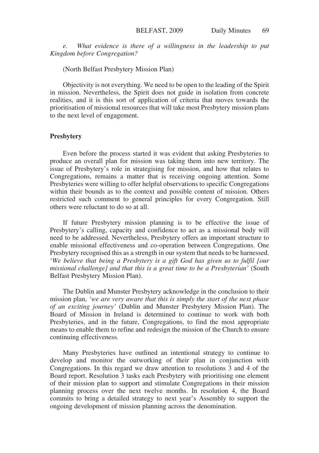*e. What evidence is there of a willingness in the leadership to put Kingdom before Congregation?*

(North Belfast Presbytery Mission Plan)

Objectivity is not everything. We need to be open to the leading of the Spirit in mission. Nevertheless, the Spirit does not guide in isolation from concrete realities, and it is this sort of application of criteria that moves towards the prioritisation of missional resources that will take most Presbytery mission plans to the next level of engagement.

# **Presbytery**

Even before the process started it was evident that asking Presbyteries to produce an overall plan for mission was taking them into new territory. The issue of Presbytery's role in strategising for mission, and how that relates to Congregations, remains a matter that is receiving ongoing attention. Some Presbyteries were willing to offer helpful observations to specific Congregations within their bounds as to the context and possible content of mission. Others restricted such comment to general principles for every Congregation. Still others were reluctant to do so at all.

If future Presbytery mission planning is to be effective the issue of Presbytery's calling, capacity and confidence to act as a missional body will need to be addressed. Nevertheless, Presbytery offers an important structure to enable missional effectiveness and co-operation between Congregations. One Presbytery recognised this as a strength in our system that needs to be harnessed. '*We believe that being a Presbytery is a gift God has given us to fulfil [our missional challenge] and that this is a great time to be a Presbyterian'* (South Belfast Presbytery Mission Plan).

The Dublin and Munster Presbytery acknowledge in the conclusion to their mission plan, *'we are very aware that this is simply the start of the next phase of an exciting journey'* (Dublin and Munster Presbytery Mission Plan). The Board of Mission in Ireland is determined to continue to work with both Presbyteries, and in the future, Congregations, to find the most appropriate means to enable them to refine and redesign the mission of the Church to ensure continuing effectiveness.

Many Presbyteries have outlined an intentional strategy to continue to develop and monitor the outworking of their plan in conjunction with Congregations. In this regard we draw attention to resolutions 3 and 4 of the Board report. Resolution 3 tasks each Presbytery with prioritising one element of their mission plan to support and stimulate Congregations in their mission planning process over the next twelve months. In resolution 4, the Board commits to bring a detailed strategy to next year's Assembly to support the ongoing development of mission planning across the denomination.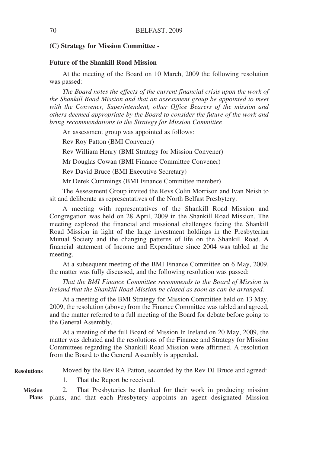# **(C) Strategy for Mission Committee -**

#### **Future of the Shankill Road Mission**

At the meeting of the Board on 10 March, 2009 the following resolution was passed:

*The Board notes the effects of the current financial crisis upon the work of the Shankill Road Mission and that an assessment group be appointed to meet with the Convener, Superintendent, other Office Bearers of the mission and others deemed appropriate by the Board to consider the future of the work and bring recommendations to the Strategy for Mission Committee*

An assessment group was appointed as follows:

Rev Roy Patton (BMI Convener)

Rev William Henry (BMI Strategy for Mission Convener)

Mr Douglas Cowan (BMI Finance Committee Convener)

Rev David Bruce (BMI Executive Secretary)

Mr Derek Cummings (BMI Finance Committee member)

The Assessment Group invited the Revs Colin Morrison and Ivan Neish to sit and deliberate as representatives of the North Belfast Presbytery.

A meeting with representatives of the Shankill Road Mission and Congregation was held on 28 April, 2009 in the Shankill Road Mission. The meeting explored the financial and missional challenges facing the Shankill Road Mission in light of the large investment holdings in the Presbyterian Mutual Society and the changing patterns of life on the Shankill Road. A financial statement of Income and Expenditure since 2004 was tabled at the meeting.

At a subsequent meeting of the BMI Finance Committee on 6 May, 2009, the matter was fully discussed, and the following resolution was passed:

*That the BMI Finance Committee recommends to the Board of Mission in Ireland that the Shankill Road Mission be closed as soon as can be arranged.*

At a meeting of the BMI Strategy for Mission Committee held on 13 May, 2009, the resolution (above) from the Finance Committee was tabled and agreed, and the matter referred to a full meeting of the Board for debate before going to the General Assembly.

At a meeting of the full Board of Mission In Ireland on 20 May, 2009, the matter was debated and the resolutions of the Finance and Strategy for Mission Committees regarding the Shankill Road Mission were affirmed. A resolution from the Board to the General Assembly is appended.

| <b>Resolutions</b> | Moved by the Rev RA Patton, seconded by the Rev DJ Bruce and agreed: |  |  |  |  |  |  |
|--------------------|----------------------------------------------------------------------|--|--|--|--|--|--|
|                    | 1. That the Report be received.                                      |  |  |  |  |  |  |
| <b>Mission</b>     | 2. That Presbyteries be thanked for their work in producing mission  |  |  |  |  |  |  |
| Plans              | plans, and that each Presbytery appoints an agent designated Mission |  |  |  |  |  |  |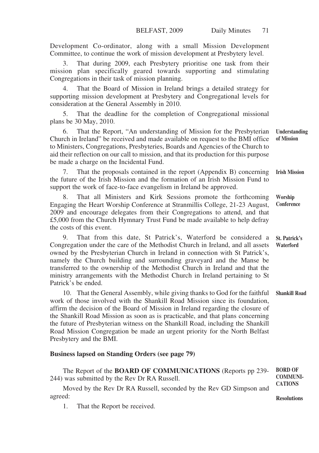Development Co-ordinator, along with a small Mission Development Committee, to continue the work of mission development at Presbytery level.

3. That during 2009, each Presbytery prioritise one task from their mission plan specifically geared towards supporting and stimulating Congregations in their task of mission planning.

4. That the Board of Mission in Ireland brings a detailed strategy for supporting mission development at Presbytery and Congregational levels for consideration at the General Assembly in 2010.

5. That the deadline for the completion of Congregational missional plans be 30 May, 2010.

6. That the Report, "An understanding of Mission for the Presbyterian Church in Ireland" be received and made available on request to the BMI office to Ministers, Congregations, Presbyteries, Boards and Agencies of the Church to aid their reflection on our call to mission, and that its production for this purpose be made a charge on the Incidental Fund. **Understanding of Mission**

7. That the proposals contained in the report (Appendix B) concerning the future of the Irish Mission and the formation of an Irish Mission Fund to support the work of face-to-face evangelism in Ireland be approved. **Irish Mission**

8. That all Ministers and Kirk Sessions promote the forthcoming Engaging the Heart Worship Conference at Stranmillis College, 21-23 August, 2009 and encourage delegates from their Congregations to attend, and that £5,000 from the Church Hymnary Trust Fund be made available to help defray the costs of this event. **Worship Conference**

9. That from this date, St Patrick's, Waterford be considered a Congregation under the care of the Methodist Church in Ireland, and all assets owned by the Presbyterian Church in Ireland in connection with St Patrick's, namely the Church building and surrounding graveyard and the Manse be transferred to the ownership of the Methodist Church in Ireland and that the ministry arrangements with the Methodist Church in Ireland pertaining to St Patrick's be ended. **St. Patrick's Waterford**

10. That the General Assembly, while giving thanks to God for the faithful work of those involved with the Shankill Road Mission since its foundation, affirm the decision of the Board of Mission in Ireland regarding the closure of the Shankill Road Mission as soon as is practicable, and that plans concerning the future of Presbyterian witness on the Shankill Road, including the Shankill Road Mission Congregation be made an urgent priority for the North Belfast Presbytery and the BMI. **Shankill Road**

### **Business lapsed on Standing Orders (see page 79)**

| The Report of the <b>BOARD OF COMMUNICATIONS</b> (Reports pp 239-  | <b>BORD OF</b>  |
|--------------------------------------------------------------------|-----------------|
| 244) was submitted by the Rev Dr RA Russell.                       | <b>COMMUNI-</b> |
| Moved by the Rev Dr RA Russell, seconded by the Rev GD Simpson and | <b>CATIONS</b>  |
| agreed:                                                            | Resolutions     |

**Resolutions**

1. That the Report be received.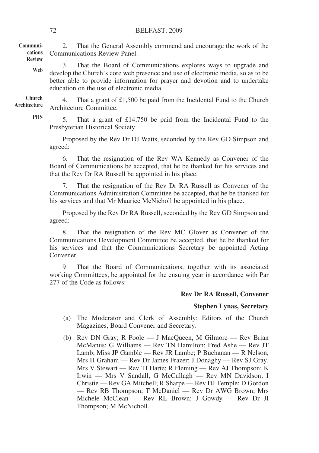#### BELFAST, 2009

72

2. That the General Assembly commend and encourage the work of the Communications Review Panel. **Communications Review**

3. That the Board of Communications explores ways to upgrade and develop the Church's core web presence and use of electronic media, so as to be better able to provide information for prayer and devotion and to undertake education on the use of electronic media. **Web**

4. That a grant of £1,500 be paid from the Incidental Fund to the Church Architecture Committee. **Church Architecture**

**PHS**

5. That a grant of £14,750 be paid from the Incidental Fund to the Presbyterian Historical Society.

Proposed by the Rev Dr DJ Watts, seconded by the Rev GD Simpson and agreed:

6. That the resignation of the Rev WA Kennedy as Convener of the Board of Communications be accepted, that he be thanked for his services and that the Rev Dr RA Russell be appointed in his place.

7. That the resignation of the Rev Dr RA Russell as Convener of the Communications Administration Committee be accepted, that he be thanked for his services and that Mr Maurice McNicholl be appointed in his place.

Proposed by the Rev Dr RA Russell, seconded by the Rev GD Simpson and agreed:

8. That the resignation of the Rev MC Glover as Convener of the Communications Development Committee be accepted, that he be thanked for his services and that the Communications Secretary be appointed Acting Convener.

9 That the Board of Communications, together with its associated working Committees, be appointed for the ensuing year in accordance with Par 277 of the Code as follows:

#### **Rev Dr RA Russell, Convener**

#### **Stephen Lynas, Secretary**

- (a) The Moderator and Clerk of Assembly; Editors of the Church Magazines, Board Convener and Secretary.
- (b) Rev DN Gray; R Poole J MacQueen, M Gilmore Rev Brian McManus; G Williams — Rev TN Hamilton; Fred Ashe — Rev JT Lamb; Miss JP Gamble — Rev JR Lambe; P Buchanan — R Nelson, Mrs H Graham — Rev Dr James Frazer; J Donaghy — Rev SJ Gray, Mrs V Stewart — Rev TI Harte; R Fleming — Rev AJ Thompson; K Irwin — Mrs V Sandall, G McCullagh — Rev MN Davidson; I Christie — Rev GA Mitchell; R Sharpe — Rev DJ Temple; D Gordon — Rev RB Thompson; T McDaniel — Rev Dr AWG Brown; Mrs Michele McClean — Rev RL Brown; J Gowdy — Rev Dr JI Thompson; M McNicholl.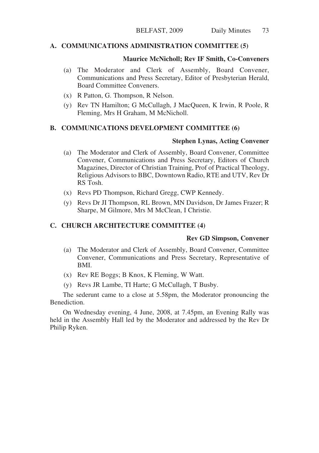# **A. COMMUNICATIONS ADMINISTRATION COMMITTEE (5)**

# **Maurice McNicholl; Rev IF Smith, Co-Conveners**

- (a) The Moderator and Clerk of Assembly, Board Convener, Communications and Press Secretary, Editor of Presbyterian Herald, Board Committee Conveners.
- (x) R Patton, G. Thompson, R Nelson.
- (y) Rev TN Hamilton; G McCullagh, J MacQueen, K Irwin, R Poole, R Fleming, Mrs H Graham, M McNicholl.

# **B. COMMUNICATIONS DEVELOPMENT COMMITTEE (6)**

# **Stephen Lynas, Acting Convener**

- (a) The Moderator and Clerk of Assembly, Board Convener, Committee Convener, Communications and Press Secretary, Editors of Church Magazines, Director of Christian Training, Prof of Practical Theology, Religious Advisors to BBC, Downtown Radio, RTE and UTV, Rev Dr RS Tosh.
- (x) Revs PD Thompson, Richard Gregg, CWP Kennedy.
- (y) Revs Dr JI Thompson, RL Brown, MN Davidson, Dr James Frazer; R Sharpe, M Gilmore, Mrs M McClean, I Christie.

# **C. CHURCH ARCHITECTURE COMMITTEE (4)**

# **Rev GD Simpson, Convener**

- (a) The Moderator and Clerk of Assembly, Board Convener, Committee Convener, Communications and Press Secretary, Representative of BMI.
- (x) Rev RE Boggs; B Knox, K Fleming, W Watt.
- (y) Revs JR Lambe, TI Harte; G McCullagh, T Busby.

The sederunt came to a close at 5.58pm, the Moderator pronouncing the Benediction.

On Wednesday evening, 4 June, 2008, at 7.45pm, an Evening Rally was held in the Assembly Hall led by the Moderator and addressed by the Rev Dr Philip Ryken.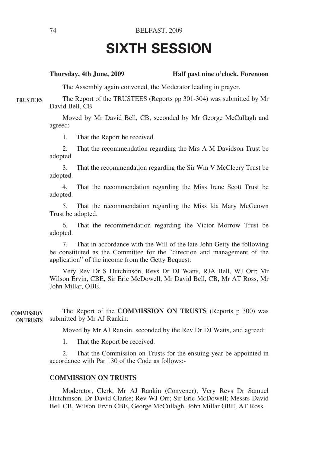# **SIXTH SESSION**

# **Thursday, 4th June, 2009 Half past nine o'clock. Forenoon**

The Assembly again convened, the Moderator leading in prayer.

The Report of the TRUSTEES (Reports pp 301-304) was submitted by Mr David Bell, CB **TRUSTEES**

> Moved by Mr David Bell, CB, seconded by Mr George McCullagh and agreed:

1. That the Report be received.

2. That the recommendation regarding the Mrs A M Davidson Trust be adopted.

3. That the recommendation regarding the Sir Wm V McCleery Trust be adopted.

4. That the recommendation regarding the Miss Irene Scott Trust be adopted.

5. That the recommendation regarding the Miss Ida Mary McGeown Trust be adopted.

6. That the recommendation regarding the Victor Morrow Trust be adopted.

7. That in accordance with the Will of the late John Getty the following be constituted as the Committee for the "direction and management of the application" of the income from the Getty Bequest:

Very Rev Dr S Hutchinson, Revs Dr DJ Watts, RJA Bell, WJ Orr; Mr Wilson Ervin, CBE, Sir Eric McDowell, Mr David Bell, CB, Mr AT Ross, Mr John Millar, OBE.

The Report of the **COMMISSION ON TRUSTS** (Reports p 300) was submitted by Mr AJ Rankin. **COMMISSION ON TRUSTS**

Moved by Mr AJ Rankin, seconded by the Rev Dr DJ Watts, and agreed:

1. That the Report be received.

2. That the Commission on Trusts for the ensuing year be appointed in accordance with Par 130 of the Code as follows:-

# **COMMISSION ON TRUSTS**

Moderator, Clerk, Mr AJ Rankin (Convener); Very Revs Dr Samuel Hutchinson, Dr David Clarke; Rev WJ Orr; Sir Eric McDowell; Messrs David Bell CB, Wilson Ervin CBE, George McCullagh, John Millar OBE, AT Ross.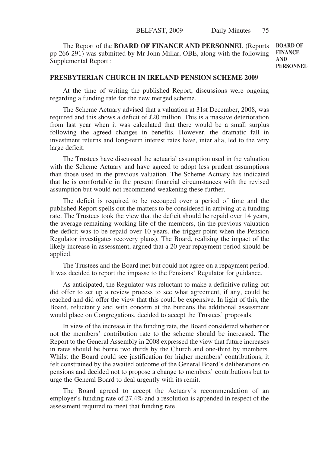The Report of the **BOARD OF FINANCE AND PERSONNEL** (Reports pp 266-291) was submitted by Mr John Millar, OBE, along with the following Supplemental Report : **BOARD OF AND**

**FINANCE PERSONNEL**

### **PRESBYTERIAN CHURCH IN IRELAND PENSION SCHEME 2009**

At the time of writing the published Report, discussions were ongoing regarding a funding rate for the new merged scheme.

The Scheme Actuary advised that a valuation at 31st December, 2008, was required and this shows a deficit of £20 million. This is a massive deterioration from last year when it was calculated that there would be a small surplus following the agreed changes in benefits. However, the dramatic fall in investment returns and long-term interest rates have, inter alia, led to the very large deficit.

The Trustees have discussed the actuarial assumption used in the valuation with the Scheme Actuary and have agreed to adopt less prudent assumptions than those used in the previous valuation. The Scheme Actuary has indicated that he is comfortable in the present financial circumstances with the revised assumption but would not recommend weakening these further.

The deficit is required to be recouped over a period of time and the published Report spells out the matters to be considered in arriving at a funding rate. The Trustees took the view that the deficit should be repaid over 14 years, the average remaining working life of the members, (in the previous valuation the deficit was to be repaid over 10 years, the trigger point when the Pension Regulator investigates recovery plans). The Board, realising the impact of the likely increase in assessment, argued that a 20 year repayment period should be applied.

The Trustees and the Board met but could not agree on a repayment period. It was decided to report the impasse to the Pensions' Regulator for guidance.

As anticipated, the Regulator was reluctant to make a definitive ruling but did offer to set up a review process to see what agreement, if any, could be reached and did offer the view that this could be expensive. In light of this, the Board, reluctantly and with concern at the burdens the additional assessment would place on Congregations, decided to accept the Trustees' proposals.

In view of the increase in the funding rate, the Board considered whether or not the members' contribution rate to the scheme should be increased. The Report to the General Assembly in 2008 expressed the view that future increases in rates should be borne two thirds by the Church and one-third by members. Whilst the Board could see justification for higher members' contributions, it felt constrained by the awaited outcome of the General Board's deliberations on pensions and decided not to propose a change to members' contributions but to urge the General Board to deal urgently with its remit.

The Board agreed to accept the Actuary's recommendation of an employer's funding rate of 27.4% and a resolution is appended in respect of the assessment required to meet that funding rate.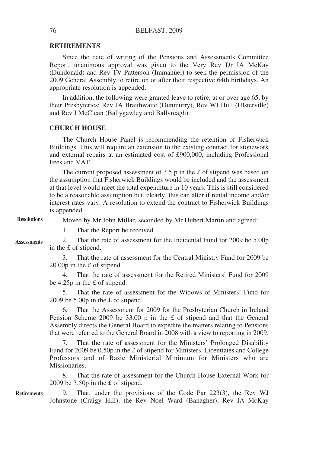#### **RETIREMENTS**

Since the date of writing of the Pensions and Assessments Committee Report, unanimous approval was given to the Very Rev Dr IA McKay (Dundonald) and Rev TV Patterson (Immanuel) to seek the permission of the 2009 General Assembly to retire on or after their respective 64th birthdays. An appropriate resolution is appended.

In addition, the following were granted leave to retire, at or over age 65, by their Presbyteries: Rev JA Braithwaite (Dunmurry), Rev WI Hull (Ulsterville) and Rev I McClean (Ballygawley and Ballyreagh).

#### **CHURCH HOUSE**

The Church House Panel is recommending the retention of Fisherwick Buildings. This will require an extension to the existing contract for stonework and external repairs at an estimated cost of £900,000, including Professional Fees and VAT.

The current proposed assessment of  $3.5$  p in the £ of stipend was based on the assumption that Fisherwick Buildings would be included and the assessment at that level would meet the total expenditure in 10 years. This is still considered to be a reasonable assumption but, clearly, this can alter if rental income and/or interest rates vary. A resolution to extend the contract to Fisherwick Buildings is appended.

**Resolutions**

Moved by Mr John Millar, seconded by Mr Hubert Martin and agreed:

1. That the Report be received.

**Assessments**

2. That the rate of assessment for the Incidental Fund for 2009 be 5.00p in the £ of stipend.

3. That the rate of assessment for the Central Ministry Fund for 2009 be 20.00p in the £ of stipend.

4. That the rate of assessment for the Retired Ministers' Fund for 2009 be 4.25p in the £ of stipend.

5. That the rate of assessment for the Widows of Ministers' Fund for 2009 be 5.00p in the £ of stipend.

6. That the Assessment for 2009 for the Presbyterian Church in Ireland Pension Scheme 2009 be 33.00 p in the £ of stipend and that the General Assembly directs the General Board to expedite the matters relating to Pensions that were referred to the General Board in 2008 with a view to reporting in 2009.

7. That the rate of assessment for the Ministers' Prolonged Disability Fund for 2009 be 0.50p in the £ of stipend for Ministers, Licentiates and College Professors and of Basic Ministerial Minimum for Ministers who are Missionaries.

8. That the rate of assessment for the Church House External Work for 2009 be 3.50p in the £ of stipend.

9. That, under the provisions of the Code Par 223(3), the Rev WJ Johnstone (Craigy Hill), the Rev Noel Ward (Banagher), Rev IA McKay **Retirements**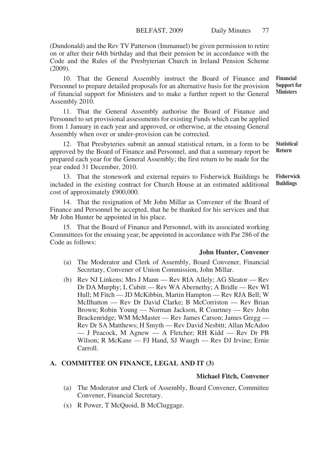(Dundonald) and the Rev TV Patterson (Immanuel) be given permission to retire on or after their 64th birthday and that their pension be in accordance with the Code and the Rules of the Presbyterian Church in Ireland Pension Scheme (2009).

10. That the General Assembly instruct the Board of Finance and Personnel to prepare detailed proposals for an alternative basis for the provision of financial support for Ministers and to make a further report to the General Assembly 2010. **Financial**

11. That the General Assembly authorise the Board of Finance and Personnel to set provisional assessments for existing Funds which can be applied from 1 January in each year and approved, or otherwise, at the ensuing General Assembly when over or under-provision can be corrected.

12. That Presbyteries submit an annual statistical return, in a form to be approved by the Board of Finance and Personnel, and that a summary report be prepared each year for the General Assembly; the first return to be made for the year ended 31 December, 2010. **Statistical Return**

13. That the stonework and external repairs to Fisherwick Buildings be included in the existing contract for Church House at an estimated additional cost of approximately £900,000. **Fisherwick Buildings**

14. That the resignation of Mr John Millar as Convener of the Board of Finance and Personnel be accepted, that he be thanked for his services and that Mr John Hunter be appointed in his place.

15. That the Board of Finance and Personnel, with its associated working Committees for the ensuing year, be appointed in accordance with Par 286 of the Code as follows:

# **John Hunter, Convener**

- (a) The Moderator and Clerk of Assembly, Board Convener, Financial Secretary, Convener of Union Commission, John Millar.
- (b) Rev NJ Linkens; Mrs J Mann Rev RIA Allely; AG Sleator Rev Dr DA Murphy; L Cubitt — Rev WA Abernethy; A Bridle — Rev WI Hull; M Fitch — JD McKibbin, Martin Hampton — Rev RJA Bell; W McIlhatton — Rev Dr David Clarke; B McCorriston — Rev Brian Brown; Robin Young — Norman Jackson, R Courtney — Rev John Brackenridge; WM McMaster — Rev James Carson; James Gregg — Rev Dr SA Matthews; H Smyth — Rev David Nesbitt; Allan McAdoo — J Peacock, M Agnew — A Fletcher; RH Kidd — Rev Dr PB Wilson; R McKane — FJ Hand, SJ Waugh — Rev DJ Irvine; Ernie Carroll.

# **A. COMMITTEE ON FINANCE, LEGAL AND IT (3)**

# **Michael Fitch, Convener**

- (a) The Moderator and Clerk of Assembly, Board Convener, Committee Convener, Financial Secretary.
- (x) R Power, T McQuoid, B McCluggage.

**Support for Ministers**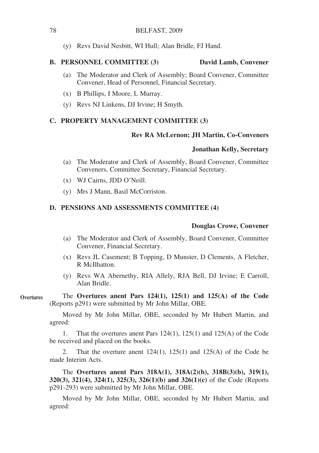(y) Revs David Nesbitt, WI Hull; Alan Bridle, FJ Hand.

#### **B. PERSONNEL COMMITTEE (3) David Lamb, Convener**

- (a) The Moderator and Clerk of Assembly; Board Convener, Committee Convener, Head of Personnel, Financial Secretary.
- (x) B Phillips, I Moore, L Murray.
- (y) Revs NJ Linkens, DJ Irvine; H Smyth.

# **C. PROPERTY MANAGEMENT COMMITTEE (3)**

# **Rev RA McLernon; JH Martin, Co-Conveners**

# **Jonathan Kelly, Secretary**

- (a) The Moderator and Clerk of Assembly, Board Convener, Committee Conveners, Committee Secretary, Financial Secretary.
- (x) WJ Cairns, JDD O'Neill.
- (y) Mrs J Mann, Basil McCorriston.

# **D. PENSIONS AND ASSESSMENTS COMMITTEE (4)**

# **Douglas Crowe, Convener**

- (a) The Moderator and Clerk of Assembly, Board Convener, Committee Convener, Financial Secretary.
- (x) Revs JL Casement; B Topping, D Munster, D Clements, A Fletcher, R McIlhatton.
- (y) Revs WA Abernethy, RIA Allely, RJA Bell, DJ Irvine; E Carroll, Alan Bridle.
- The **Overtures anent Pars 124(1), 125(1) and 125(A) of the Code** (Reports p291) were submitted by Mr John Millar, OBE. **Overtures**

Moved by Mr John Millar, OBE, seconded by Mr Hubert Martin, and agreed:

1. That the overtures anent Pars 124(1), 125(1) and 125(A) of the Code be received and placed on the books.

2. That the overture anent  $124(1)$ ,  $125(1)$  and  $125(A)$  of the Code be made Interim Acts.

The **Overtures anent Pars 318A(1), 318A(2)(b), 318B(3)(b), 319(1), 320(3), 321(4), 324(1), 325(3), 326(1)(b) and 326(1)(c)** of the Code (Reports p291-293) were submitted by Mr John Millar, OBE.

Moved by Mr John Millar, OBE, seconded by Mr Hubert Martin, and agreed: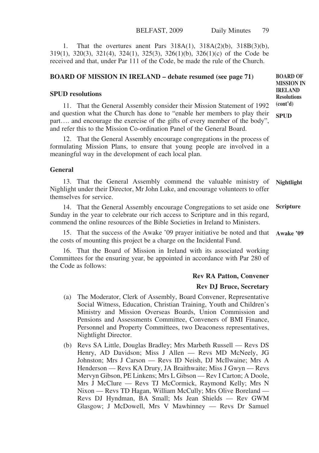1. That the overtures anent Pars 318A(1), 318A(2)(b), 318B(3)(b), 319(1), 320(3), 321(4), 324(1), 325(3), 326(1)(b), 326(1)(c) of the Code be received and that, under Par 111 of the Code, be made the rule of the Church.

# **BOARD OF MISSION IN IRELAND – debate resumed (see page 71)**

#### **SPUD resolutions**

11. That the General Assembly consider their Mission Statement of 1992 and question what the Church has done to "enable her members to play their part…. and encourage the exercise of the gifts of every member of the body", and refer this to the Mission Co-ordination Panel of the General Board.

12. That the General Assembly encourage congregations in the process of formulating Mission Plans, to ensure that young people are involved in a meaningful way in the development of each local plan.

# **General**

13. That the General Assembly commend the valuable ministry of Nighlight under their Director, Mr John Luke, and encourage volunteers to offer themselves for service. **Nightlight**

14. That the General Assembly encourage Congregations to set aside one Sunday in the year to celebrate our rich access to Scripture and in this regard, commend the online resources of the Bible Societies in Ireland to Ministers. **Scripture**

15. That the success of the Awake '09 prayer initiative be noted and that **Awake '09**the costs of mounting this project be a charge on the Incidental Fund.

16. That the Board of Mission in Ireland with its associated working Committees for the ensuring year, be appointed in accordance with Par 280 of the Code as follows:

#### **Rev RA Patton, Convener**

#### **Rev DJ Bruce, Secretary**

- (a) The Moderator, Clerk of Assembly, Board Convener, Representative Social Witness, Education, Christian Training, Youth and Children's Ministry and Mission Overseas Boards, Union Commission and Pensions and Assessments Committee, Conveners of BMI Finance, Personnel and Property Committees, two Deaconess representatives, Nightlight Director.
- (b) Revs SA Little, Douglas Bradley; Mrs Marbeth Russell Revs DS Henry, AD Davidson; Miss J Allen — Revs MD McNeely, JG Johnston; Mrs J Carson — Revs ID Neish, DJ McIlwaine; Mrs A Henderson — Revs KA Drury, JA Braithwaite; Miss J Gwyn — Revs Mervyn Gibson, PE Linkens; Mrs L Gibson — Rev I Carton; A Doole, Mrs J McClure — Revs TJ McCormick, Raymond Kelly; Mrs N Nixon — Revs TD Hagan, William McCully; Mrs Olive Boreland — Revs DJ Hyndman, BA Small; Ms Jean Shields — Rev GWM Glasgow; J McDowell, Mrs V Mawhinney — Revs Dr Samuel

**BOARD OF MISSION IN IRELAND Resolutions (cont'd)**

**SPUD**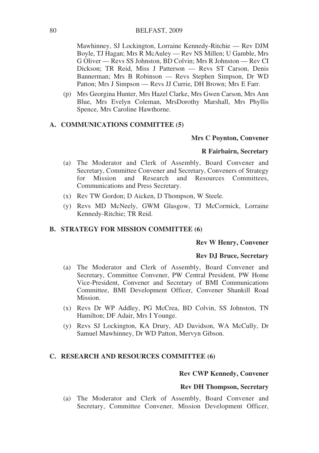Mawhinney, SJ Lockington, Lorraine Kennedy-Ritchie — Rev DJM Boyle, TJ Hagan; Mrs R McAuley — Rev NS Millen; U Gamble, Mrs G Oliver — Revs SS Johnston, BD Colvin; Mrs R Johnston — Rev CI Dickson; TR Reid, Miss J Patterson — Revs ST Carson, Denis Bannerman; Mrs B Robinson — Revs Stephen Simpson, Dr WD Patton; Mrs J Simpson — Revs JJ Currie, DH Brown; Mrs E Farr.

(p) Mrs Georgina Hunter, Mrs Hazel Clarke, Mrs Gwen Carson, Mrs Ann Blue, Mrs Evelyn Coleman, MrsDorothy Marshall, Mrs Phyllis Spence, Mrs Caroline Hawthorne.

# **A. COMMUNICATIONS COMMITTEE (5)**

# **Mrs C Poynton, Convener**

# **R Fairbairn, Secretary**

- (a) The Moderator and Clerk of Assembly, Board Convener and Secretary, Committee Convener and Secretary, Conveners of Strategy for Mission and Research and Resources Committees, Communications and Press Secretary.
- (x) Rev TW Gordon; D Aicken, D Thompson, W Steele.
- (y) Revs MD McNeely, GWM Glasgow, TJ McCormick, Lorraine Kennedy-Ritchie; TR Reid.

# **B. STRATEGY FOR MISSION COMMITTEE (6)**

# **Rev W Henry, Convener**

# **Rev DJ Bruce, Secretary**

- (a) The Moderator and Clerk of Assembly, Board Convener and Secretary, Committee Convener, PW Central President, PW Home Vice-President, Convener and Secretary of BMI Communications Committee, BMI Development Officer, Convener Shankill Road Mission.
- (x) Revs Dr WP Addley, PG McCrea, BD Colvin, SS Johnston, TN Hamilton; DF Adair, Mrs I Younge.
- (y) Revs SJ Lockington, KA Drury, AD Davidson, WA McCully, Dr Samuel Mawhinney, Dr WD Patton, Mervyn Gibson.

# **C. RESEARCH AND RESOURCES COMMITTEE (6)**

# **Rev CWP Kennedy, Convener**

# **Rev DH Thompson, Secretary**

(a) The Moderator and Clerk of Assembly, Board Convener and Secretary, Committee Convener, Mission Development Officer,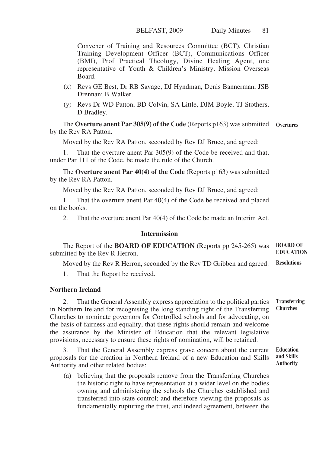Convener of Training and Resources Committee (BCT), Christian Training Development Officer (BCT), Communications Officer (BMI), Prof Practical Theology, Divine Healing Agent, one representative of Youth & Children's Ministry, Mission Overseas Board.

- (x) Revs GE Best, Dr RB Savage, DJ Hyndman, Denis Bannerman, JSB Drennan; B Walker.
- (y) Revs Dr WD Patton, BD Colvin, SA Little, DJM Boyle, TJ Stothers, D Bradley.

The **Overture anent Par 305(9) of the Code** (Reports p163) was submitted Overtures by the Rev RA Patton.

Moved by the Rev RA Patton, seconded by Rev DJ Bruce, and agreed:

That the overture anent Par 305(9) of the Code be received and that, under Par 111 of the Code, be made the rule of the Church.

The **Overture anent Par 40(4) of the Code** (Reports p163) was submitted by the Rev RA Patton.

Moved by the Rev RA Patton, seconded by Rev DJ Bruce, and agreed:

1. That the overture anent Par 40(4) of the Code be received and placed on the books.

2. That the overture anent Par 40(4) of the Code be made an Interim Act.

# **Intermission**

The Report of the **BOARD OF EDUCATION** (Reports pp 245-265) was submitted by the Rev R Herron. **BOARD OF EDUCATION**

Moved by the Rev R Herron, seconded by the Rev TD Gribben and agreed: **Resolutions**

1. That the Report be received.

# **Northern Ireland**

2. That the General Assembly express appreciation to the political parties in Northern Ireland for recognising the long standing right of the Transferring Churches to nominate governors for Controlled schools and for advocating, on the basis of fairness and equality, that these rights should remain and welcome the assurance by the Minister of Education that the relevant legislative provisions, necessary to ensure these rights of nomination, will be retained. **Transferring Churches**

3. That the General Assembly express grave concern about the current proposals for the creation in Northern Ireland of a new Education and Skills Authority and other related bodies:

(a) believing that the proposals remove from the Transferring Churches the historic right to have representation at a wider level on the bodies owning and administering the schools the Churches established and transferred into state control; and therefore viewing the proposals as fundamentally rupturing the trust, and indeed agreement, between the

**Education and Skills Authority**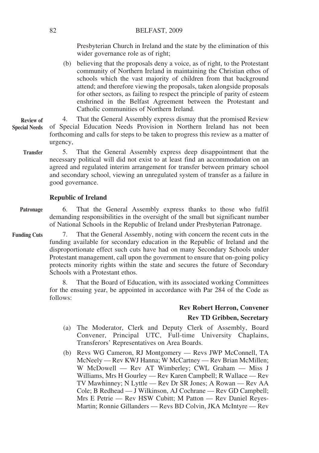Presbyterian Church in Ireland and the state by the elimination of this wider governance role as of right;

(b) believing that the proposals deny a voice, as of right, to the Protestant community of Northern Ireland in maintaining the Christian ethos of schools which the vast majority of children from that background attend; and therefore viewing the proposals, taken alongside proposals for other sectors, as failing to respect the principle of parity of esteem enshrined in the Belfast Agreement between the Protestant and Catholic communities of Northern Ireland.

4. That the General Assembly express dismay that the promised Review of Special Education Needs Provision in Northern Ireland has not been forthcoming and calls for steps to be taken to progress this review as a matter of urgency, **Review of Special Needs**

5. That the General Assembly express deep disappointment that the necessary political will did not exist to at least find an accommodation on an agreed and regulated interim arrangement for transfer between primary school and secondary school, viewing an unregulated system of transfer as a failure in good governance. **Transfer**

# **Republic of Ireland**

- 6. That the General Assembly express thanks to those who fulfil demanding responsibilities in the oversight of the small but significant number of National Schools in the Republic of Ireland under Presbyterian Patronage. **Patronage**
- 7. That the General Assembly, noting with concern the recent cuts in the funding available for secondary education in the Republic of Ireland and the disproportionate effect such cuts have had on many Secondary Schools under Protestant management, call upon the government to ensure that on-going policy protects minority rights within the state and secures the future of Secondary Schools with a Protestant ethos. **Funding Cuts**

That the Board of Education, with its associated working Committees for the ensuing year, be appointed in accordance with Par 284 of the Code as follows:

# **Rev Robert Herron, Convener**

# **Rev TD Gribben, Secretary**

- (a) The Moderator, Clerk and Deputy Clerk of Assembly, Board Convener, Principal UTC, Full-time University Chaplains, Transferors' Representatives on Area Boards.
- (b) Revs WG Cameron, RJ Montgomery Revs JWP McConnell, TA McNeely — Rev KWJ Hanna; W McCartney — Rev Brian McMillen; W McDowell — Rev AT Wimberley; CWL Graham — Miss J Williams, Mrs H Gourley — Rev Karen Campbell; R Wallace — Rev TV Mawhinney; N Lyttle — Rev Dr SR Jones; A Rowan — Rev AA Cole; B Redhead — J Wilkinson, AJ Cochrane — Rev GD Campbell; Mrs E Petrie — Rev HSW Cubitt; M Patton — Rev Daniel Reyes-Martin; Ronnie Gillanders — Revs BD Colvin, JKA McIntyre — Rev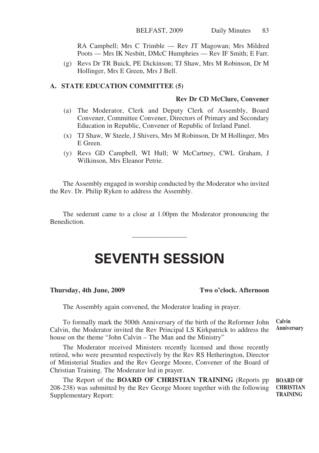RA Campbell; Mrs C Trimble — Rev JT Magowan; Mrs Mildred Poots — Mrs IK Nesbitt, DMcC Humphries — Rev IF Smith; E Farr.

(g) Revs Dr TR Buick, PE Dickinson; TJ Shaw, Mrs M Robinson, Dr M Hollinger, Mrs E Green, Mrs J Bell.

# **A. STATE EDUCATION COMMITTEE (5)**

#### **Rev Dr CD McClure, Convener**

- (a) The Moderator, Clerk and Deputy Clerk of Assembly, Board Convener, Committee Convener, Directors of Primary and Secondary Education in Republic, Convener of Republic of Ireland Panel.
- (x) TJ Shaw, W Steele, J Shivers, Mrs M Robinson, Dr M Hollinger, Mrs E Green.
- (y) Revs GD Campbell, WI Hull; W McCartney, CWL Graham, J Wilkinson, Mrs Eleanor Petrie.

The Assembly engaged in worship conducted by the Moderator who invited the Rev. Dr. Philip Ryken to address the Assembly.

The sederunt came to a close at 1.00pm the Moderator pronouncing the Benediction.

————————

# **SEVENTH SESSION**

#### Thursday, 4th June, 2009 Two o'clock. Afternoon

The Assembly again convened, the Moderator leading in prayer.

To formally mark the 500th Anniversary of the birth of the Reformer John Calvin, the Moderator invited the Rev Principal LS Kirkpatrick to address the house on the theme "John Calvin – The Man and the Ministry" **Calvin**

The Moderator received Ministers recently licensed and those recently retired, who were presented respectively by the Rev RS Hetherington, Director of Ministerial Studies and the Rev George Moore, Convener of the Board of Christian Training. The Moderator led in prayer.

The Report of the **BOARD OF CHRISTIAN TRAINING** (Reports pp 208-238) was submitted by the Rev George Moore together with the following Supplementary Report: **BOARD OF CHRISTIAN TRAINING**

**Anniversary**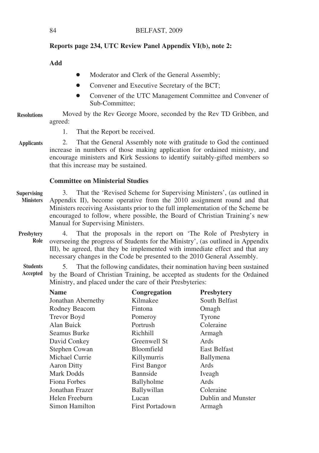# **Reports page 234, UTC Review Panel Appendix VI(b), note 2:**

**Add**

- Moderator and Clerk of the General Assembly:
- Convener and Executive Secretary of the BCT;
- Convener of the UTC Management Committee and Convener of Sub-Committee;
- Moved by the Rev George Moore, seconded by the Rev TD Gribben, and agreed: **Resolutions**
	- 1. That the Report be received.
- 2. That the General Assembly note with gratitude to God the continued increase in numbers of those making application for ordained ministry, and encourage ministers and Kirk Sessions to identify suitably-gifted members so that this increase may be sustained. **Applicants**

# **Committee on Ministerial Studies**

- 3. That the 'Revised Scheme for Supervising Ministers', (as outlined in Appendix II), become operative from the 2010 assignment round and that Ministers receiving Assistants prior to the full implementation of the Scheme be encouraged to follow, where possible, the Board of Christian Training's new Manual for Supervising Ministers. **Supervising Ministers**
- 4. That the proposals in the report on 'The Role of Presbytery in overseeing the progress of Students for the Ministry', (as outlined in Appendix III), be agreed, that they be implemented with immediate effect and that any necessary changes in the Code be presented to the 2010 General Assembly. **Presbytery Role**
- 5. That the following candidates, their nomination having been sustained by the Board of Christian Training, be accepted as students for the Ordained Ministry, and placed under the care of their Presbyteries: **Students Accepted**

| <b>Name</b>        | Congregation           | <b>Presbytery</b>   |
|--------------------|------------------------|---------------------|
| Jonathan Abernethy | Kilmakee               | South Belfast       |
| Rodney Beacom      | Fintona                | Omagh               |
| <b>Trevor Boyd</b> | Pomeroy                | Tyrone              |
| Alan Buick         | Portrush               | Coleraine           |
| Seamus Burke       | Richhill               | Armagh              |
| David Conkey       | Greenwell St           | Ards                |
| Stephen Cowan      | Bloomfield             | <b>East Belfast</b> |
| Michael Currie     | Killymurris            | Ballymena           |
| Aaron Ditty        | <b>First Bangor</b>    | Ards                |
| Mark Dodds         | <b>Bannside</b>        | Iveagh              |
| Fiona Forbes       | Ballyholme             | Ards                |
| Jonathan Frazer    | Ballywillan            | Coleraine           |
| Helen Freeburn     | Lucan                  | Dublin and Munster  |
| Simon Hamilton     | <b>First Portadown</b> | Armagh              |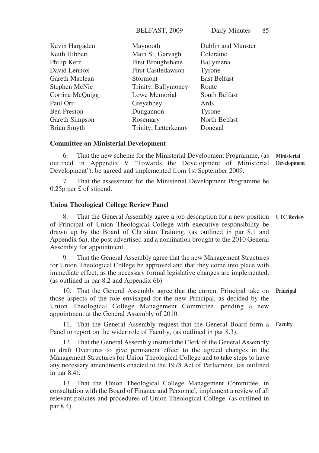| Kevin Hargaden     | Maynooth                  | Dublin and Munster  |  |  |
|--------------------|---------------------------|---------------------|--|--|
| Keith Hibbert      | Main St, Garvagh          | Coleraine           |  |  |
| Philip Kerr        | <b>First Broughshane</b>  | Ballymena           |  |  |
| David Lennox       | <b>First Castledawson</b> | Tyrone              |  |  |
| Gareth Maclean     | Stormont                  | <b>East Belfast</b> |  |  |
| Stephen McNie      | Trinity, Ballymoney       | Route               |  |  |
| Corrina McQuigg    | Lowe Memorial             | South Belfast       |  |  |
| Paul Orr           | Greyabbey                 | Ards                |  |  |
| <b>Ben Preston</b> | Dungannon                 | Tyrone              |  |  |
| Gareth Simpson     | Rosemary                  | North Belfast       |  |  |
| Brian Smyth        | Trinity, Letterkenny      | Donegal             |  |  |

# **Committee on Ministerial Development**

6. That the new scheme for the Ministerial Development Programme, (as outlined in Appendix V 'Towards the Development of Ministerial Development'), be agreed and implemented from 1st September 2009. **Ministerial Development**

7. That the assessment for the Ministerial Development Programme be 0.25p per £ of stipend.

# **Union Theological College Review Panel**

8. That the General Assembly agree a job description for a new position **UTC Review** of Principal of Union Theological College with executive responsibility be drawn up by the Board of Christian Training, (as outlined in par 8.1 and Appendix 6a), the post advertised and a nomination brought to the 2010 General Assembly for appointment.

9. That the General Assembly agree that the new Management Structures for Union Theological College be approved and that they come into place with immediate effect, as the necessary formal legislative changes are implemented, (as outlined in par 8.2 and Appendix 6b).

10. That the General Assembly agree that the current Principal take on those aspects of the role envisaged for the new Principal, as decided by the Union Theological College Management Committee, pending a new appointment at the General Assembly of 2010. **Principal**

11. That the General Assembly request that the General Board form a **Faculty**Panel to report on the wider role of Faculty, (as outlined in par 8.3).

12. That the General Assembly instruct the Clerk of the General Assembly to draft Overtures to give permanent effect to the agreed changes in the Management Structures for Union Theological College and to take steps to have any necessary amendments enacted to the 1978 Act of Parliament, (as outlined in par 8.4).

13. That the Union Theological College Management Committee, in consultation with the Board of Finance and Personnel, implement a review of all relevant policies and procedures of Union Theological College, (as outlined in par 8.4).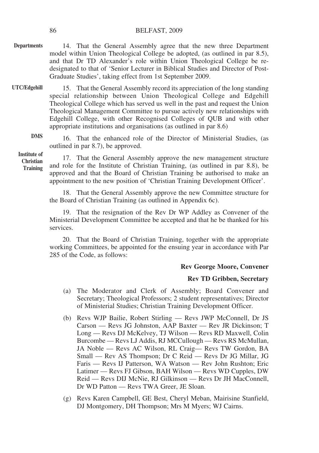#### BELFAST, 2009

- 14. That the General Assembly agree that the new three Department model within Union Theological College be adopted, (as outlined in par 8.5), and that Dr TD Alexander's role within Union Theological College be redesignated to that of 'Senior Lecturer in Biblical Studies and Director of Post-Graduate Studies', taking effect from 1st September 2009. **Departments**
- 15. That the General Assembly record its appreciation of the long standing special relationship between Union Theological College and Edgehill Theological College which has served us well in the past and request the Union Theological Management Committee to pursue actively new relationships with Edgehill College, with other Recognised Colleges of QUB and with other appropriate institutions and organisations (as outlined in par 8.6) **UTC/Edgehill**
	- 16. That the enhanced role of the Director of Ministerial Studies, (as outlined in par 8.7), be approved. **DMS**

17. That the General Assembly approve the new management structure and role for the Institute of Christian Training, (as outlined in par 8.8), be approved and that the Board of Christian Training be authorised to make an appointment to the new position of 'Christian Training Development Officer'.

18. That the General Assembly approve the new Committee structure for the Board of Christian Training (as outlined in Appendix 6c).

19. That the resignation of the Rev Dr WP Addley as Convener of the Ministerial Development Committee be accepted and that he be thanked for his services.

20. That the Board of Christian Training, together with the appropriate working Committees, be appointed for the ensuing year in accordance with Par 285 of the Code, as follows:

# **Rev George Moore, Convener**

#### **Rev TD Gribben, Secretary**

- (a) The Moderator and Clerk of Assembly; Board Convener and Secretary; Theological Professors; 2 student representatives; Director of Ministerial Studies; Christian Training Development Officer.
- (b) Revs WJP Bailie, Robert Stirling Revs JWP McConnell, Dr JS Carson — Revs JG Johnston, AAP Baxter — Rev JR Dickinson; T Long — Revs DJ McKelvey, TJ Wilson — Revs RD Maxwell, Colin Burcombe — Revs LJ Addis, RJ MCCullough — Revs RS McMullan, JA Noble — Revs AC Wilson, RL Craig— Revs TW Gordon, BA Small — Rev AS Thompson; Dr C Reid — Revs Dr JG Millar, JG Faris — Revs IJ Patterson, WA Watson — Rev John Rushton; Eric Latimer — Revs FJ Gibson, BAH Wilson — Revs WD Cupples, DW Reid — Revs DIJ McNie, RJ Gilkinson — Revs Dr JH MacConnell, Dr WD Patton — Revs TWA Greer, JE Sloan.
- (g) Revs Karen Campbell, GE Best, Cheryl Meban, Mairisine Stanfield, DJ Montgomery, DH Thompson; Mrs M Myers; WJ Cairns.

86

**Institute of Christian Training**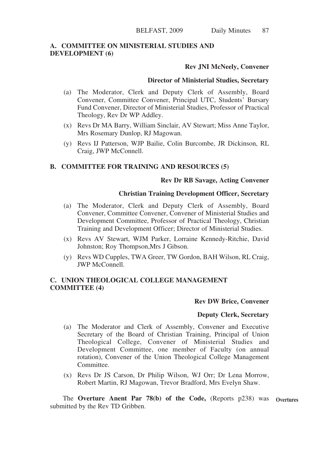# **A. COMMITTEE ON MINISTERIAL STUDIES AND DEVELOPMENT (6)**

# **Rev JNI McNeely, Convener**

# **Director of Ministerial Studies, Secretary**

- (a) The Moderator, Clerk and Deputy Clerk of Assembly, Board Convener, Committee Convener, Principal UTC, Students' Bursary Fund Convener, Director of Ministerial Studies, Professor of Practical Theology, Rev Dr WP Addley.
- (x) Revs Dr MA Barry, William Sinclair, AV Stewart; Miss Anne Taylor, Mrs Rosemary Dunlop, RJ Magowan.
- (y) Revs IJ Patterson, WJP Bailie, Colin Burcombe, JR Dickinson, RL Craig, JWP McConnell.

# **B. COMMITTEE FOR TRAINING AND RESOURCES (5)**

# **Rev Dr RB Savage, Acting Convener**

# **Christian Training Development Officer, Secretary**

- (a) The Moderator, Clerk and Deputy Clerk of Assembly, Board Convener, Committee Convener, Convener of Ministerial Studies and Development Committee, Professor of Practical Theology, Christian Training and Development Officer; Director of Ministerial Studies.
- (x) Revs AV Stewart, WJM Parker, Lorraine Kennedy-Ritchie, David Johnston; Roy Thompson,Mrs J Gibson.
- (y) Revs WD Cupples, TWA Greer, TW Gordon, BAH Wilson, RL Craig, JWP McConnell.

# **C. UNION THEOLOGICAL COLLEGE MANAGEMENT COMMITTEE (4)**

# **Rev DW Brice, Convener**

# **Deputy Clerk, Secretary**

- (a) The Moderator and Clerk of Assembly, Convener and Executive Secretary of the Board of Christian Training, Principal of Union Theological College, Convener of Ministerial Studies and Development Committee, one member of Faculty (on annual rotation), Convener of the Union Theological College Management Committee.
- (x) Revs Dr JS Carson, Dr Philip Wilson, WJ Orr; Dr Lena Morrow, Robert Martin, RJ Magowan, Trevor Bradford, Mrs Evelyn Shaw.

The **Overture Anent Par 78(b) of the Code,** (Reports p238) was **Overtures**submitted by the Rev TD Gribben.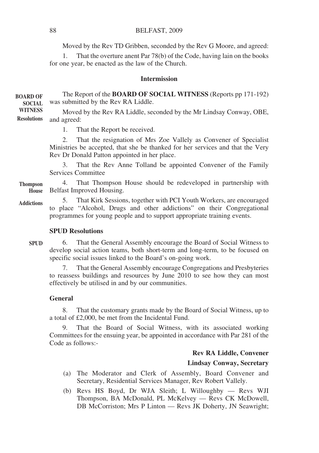### BELFAST, 2009

Moved by the Rev TD Gribben, seconded by the Rev G Moore, and agreed:

That the overture anent Par 78(b) of the Code, having lain on the books for one year, be enacted as the law of the Church.

### **Intermission**

The Report of the **BOARD OF SOCIAL WITNESS** (Reports pp 171-192) was submitted by the Rev RA Liddle. **BOARD OF SOCIAL**

Moved by the Rev RA Liddle, seconded by the Mr Lindsay Conway, OBE, and agreed: **WITNESS Resolutions**

1. That the Report be received.

2. That the resignation of Mrs Zoe Vallely as Convener of Specialist Ministries be accepted, that she be thanked for her services and that the Very Rev Dr Donald Patton appointed in her place.

3. That the Rev Anne Tolland be appointed Convener of the Family Services Committee

4. That Thompson House should be redeveloped in partnership with Belfast Improved Housing. **Thompson House**

5. That Kirk Sessions, together with PCI Youth Workers, are encouraged to place "Alcohol, Drugs and other addictions" on their Congregational programmes for young people and to support appropriate training events. **Addictions**

# **SPUD Resolutions**

6. That the General Assembly encourage the Board of Social Witness to develop social action teams, both short-term and long-term, to be focused on specific social issues linked to the Board's on-going work. **SPUD**

7. That the General Assembly encourage Congregations and Presbyteries to reassess buildings and resources by June 2010 to see how they can most effectively be utilised in and by our communities.

# **General**

8. That the customary grants made by the Board of Social Witness, up to a total of £2,000, be met from the Incidental Fund.

9. That the Board of Social Witness, with its associated working Committees for the ensuing year, be appointed in accordance with Par 281 of the Code as follows:-

# **Rev RA Liddle, Convener**

# **Lindsay Conway, Secretary**

- (a) The Moderator and Clerk of Assembly, Board Convener and Secretary, Residential Services Manager, Rev Robert Vallely.
- (b) Revs HS Boyd, Dr WJA Sleith; L Willoughby Revs WJI Thompson, BA McDonald, PL McKelvey — Revs CK McDowell, DB McCorriston; Mrs P Linton — Revs JK Doherty, JN Seawright;

88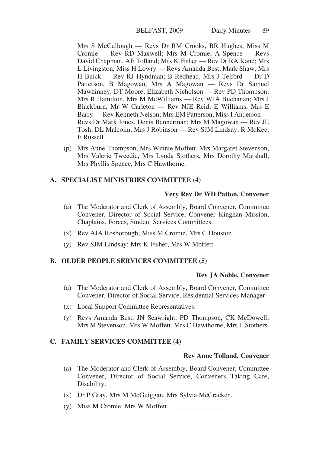Mrs S McCullough — Revs Dr RM Crooks, BR Hughes; Miss M Cromie — Rev RD Maxwell; Mrs M Cromie, A Spence — Revs David Chapman, AE Tolland; Mrs K Fisher — Rev Dr RA Kane; Mrs L Livingston, Miss H Lowry — Revs Amanda Best, Mark Shaw; Mrs H Buick — Rev RJ Hyndman; B Redhead, Mrs J Telford — Dr D Patterson, B Magowan, Mrs A Magowan — Revs Dr Samuel Mawhinney, DT Moore; Elizabeth Nicholson — Rev PD Thompson; Mrs R Hamilton, Mrs M McWilliams — Rev WJA Buchanan; Mrs J Blackburn, Mr W Carleton — Rev NJE Reid; E Williams, Mrs E Barry — Rev Kenneth Nelson; Mrs EM Patterson, Miss I Anderson — Revs Dr Mark Jones, Denis Bannerman; Mrs M Magowan — Rev JL Tosh; DL Malcolm, Mrs J Robinson — Rev SJM Lindsay; R McKee, E Russell.

(p) Mrs Anne Thompson, Mrs Winnie Moffett, Mrs Margaret Stevenson, Mrs Valerie Tweedie, Mrs Lynda Stothers, Mrs Dorothy Marshall, Mrs Phyllis Spence, Mrs C Hawthorne.

# **A. SPECIALIST MINISTRIES COMMITTEE (4)**

# **Very Rev Dr WD Patton, Convener**

- (a) The Moderator and Clerk of Assembly, Board Convener, Committee Convener, Director of Social Service, Convener Kinghan Mission, Chaplains, Forces, Student Services Committees.
- (x) Rev AJA Rosborough; Miss M Cromie, Mrs C Houston.
- (y) Rev SJM Lindsay; Mrs K Fisher, Mrs W Moffett.

# **B. OLDER PEOPLE SERVICES COMMITTEE (5)**

# **Rev JA Noble, Convener**

- (a) The Moderator and Clerk of Assembly, Board Convener, Committee Convener, Director of Social Service, Residential Services Manager.
- (x) Local Support Committee Representatives.
- (y) Revs Amanda Best, JN Seawright, PD Thompson, CK McDowell; Mrs M Stevenson, Mrs W Moffett, Mrs C Hawthorne, Mrs L Stothers.

# **C. FAMILY SERVICES COMMITTEE (4)**

# **Rev Anne Tolland, Convener**

- (a) The Moderator and Clerk of Assembly, Board Convener, Committee Convener, Director of Social Service, Conveners Taking Care, Disability.
- (x) Dr P Gray, Mrs M McGuiggan, Mrs Sylvia McCracken.
- (y) Miss M Cromie, Mrs W Moffett, \_\_\_\_\_\_\_\_\_\_\_\_\_\_\_.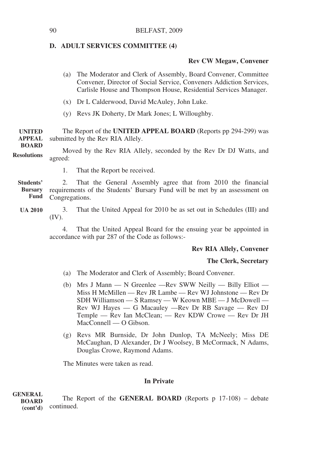# **D. ADULT SERVICES COMMITTEE (4)**

# **Rev CW Megaw, Convener**

- (a) The Moderator and Clerk of Assembly, Board Convener, Committee Convener, Director of Social Service, Conveners Addiction Services, Carlisle House and Thompson House, Residential Services Manager.
- (x) Dr L Calderwood, David McAuley, John Luke.
- (y) Revs JK Doherty, Dr Mark Jones; L Willoughby.
- The Report of the **UNITED APPEAL BOARD** (Reports pp 294-299) was submitted by the Rev RIA Allely. **UNITED APPEAL BOARD**

Moved by the Rev RIA Allely, seconded by the Rev Dr DJ Watts, and agreed: **Resolutions**

1. That the Report be received.

2. That the General Assembly agree that from 2010 the financial requirements of the Students' Bursary Fund will be met by an assessment on Congregations. **Students' Bursary Fund**

3. That the United Appeal for 2010 be as set out in Schedules (III) and (IV). **UA 2010**

> 4. That the United Appeal Board for the ensuing year be appointed in accordance with par 287 of the Code as follows:-

# **Rev RIA Allely, Convener**

# **The Clerk, Secretary**

- (a) The Moderator and Clerk of Assembly; Board Convener.
- (b) Mrs J Mann N Greenlee —Rev SWW Neilly Billy Elliot Miss H McMillen — Rev JR Lambe — Rev WJ Johnstone — Rev Dr SDH Williamson — S Ramsey — W Keown MBE — J McDowell — Rev WJ Hayes — G Macauley —Rev Dr RB Savage — Rev DJ Temple — Rev Ian McClean; — Rev KDW Crowe — Rev Dr JH MacConnell — O Gibson.
- (g) Revs MR Burnside, Dr John Dunlop, TA McNeely; Miss DE McCaughan, D Alexander, Dr J Woolsey, B McCormack, N Adams, Douglas Crowe, Raymond Adams.

The Minutes were taken as read.

# **In Private**

The Report of the **GENERAL BOARD** (Reports p 17-108) – debate continued. **GENERAL BOARD (cont'd)**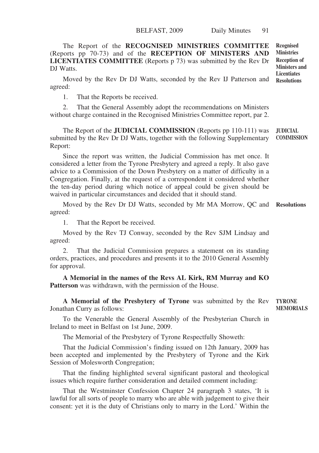The Report of the **RECOGNISED MINISTRIES COMMITTEE** (Reports pp 70-73) and of the **RECEPTION OF MINISTERS AND LICENTIATES COMMITTEE** (Reports p 73) was submitted by the Rev Dr DJ Watts. **Rcognised Ministries Reception of Ministers and Licentiates**

Moved by the Rev Dr DJ Watts, seconded by the Rev IJ Patterson and agreed:

1. That the Reports be received.

2. That the General Assembly adopt the recommendations on Ministers without charge contained in the Recognised Ministries Committee report, par 2.

The Report of the **JUDICIAL COMMISSION** (Reports pp 110-111) was submitted by the Rev Dr DJ Watts, together with the following Supplementary Report: **JUDICIAL COMMISSION**

Since the report was written, the Judicial Commission has met once. It considered a letter from the Tyrone Presbytery and agreed a reply. It also gave advice to a Commission of the Down Presbytery on a matter of difficulty in a Congregation. Finally, at the request of a correspondent it considered whether the ten-day period during which notice of appeal could be given should be waived in particular circumstances and decided that it should stand.

Moved by the Rev Dr DJ Watts, seconded by Mr MA Morrow, QC and **Resolutions** agreed:

1. That the Report be received.

Moved by the Rev TJ Conway, seconded by the Rev SJM Lindsay and agreed:

2. That the Judicial Commission prepares a statement on its standing orders, practices, and procedures and presents it to the 2010 General Assembly for approval.

**A Memorial in the names of the Revs AL Kirk, RM Murray and KO Patterson** was withdrawn, with the permission of the House.

**A Memorial of the Presbytery of Tyrone** was submitted by the Rev Jonathan Curry as follows: **TYRONE**

To the Venerable the General Assembly of the Presbyterian Church in Ireland to meet in Belfast on 1st June, 2009.

The Memorial of the Presbytery of Tyrone Respectfully Showeth:

That the Judicial Commission's finding issued on 12th January, 2009 has been accepted and implemented by the Presbytery of Tyrone and the Kirk Session of Molesworth Congregation;

That the finding highlighted several significant pastoral and theological issues which require further consideration and detailed comment including:

That the Westminster Confession Chapter 24 paragraph 3 states, 'It is lawful for all sorts of people to marry who are able with judgement to give their consent: yet it is the duty of Christians only to marry in the Lord.' Within the

**Resolutions**

**MEMORIALS**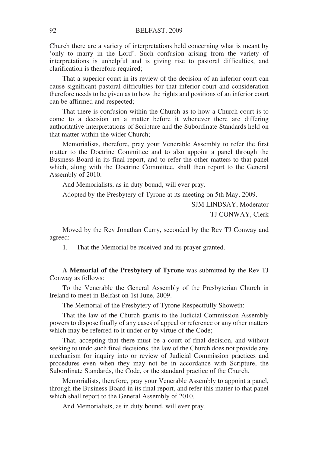Church there are a variety of interpretations held concerning what is meant by 'only to marry in the Lord'. Such confusion arising from the variety of interpretations is unhelpful and is giving rise to pastoral difficulties, and clarification is therefore required;

That a superior court in its review of the decision of an inferior court can cause significant pastoral difficulties for that inferior court and consideration therefore needs to be given as to how the rights and positions of an inferior court can be affirmed and respected;

That there is confusion within the Church as to how a Church court is to come to a decision on a matter before it whenever there are differing authoritative interpretations of Scripture and the Subordinate Standards held on that matter within the wider Church;

Memorialists, therefore, pray your Venerable Assembly to refer the first matter to the Doctrine Committee and to also appoint a panel through the Business Board in its final report, and to refer the other matters to that panel which, along with the Doctrine Committee, shall then report to the General Assembly of 2010.

And Memorialists, as in duty bound, will ever pray.

Adopted by the Presbytery of Tyrone at its meeting on 5th May, 2009.

SJM LINDSAY, Moderator

TJ CONWAY, Clerk

Moved by the Rev Jonathan Curry, seconded by the Rev TJ Conway and agreed:

1. That the Memorial be received and its prayer granted.

**A Memorial of the Presbytery of Tyrone** was submitted by the Rev TJ Conway as follows:

To the Venerable the General Assembly of the Presbyterian Church in Ireland to meet in Belfast on 1st June, 2009.

The Memorial of the Presbytery of Tyrone Respectfully Showeth:

That the law of the Church grants to the Judicial Commission Assembly powers to dispose finally of any cases of appeal or reference or any other matters which may be referred to it under or by virtue of the Code;

That, accepting that there must be a court of final decision, and without seeking to undo such final decisions, the law of the Church does not provide any mechanism for inquiry into or review of Judicial Commission practices and procedures even when they may not be in accordance with Scripture, the Subordinate Standards, the Code, or the standard practice of the Church.

Memorialists, therefore, pray your Venerable Assembly to appoint a panel, through the Business Board in its final report, and refer this matter to that panel which shall report to the General Assembly of 2010.

And Memorialists, as in duty bound, will ever pray.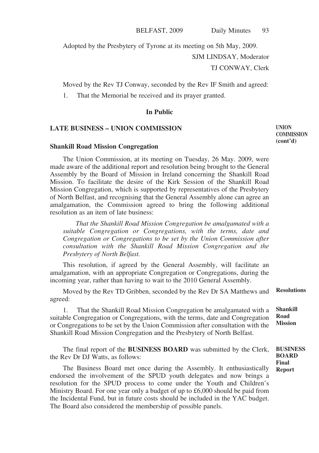Adopted by the Presbytery of Tyrone at its meeting on 5th May, 2009.

SJM LINDSAY, Moderator

TJ CONWAY, Clerk

Moved by the Rev TJ Conway, seconded by the Rev IF Smith and agreed:

1. That the Memorial be received and its prayer granted.

#### **In Public**

#### **LATE BUSINESS – UNION COMMISSION**

#### **Shankill Road Mission Congregation**

The Union Commission, at its meeting on Tuesday, 26 May. 2009, were made aware of the additional report and resolution being brought to the General Assembly by the Board of Mission in Ireland concerning the Shankill Road Mission. To facilitate the desire of the Kirk Session of the Shankill Road Mission Congregation, which is supported by representatives of the Presbytery of North Belfast, and recognising that the General Assembly alone can agree an amalgamation, the Commission agreed to bring the following additional resolution as an item of late business:

*That the Shankill Road Mission Congregation be amalgamated with a suitable Congregation or Congregations, with the terms, date and Congregation or Congregations to be set by the Union Commission after consultation with the Shankill Road Mission Congregation and the Presbytery of North Belfast.*

This resolution, if agreed by the General Assembly, will facilitate an amalgamation, with an appropriate Congregation or Congregations, during the incoming year, rather than having to wait to the 2010 General Assembly.

Moved by the Rev TD Gribben, seconded by the Rev Dr SA Matthews and agreed: **Resolutions**

1. That the Shankill Road Mission Congregation be amalgamated with a suitable Congregation or Congregations, with the terms, date and Congregation or Congregations to be set by the Union Commission after consultation with the Shankill Road Mission Congregation and the Presbytery of North Belfast. **Shankill Road Mission**

The final report of the **BUSINESS BOARD** was submitted by the Clerk, the Rev Dr DJ Watts, as follows:

The Business Board met once during the Assembly. It enthusiastically endorsed the involvement of the SPUD youth delegates and now brings a resolution for the SPUD process to come under the Youth and Children's Ministry Board. For one year only a budget of up to £6,000 should be paid from the Incidental Fund, but in future costs should be included in the YAC budget. The Board also considered the membership of possible panels.

**UNION COMMISSION (cont'd)**

**BUSINESS BOARD Final Report**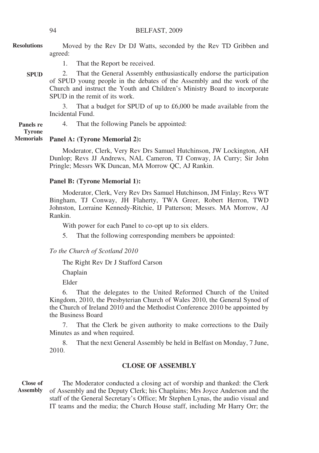- Moved by the Rev Dr DJ Watts, seconded by the Rev TD Gribben and agreed: **Resolutions**
	- 1. That the Report be received.
	- 2. That the General Assembly enthusiastically endorse the participation of SPUD young people in the debates of the Assembly and the work of the Church and instruct the Youth and Children's Ministry Board to incorporate SPUD in the remit of its work. **SPUD**

3. That a budget for SPUD of up to £6,000 be made available from the Incidental Fund.

4. That the following Panels be appointed: **Panels re**

**Tyrone Memorials**

# **Panel A: (Tyrone Memorial 2):**

Moderator, Clerk, Very Rev Drs Samuel Hutchinson, JW Lockington, AH Dunlop; Revs JJ Andrews, NAL Cameron, TJ Conway, JA Curry; Sir John Pringle; Messrs WK Duncan, MA Morrow QC, AJ Rankin.

# **Panel B: (Tyrone Memorial 1):**

Moderator, Clerk, Very Rev Drs Samuel Hutchinson, JM Finlay; Revs WT Bingham, TJ Conway, JH Flaherty, TWA Greer, Robert Herron, TWD Johnston, Lorraine Kennedy-Ritchie, IJ Patterson; Messrs. MA Morrow, AJ Rankin.

With power for each Panel to co-opt up to six elders.

5. That the following corresponding members be appointed:

# *To the Church of Scotland 2010*

The Right Rev Dr J Stafford Carson

Chaplain

Elder

6. That the delegates to the United Reformed Church of the United Kingdom, 2010, the Presbyterian Church of Wales 2010, the General Synod of the Church of Ireland 2010 and the Methodist Conference 2010 be appointed by the Business Board

7. That the Clerk be given authority to make corrections to the Daily Minutes as and when required.

8. That the next General Assembly be held in Belfast on Monday, 7 June, 2010.

# **CLOSE OF ASSEMBLY**

The Moderator conducted a closing act of worship and thanked: the Clerk of Assembly and the Deputy Clerk; his Chaplains; Mrs Joyce Anderson and the staff of the General Secretary's Office; Mr Stephen Lynas, the audio visual and IT teams and the media; the Church House staff, including Mr Harry Orr; the **Close of Assembly**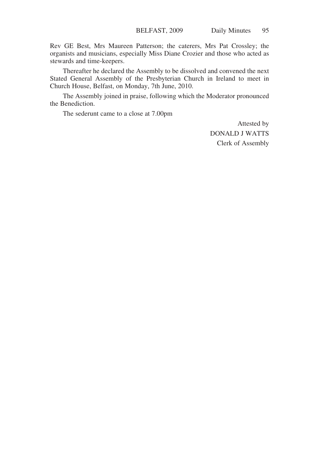Rev GE Best, Mrs Maureen Patterson; the caterers, Mrs Pat Crossley; the organists and musicians, especially Miss Diane Crozier and those who acted as stewards and time-keepers.

Thereafter he declared the Assembly to be dissolved and convened the next Stated General Assembly of the Presbyterian Church in Ireland to meet in Church House, Belfast, on Monday, 7th June, 2010.

The Assembly joined in praise, following which the Moderator pronounced the Benediction.

The sederunt came to a close at 7.00pm

Attested by DONALD J WATTS Clerk of Assembly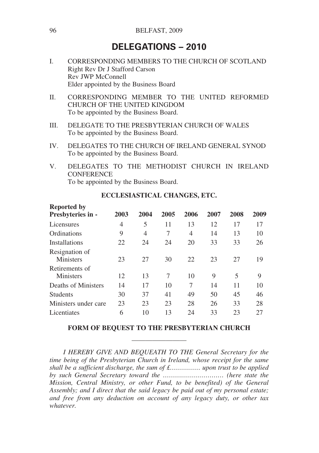# **DELEGATIONS – 2010**

- I. CORRESPONDING MEMBERS TO THE CHURCH OF SCOTLAND Right Rev Dr J Stafford Carson Rev JWP McConnell Elder appointed by the Business Board
- II. CORRESPONDING MEMBER TO THE UNITED REFORMED CHURCH OF THE UNITED KINGDOM To be appointed by the Business Board.
- III. DELEGATE TO THE PRESBYTERIAN CHURCH OF WALES To be appointed by the Business Board.
- IV. DELEGATES TO THE CHURCH OF IRELAND GENERAL SYNOD To be appointed by the Business Board.
- V. DELEGATES TO THE METHODIST CHURCH IN IRELAND **CONFERENCE** To be appointed by the Business Board.

| <b>Reported by</b><br>Presbyteries in - | 2003 | 2004 | 2005 | 2006 | 2007 | 2008 | 2009 |
|-----------------------------------------|------|------|------|------|------|------|------|
| Licensures                              | 4    | 5    | 11   | 13   | 12   | 17   | 17   |
| Ordinations                             | 9    | 4    | 7    | 4    | 14   | 13   | 10   |
| Installations                           | 22   | 24   | 24   | 20   | 33   | 33   | 26   |
| Resignation of<br>Ministers             | 23   | 27   | 30   | 22   | 23   | 27   | 19   |
| Retirements of<br>Ministers             | 12   | 13   | 7    | 10   | 9    | 5    | 9    |
| Deaths of Ministers                     | 14   | 17   | 10   | 7    | 14   | 11   | 10   |
| <b>Students</b>                         | 30   | 37   | 41   | 49   | 50   | 45   | 46   |
| Ministers under care                    | 23   | 23   | 23   | 28   | 26   | 33   | 28   |
| Licentiates                             | 6    | 10   | 13   | 24   | 33   | 23   | 27   |

# **ECCLESIASTICAL CHANGES, ETC.**

# **FORM OF BEQUEST TO THE PRESBYTERIAN CHURCH** ————————

*I HEREBY GIVE AND BEQUEATH TO THE General Secretary for the time being of the Presbyterian Church in Ireland, whose receipt for the same shall be a sufficient discharge, the sum of £…………… upon trust to be applied by such General Secretary toward the ………………………… (here state the Mission, Central Ministry, or other Fund, to be benefited) of the General Assembly; and I direct that the said legacy be paid out of my personal estate; and free from any deduction on account of any legacy duty, or other tax whatever.*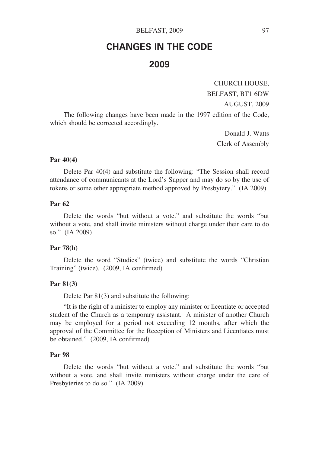# **CHANGES IN THE CODE 2009**

CHURCH HOUSE,

BELFAST, BT1 6DW

AUGUST, 2009

The following changes have been made in the 1997 edition of the Code, which should be corrected accordingly.

> Donald J. Watts Clerk of Assembly

### **Par 40(4)**

Delete Par 40(4) and substitute the following: "The Session shall record attendance of communicants at the Lord's Supper and may do so by the use of tokens or some other appropriate method approved by Presbytery." (IA 2009)

#### **Par 62**

Delete the words "but without a vote." and substitute the words "but without a vote, and shall invite ministers without charge under their care to do so." (IA 2009)

# **Par 78(b)**

Delete the word "Studies" (twice) and substitute the words "Christian Training" (twice). (2009, IA confirmed)

# **Par 81(3)**

Delete Par 81(3) and substitute the following:

"It is the right of a minister to employ any minister or licentiate or accepted student of the Church as a temporary assistant. A minister of another Church may be employed for a period not exceeding 12 months, after which the approval of the Committee for the Reception of Ministers and Licentiates must be obtained." (2009, IA confirmed)

# **Par 98**

Delete the words "but without a vote." and substitute the words "but without a vote, and shall invite ministers without charge under the care of Presbyteries to do so." (IA 2009)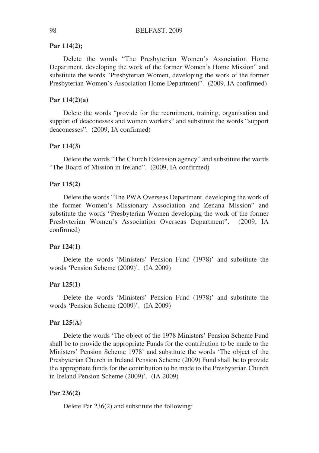# **Par 114(2);**

Delete the words "The Presbyterian Women's Association Home Department, developing the work of the former Women's Home Mission" and substitute the words "Presbyterian Women, developing the work of the former Presbyterian Women's Association Home Department". (2009, IA confirmed)

# **Par 114(2)(a)**

Delete the words "provide for the recruitment, training, organisation and support of deaconesses and women workers" and substitute the words "support deaconesses". (2009, IA confirmed)

#### **Par 114(3)**

Delete the words "The Church Extension agency" and substitute the words "The Board of Mission in Ireland". (2009, IA confirmed)

# **Par 115(2)**

Delete the words "The PWA Overseas Department, developing the work of the former Women's Missionary Association and Zenana Mission" and substitute the words "Presbyterian Women developing the work of the former Presbyterian Women's Association Overseas Department". (2009, IA confirmed)

#### **Par 124(1)**

Delete the words 'Ministers' Pension Fund (1978)' and substitute the words 'Pension Scheme (2009)'. (IA 2009)

# **Par 125(1)**

Delete the words 'Ministers' Pension Fund (1978)' and substitute the words 'Pension Scheme (2009)'. (IA 2009)

# **Par 125(A)**

Delete the words 'The object of the 1978 Ministers' Pension Scheme Fund shall be to provide the appropriate Funds for the contribution to be made to the Ministers' Pension Scheme 1978' and substitute the words 'The object of the Presbyterian Church in Ireland Pension Scheme (2009) Fund shall be to provide the appropriate funds for the contribution to be made to the Presbyterian Church in Ireland Pension Scheme (2009)'. (IA 2009)

# **Par 236(2)**

Delete Par 236(2) and substitute the following: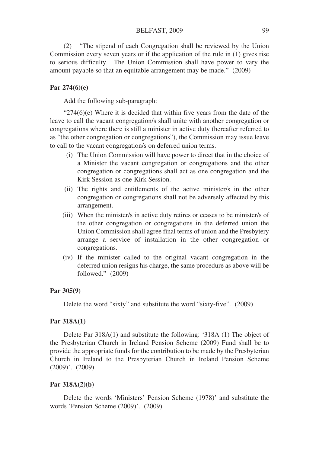(2) "The stipend of each Congregation shall be reviewed by the Union Commission every seven years or if the application of the rule in (1) gives rise to serious difficulty. The Union Commission shall have power to vary the amount payable so that an equitable arrangement may be made." (2009)

# **Par 274(6)(e)**

Add the following sub-paragraph:

" $274(6)$ (e) Where it is decided that within five years from the date of the leave to call the vacant congregation/s shall unite with another congregation or congregations where there is still a minister in active duty (hereafter referred to as "the other congregation or congregations"), the Commission may issue leave to call to the vacant congregation/s on deferred union terms.

- (i) The Union Commission will have power to direct that in the choice of a Minister the vacant congregation or congregations and the other congregation or congregations shall act as one congregation and the Kirk Session as one Kirk Session.
- (ii) The rights and entitlements of the active minister/s in the other congregation or congregations shall not be adversely affected by this arrangement.
- (iii) When the minister/s in active duty retires or ceases to be minister/s of the other congregation or congregations in the deferred union the Union Commission shall agree final terms of union and the Presbytery arrange a service of installation in the other congregation or congregations.
- (iv) If the minister called to the original vacant congregation in the deferred union resigns his charge, the same procedure as above will be followed." (2009)

# **Par 305(9)**

Delete the word "sixty" and substitute the word "sixty-five". (2009)

# **Par 318A(1)**

Delete Par 318A(1) and substitute the following: '318A (1) The object of the Presbyterian Church in Ireland Pension Scheme (2009) Fund shall be to provide the appropriate funds for the contribution to be made by the Presbyterian Church in Ireland to the Presbyterian Church in Ireland Pension Scheme (2009)'. (2009)

# **Par 318A(2)(b)**

Delete the words 'Ministers' Pension Scheme (1978)' and substitute the words 'Pension Scheme (2009)'. (2009)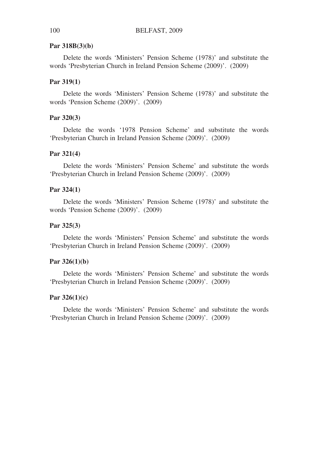# **Par 318B(3)(b)**

Delete the words 'Ministers' Pension Scheme (1978)' and substitute the words 'Presbyterian Church in Ireland Pension Scheme (2009)'. (2009)

# **Par 319(1)**

Delete the words 'Ministers' Pension Scheme (1978)' and substitute the words 'Pension Scheme (2009)'. (2009)

# **Par 320(3)**

Delete the words '1978 Pension Scheme' and substitute the words 'Presbyterian Church in Ireland Pension Scheme (2009)'. (2009)

# **Par 321(4)**

Delete the words 'Ministers' Pension Scheme' and substitute the words 'Presbyterian Church in Ireland Pension Scheme (2009)'. (2009)

# **Par 324(1)**

Delete the words 'Ministers' Pension Scheme (1978)' and substitute the words 'Pension Scheme (2009)'. (2009)

# **Par 325(3)**

Delete the words 'Ministers' Pension Scheme' and substitute the words 'Presbyterian Church in Ireland Pension Scheme (2009)'. (2009)

# **Par 326(1)(b)**

Delete the words 'Ministers' Pension Scheme' and substitute the words 'Presbyterian Church in Ireland Pension Scheme (2009)'. (2009)

# **Par 326(1)(c)**

Delete the words 'Ministers' Pension Scheme' and substitute the words 'Presbyterian Church in Ireland Pension Scheme (2009)'. (2009)

100